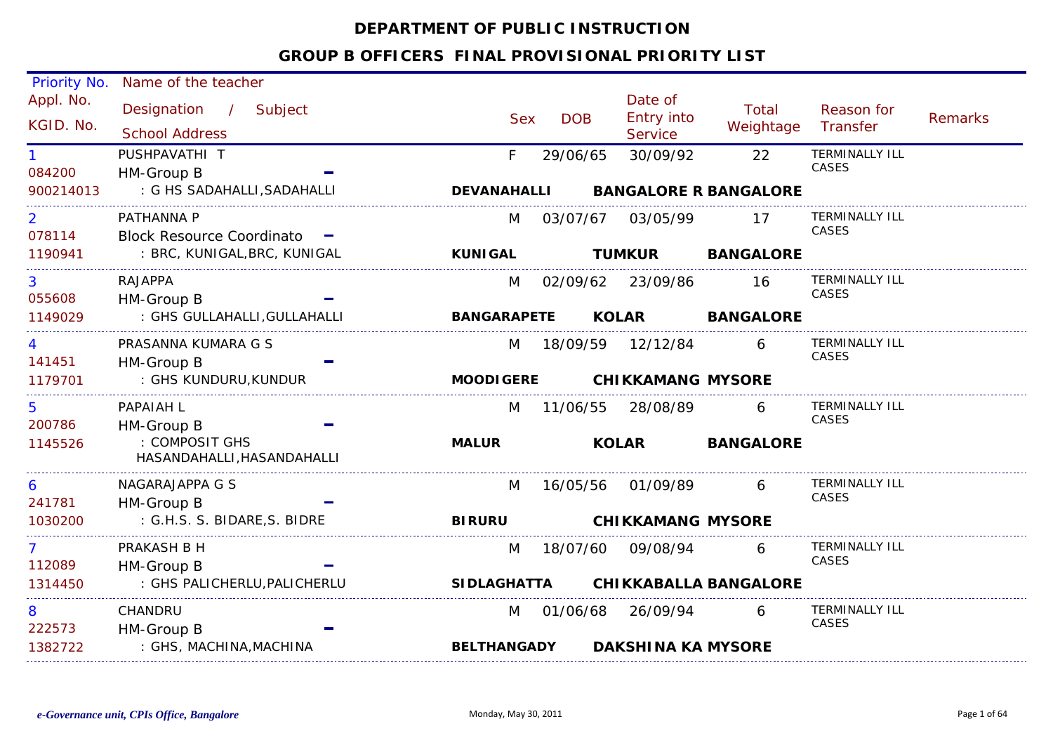## **DEPARTMENT OF PUBLIC INSTRUCTION**

| Priority No.             | Name of the teacher                            |                           |            |                                         |                                    |                                |                |
|--------------------------|------------------------------------------------|---------------------------|------------|-----------------------------------------|------------------------------------|--------------------------------|----------------|
| Appl. No.<br>KGID. No.   | Designation / Subject<br><b>School Address</b> | <b>Sex</b>                | <b>DOB</b> | Date of<br><b>Entry into</b><br>Service | Total<br>Weightage                 | Reason for<br>Transfer         | <b>Remarks</b> |
| $\mathbf{1}$<br>084200   | PUSHPAVATHI T<br>HM-Group B                    | F                         | 29/06/65   | 30/09/92                                | 22                                 | <b>TERMINALLY ILL</b><br>CASES |                |
| 900214013                | : G HS SADAHALLI, SADAHALLI                    | <b>DEVANAHALLI</b>        |            |                                         | <b>BANGALORE R BANGALORE</b>       |                                |                |
| $\overline{2}$<br>078114 | PATHANNA P<br>Block Resource Coordinato -      | M                         |            | 03/07/67 03/05/99 17                    |                                    | <b>TERMINALLY ILL</b><br>CASES |                |
| 1190941                  | : BRC, KUNIGAL,BRC, KUNIGAL                    | <b>Example 20 KUNIGAL</b> |            |                                         | <b>TUMKUR BANGALORE</b>            |                                |                |
| 3<br>055608              | <b>RAJAPPA</b><br>HM-Group B                   | M                         |            | 02/09/62 23/09/86 16                    |                                    | <b>TERMINALLY ILL</b><br>CASES |                |
| 1149029                  | : GHS GULLAHALLI, GULLAHALLI                   |                           |            |                                         | BANGARAPETE KOLAR BANGALORE        |                                |                |
| 4<br>141451              | PRASANNA KUMARA G S<br>HM-Group B              | M                         |            | 18/09/59 12/12/84 6                     |                                    | <b>TERMINALLY ILL</b><br>CASES |                |
| 1179701                  | : GHS KUNDURU,KUNDUR                           |                           |            | MOODIGERE CHIKKAMANG MYSORE             |                                    |                                |                |
| 5<br>200786              | PAPAIAH L<br>HM-Group B                        | M                         |            |                                         | 11/06/55 28/08/89 6 TERMINALLY ILL | CASES                          |                |
| 1145526                  | : COMPOSIT GHS<br>HASANDAHALLI, HASANDAHALLI   | <b>MALUR</b>              |            |                                         | KOLAR BANGALORE                    |                                |                |
| 6<br>241781              | NAGARAJAPPA G S<br>HM-Group B                  | M                         |            | 16/05/56 01/09/89 6                     |                                    | <b>TERMINALLY ILL</b><br>CASES |                |
| 1030200                  | : G.H.S. S. BIDARE, S. BIDRE                   |                           |            | BIRURU CHIKKAMANG MYSORE                |                                    |                                |                |
| 7 <sup>1</sup><br>112089 | PRAKASH B H<br>HM-Group B                      | M                         |            |                                         | 6 —                                | <b>TERMINALLY ILL</b><br>CASES |                |
| 1314450                  | : GHS PALICHERLU, PALICHERLU                   |                           |            |                                         | SIDLAGHATTA CHIKKABALLA BANGALORE  |                                |                |
| 8<br>222573              | CHANDRU<br>HM-Group B                          | M                         |            | 01/06/68 26/09/94                       | 6                                  | <b>TERMINALLY ILL</b><br>CASES |                |
| 1382722                  | : GHS, MACHINA,MACHINA                         | <b>BELTHANGADY</b>        |            | <b>DAKSHINA KA MYSORE</b>               |                                    |                                |                |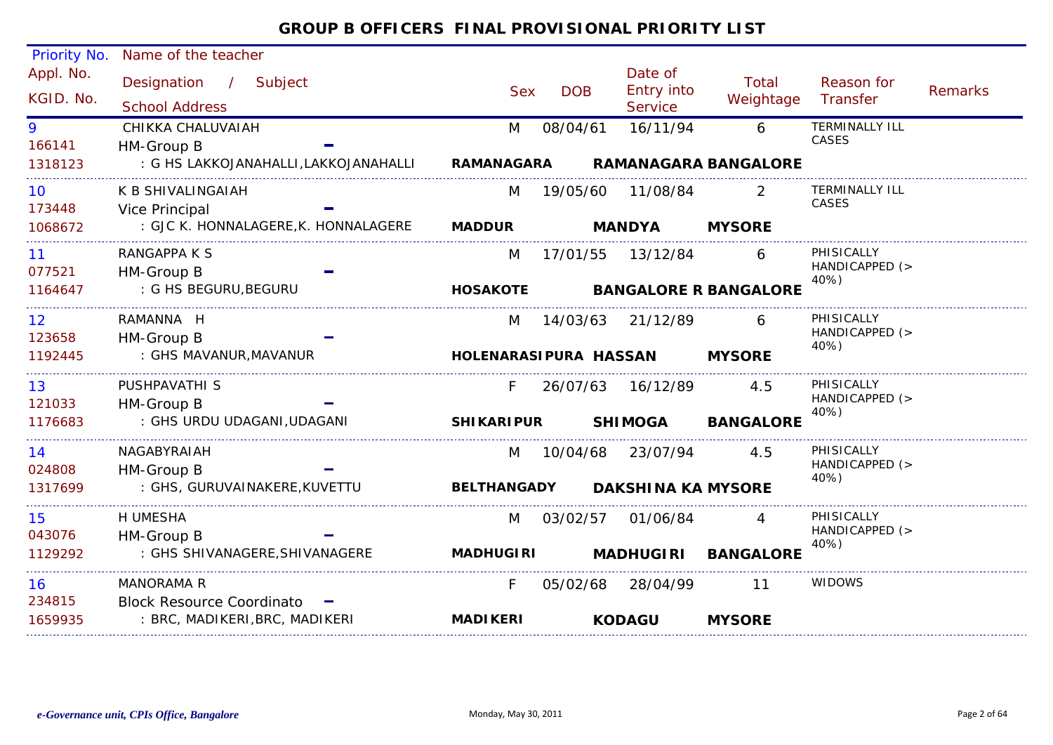| Priority No.    | Name of the teacher                             |                    |            |                           |                              |                        |         |
|-----------------|-------------------------------------------------|--------------------|------------|---------------------------|------------------------------|------------------------|---------|
| Appl. No.       | Designation / Subject                           |                    |            | Date of                   | Total                        | Reason for             |         |
| KGID. No.       | <b>School Address</b>                           | <b>Sex</b>         | <b>DOB</b> | Entry into<br>Service     | Weightage                    | Transfer               | Remarks |
| 9               | CHIKKA CHALUVAIAH                               | M                  | 08/04/61   | 16/11/94                  | 6                            | <b>TERMINALLY ILL</b>  |         |
| 166141          | HM-Group B                                      |                    |            |                           |                              | CASES                  |         |
| 1318123         | : G HS LAKKOJANAHALLI,LAKKOJANAHALLI RAMANAGARA |                    |            |                           | <b>RAMANAGARA BANGALORE</b>  |                        |         |
| 10 <sup>°</sup> | K B SHIVALINGAIAH                               | M                  |            |                           | $\overline{2}$               | <b>TERMINALLY ILL</b>  |         |
| 173448          | Vice Principal                                  |                    |            |                           |                              | CASES                  |         |
| 1068672         | : GJC K. HONNALAGERE, K. HONNALAGERE MADDUR     |                    |            | <b>MANDYA</b>             | <b>MYSORE</b>                |                        |         |
| 11 <sup>1</sup> | RANGAPPA K S                                    | M                  |            |                           | 6                            | PHISICALLY             |         |
| 077521          | HM-Group B                                      |                    |            |                           |                              | HANDICAPPED (><br>40%) |         |
| 1164647         | : G HS BEGURU, BEGURU                           | <b>HOSAKOTE</b>    |            |                           | <b>BANGALORE R BANGALORE</b> |                        |         |
| 12 <sup>7</sup> | RAMANNA H                                       | M                  |            | 14/03/63 21/12/89         | 6                            | PHISICALLY             |         |
| 123658          | HM-Group B                                      |                    |            |                           |                              | HANDICAPPED (><br>40%) |         |
| 1192445         | : GHS MAVANUR, MAVANUR                          |                    |            | HOLENARASIPURA HASSAN     | <b>MYSORE</b>                |                        |         |
| 13 <sup>7</sup> | PUSHPAVATHI S                                   | F.                 |            | 26/07/63 16/12/89         | 4.5                          | PHISICALLY             |         |
| 121033          | HM-Group B                                      |                    |            |                           |                              | HANDICAPPED (><br>40%) |         |
| 1176683         | : GHS URDU UDAGANI,UDAGANI                      | <b>SHIKARIPUR</b>  |            | <b>SHIMOGA</b>            | <b>BANGALORE</b>             |                        |         |
| 14              | NAGABYRAIAH                                     | M                  |            | 10/04/68 23/07/94         | 4.5                          | PHISICALLY             |         |
| 024808          | HM-Group B                                      |                    |            |                           |                              | HANDICAPPED (><br>40%) |         |
| 1317699         | : GHS, GURUVAINAKERE, KUVETTU                   | <b>BELTHANGADY</b> |            | <b>DAKSHINA KA MYSORE</b> |                              |                        |         |
| 15              | H UMESHA                                        | M                  | 03/02/57   | 01/06/84                  | 4                            | PHISICALLY             |         |
| 043076          | HM-Group B                                      |                    |            |                           |                              | HANDICAPPED (><br>40%) |         |
| 1129292         | : GHS SHIVANAGERE, SHIVANAGERE                  | <b>MADHUGIRI</b>   |            |                           | MADHUGIRI BANGALORE          |                        |         |
| 16              | MANORAMA R                                      | F                  |            | 05/02/68 28/04/99         | -11                          | <b>WIDOWS</b>          |         |
| 234815          | Block Resource Coordinato -                     |                    |            |                           |                              |                        |         |
| 1659935         | : BRC, MADIKERI, BRC, MADIKERI                  | <b>MADIKERI</b>    |            | <b>KODAGU</b>             | <b>MYSORE</b>                |                        |         |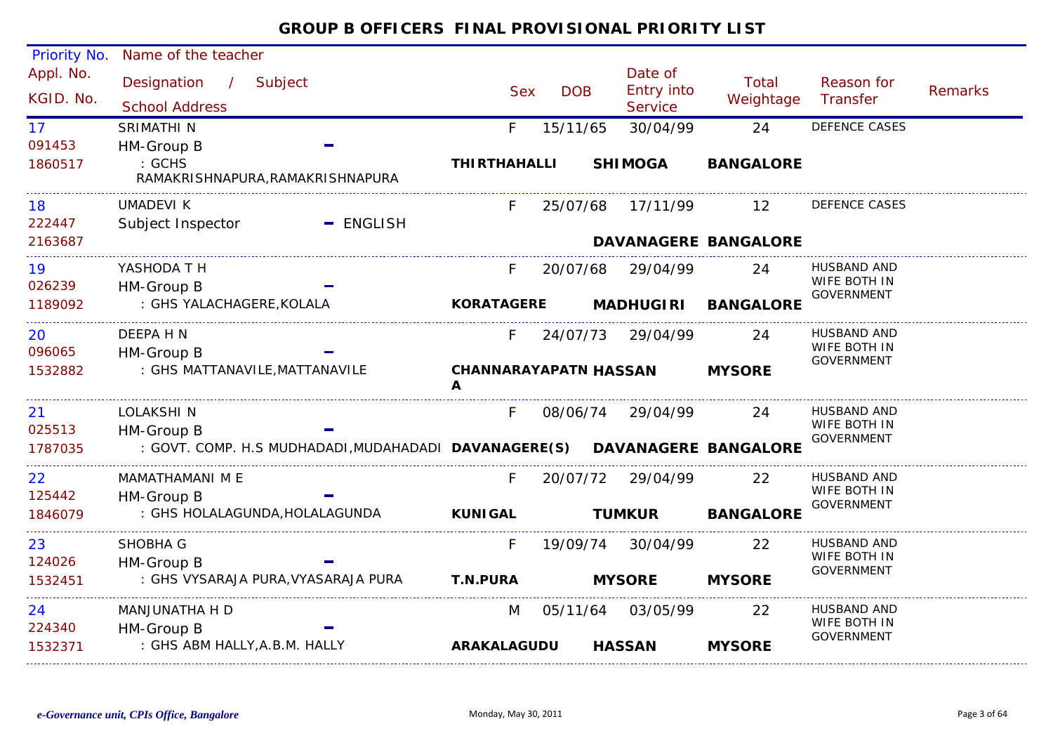#### Priority No. Name of the teacher Appl. No. Date of<br>Entry into Designation / Subject Sex DOB Total Reason for / Remarks KGID. No.Sex DOB Entry million Weightage<br>School Address Service **Transfer Service** 17SRIMATHI N F 15/11/65 30/04/99 24 DEFENCE CASES 091453HM-Group B : GCHS **THIRTHAHALLI SHIMOGA BANGALORE**1860517RAMAKRISHNAPURA,RAMAKRISHNAPURA UMADEVI K F 25/07/68 17/11/99 12 DEFENCE CASES18222447Subject Inspector  $=$  ENGLISH 2163687**DAVANAGERE BANGALORE**19YASHODA T H F 20/07/68 29/04/99 24 HUSBAND AND WIFE BOTH IN 026239 HM-Group B GOVERNMENT : GHS YALACHAGERE,KOLALA **KORATAGERE MADHUGIRI BANGALORE**1189092DEEPA H N20F 24/07/73 29/04/99 24 HUSBAND AND WIFE BOTH IN 096065 HM-Group B GOVERNMENT : GHS MATTANAVILE,MATTANAVILE 1532882**CHANNARAYAPATN HASSAN MYSOREA**\_\_\_\_\_\_\_\_\_\_\_\_\_\_\_\_\_\_\_\_\_  $21$ F 08/06/74 29/04/99 24 HUSBAND AND LOLAKSHI NWIFE BOTH IN 025513 HM-Group B GOVERNMENT1787035 : GOVT. COMP. H.S MUDHADADI,MUDAHADADI **DAVANAGERE(S) DAVANAGERE BANGALORE** MAMATHAMANI M E $22<sub>2</sub>$ F 20/07/72 29/04/99 22 HUSBAND AND WIFE BOTH IN 125442 HM-Group B GOVERNMENT : GHS HOLALAGUNDA,HOLALAGUNDA **TUMKUR BANGALORE** 1846079**KUNIGAL**SHOBHA G23F 19/09/74 30/04/99 22 HUSBAND AND WIFE BOTH IN 124026 HM-Group B GOVERNMENT : GHS VYSARAJA PURA,VYASARAJA PURA **MYSORE MYSORET.N.PURA**153245124M 05/11/64 03/05/99 22 HUSBAND AND MANJUNATHA H DWIFE BOTH IN 224340 HM-Group B GOVERNMENT : GHS ABM HALLY,A.B.M. HALLY 1532371**ARAKALAGUDUHASSAN MYSORE**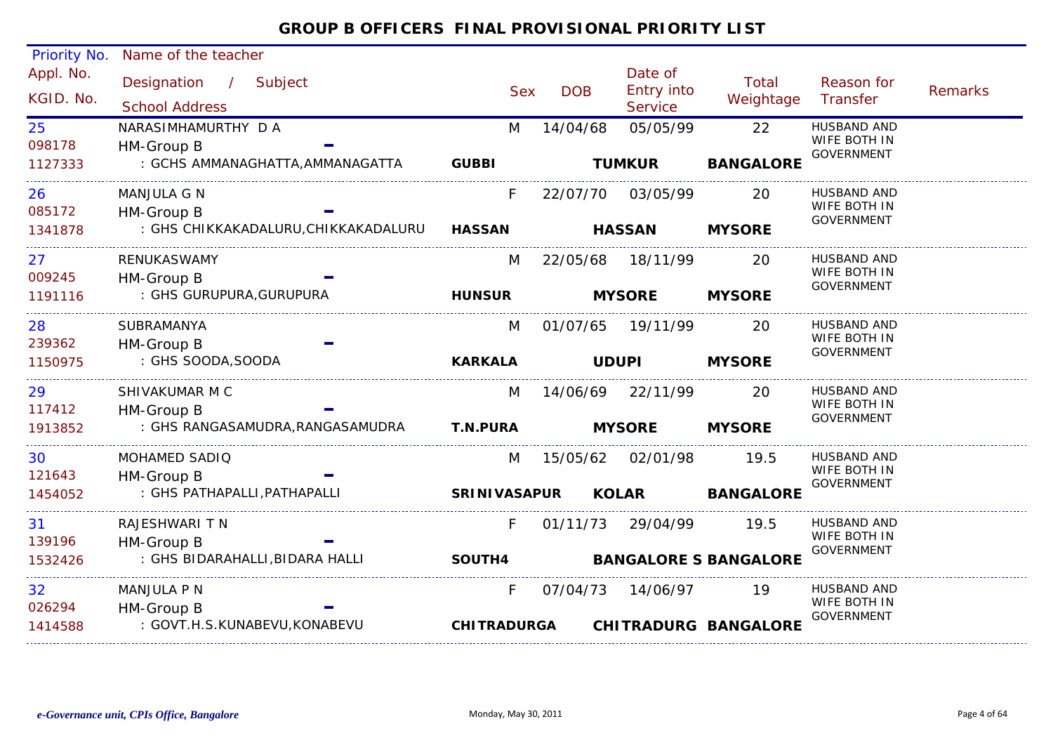#### Appl. No. Priority No. Name of the teacher Designation Subject Sex DOB/ Date of<br>DOB Entry into **Service** Reason for **Transfer**  Remarks Total Example Sex DOB Entry into the Meightage<br>School Address School Address Sex Service KGID. No.098178M 14/04/68 05/05/99 22 HUSBAND AND : GCHS AMMANAGHATTA,AMMANAGATTA 25WIFE BOTH IN GOVERNMENT HM-Group B 1127333NARASIMHAMURTHY D A **GUBBI TUMKUR BANGALORE** 085172F 22/07/70 03/05/99 20 HUSBAND AND : GHS CHIKKAKADALURU,CHIKKAKADALURU 26WIFE BOTH IN GOVERNMENT HM-Group B 1341878MANJULA G N**HASSAN HASSAN MYSORE**009245M 22/05/68 18/11/99 : GHS GURUPURA,GURUPURA 277 RENUKASWAMY M 22/05/68 18/11/99 20 HUSBAND AND WIFE BOTH IN GOVERNMENT HM-Group B 1191116RENUKASWAMY**HUNSUR MYSORE MYSORE**239362M 01/07/65 19/11/99 20 HUSBAND AND : GHS SOODA,SOODA 28WIFE BOTH IN GOVERNMENT HM-Group B 1150975SUBRAMANYA**KARKALA UDUPI MYSORE**1174129 SHIVAKUMAR M C M 14/06/69 22/11/99 20 HUSBAND AND : GHS RANGASAMUDRA,RANGASAMUDRA 29WIFE BOTH IN GOVERNMENT HM-Group B 1913852SHIVAKUMAR M C**T.N.PURA MYSORE MYSORE**121643 0 MOHAMED SADIQ M 15/05/62 02/01/98 19.5 HUSBAND AND : GHS PATHAPALLI,PATHAPALLI 30WIFE BOTH IN GOVERNMENT HM-Group B 1454052MOHAMED SADIQ**SRINIVASAPUR KOLAR BANGALORE** 139196F 01/11/73 29/04/99 19.5 HUSBAND AND : GHS BIDARAHALLI,BIDARA HALLI 31WIFE BOTH IN GOVERNMENT HM-Group B 1532426RAJESHWARI T N **SOUTH4 BANGALORE S BANGALORE**026294F 07/04/73 14/06/97 19 HUSBAND AND : GOVT.H.S.KUNABEVU,KONABEVU 32WIFE BOTH IN GOVERNMENT HM-Group B 1414588MANJULA P N**CHITRADURGACHITRADURG BANGALORE**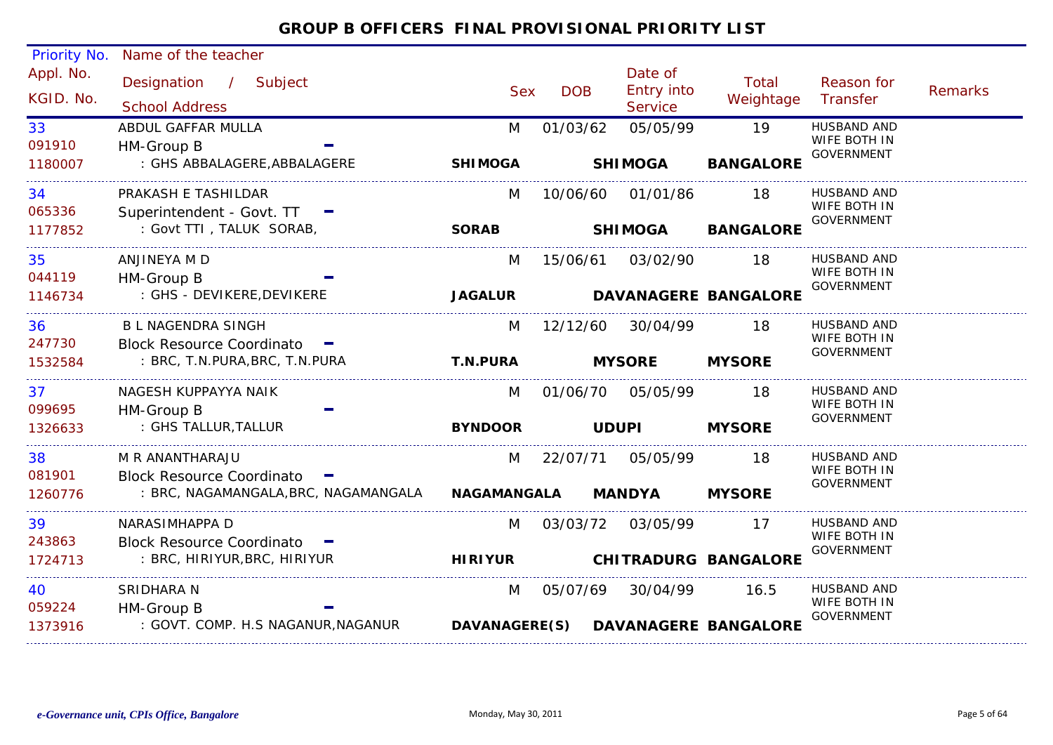| Priority No. | Name of the teacher                  |                    |                   |                   |                                    |                                    |                |
|--------------|--------------------------------------|--------------------|-------------------|-------------------|------------------------------------|------------------------------------|----------------|
| Appl. No.    | Designation / Subject                |                    |                   | Date of           | Total                              | Reason for                         |                |
| KGID. No.    |                                      | <b>Sex</b>         | <b>DOB</b>        | <b>Entry into</b> | Weightage                          | Transfer                           | <b>Remarks</b> |
|              | <b>School Address</b>                |                    |                   | Service           |                                    |                                    |                |
| 33           | ABDUL GAFFAR MULLA                   | M                  | 01/03/62          | 05/05/99          | 19                                 | <b>HUSBAND AND</b><br>WIFE BOTH IN |                |
| 091910       | HM-Group B                           |                    |                   |                   |                                    | <b>GOVERNMENT</b>                  |                |
| 1180007      | : GHS ABBALAGERE, ABBALAGERE         | <b>SHIMOGA</b>     |                   | <b>SHIMOGA</b>    | <b>BANGALORE</b>                   |                                    |                |
| 34           | PRAKASH E TASHILDAR                  | M                  | 10/06/60          | 01/01/86          | 18                                 | HUSBAND AND                        |                |
| 065336       | Superintendent - Govt. TT            |                    |                   |                   |                                    | WIFE BOTH IN<br><b>GOVERNMENT</b>  |                |
| 1177852      | : Govt TTI, TALUK SORAB,             | <b>SORAB</b>       |                   | <b>SHIMOGA</b>    | <b>BANGALORE</b>                   |                                    |                |
| 35           | ANJINEYA M D                         | M                  |                   | 15/06/61 03/02/90 | 18                                 | <b>HUSBAND AND</b>                 |                |
| 044119       | HM-Group B                           |                    |                   |                   |                                    | WIFE BOTH IN<br><b>GOVERNMENT</b>  |                |
| 1146734      | : GHS - DEVIKERE, DEVIKERE           | <b>JAGALUR</b>     |                   |                   | <b>DAVANAGERE BANGALORE</b>        |                                    |                |
| 36           | <b>BL NAGENDRA SINGH</b>             | M                  | 12/12/60          | 30/04/99          | 18                                 | <b>HUSBAND AND</b>                 |                |
| 247730       | Block Resource Coordinato -          |                    |                   |                   |                                    | WIFE BOTH IN<br><b>GOVERNMENT</b>  |                |
| 1532584      | : BRC, T.N.PURA, BRC, T.N.PURA       | <b>T.N.PURA</b>    |                   | <b>MYSORE</b>     | <b>MYSORE</b>                      |                                    |                |
| 37           | NAGESH KUPPAYYA NAIK                 | M                  | 01/06/70 05/05/99 |                   | 18                                 | HUSBAND AND                        |                |
| 099695       | HM-Group B                           |                    |                   |                   |                                    | WIFE BOTH IN<br><b>GOVERNMENT</b>  |                |
| 1326633      | : GHS TALLUR, TALLUR                 | <b>BYNDOOR</b>     | <b>UDUPI</b>      |                   | <b>MYSORE</b>                      |                                    |                |
| 38           | M R ANANTHARAJU                      | M                  | 22/07/71          | 05/05/99          | 18                                 | HUSBAND AND                        |                |
| 081901       | Block Resource Coordinato -          |                    |                   |                   |                                    | WIFE BOTH IN<br><b>GOVERNMENT</b>  |                |
| 1260776      | : BRC, NAGAMANGALA, BRC, NAGAMANGALA | <b>NAGAMANGALA</b> |                   | <b>MANDYA</b>     | <b>MYSORE</b>                      |                                    |                |
| 39           | NARASIMHAPPA D                       | M                  | 03/03/72          | 03/05/99          | 17                                 | HUSBAND AND                        |                |
| 243863       | Block Resource Coordinato -          |                    |                   |                   |                                    | WIFE BOTH IN<br><b>GOVERNMENT</b>  |                |
| 1724713      | : BRC, HIRIYUR, BRC, HIRIYUR         | <b>HIRIYUR</b>     |                   |                   | <b>CHITRADURG BANGALORE</b>        |                                    |                |
| 40           | SRIDHARA N                           | M                  | 05/07/69          | 30/04/99          | 16.5                               | HUSBAND AND                        |                |
| 059224       | HM-Group B                           |                    |                   |                   |                                    | WIFE BOTH IN<br><b>GOVERNMENT</b>  |                |
| 1373916      | : GOVT. COMP. H.S NAGANUR, NAGANUR   |                    |                   |                   | DAVANAGERE(S) DAVANAGERE BANGALORE |                                    |                |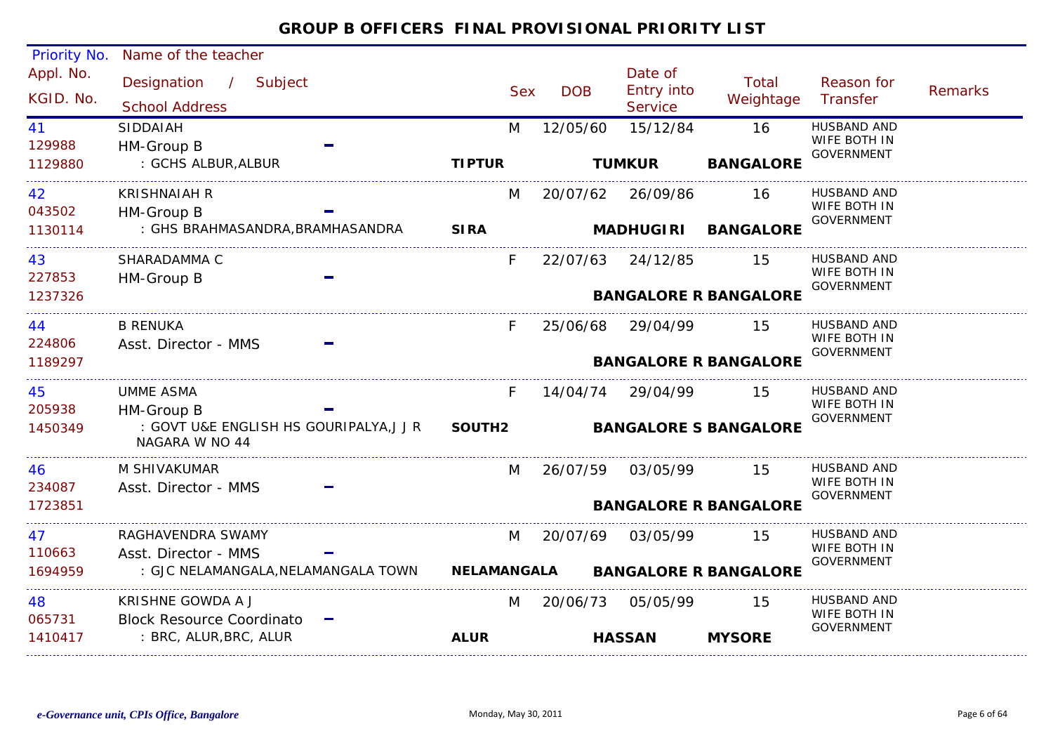| Priority No. | Name of the teacher                                              |                    |            |                       |                              |                                   |         |
|--------------|------------------------------------------------------------------|--------------------|------------|-----------------------|------------------------------|-----------------------------------|---------|
| Appl. No.    | Designation / Subject                                            |                    |            | Date of               | Total                        | Reason for                        |         |
| KGID. No.    | <b>School Address</b>                                            | <b>Sex</b>         | <b>DOB</b> | Entry into<br>Service | Weightage                    | Transfer                          | Remarks |
| 41           | SIDDAIAH                                                         | M                  | 12/05/60   | 15/12/84              | 16                           | <b>HUSBAND AND</b>                |         |
| 129988       | HM-Group B                                                       |                    |            |                       |                              | WIFE BOTH IN<br><b>GOVERNMENT</b> |         |
| 1129880      | : GCHS ALBUR, ALBUR                                              | <b>TIPTUR</b>      |            | <b>TUMKUR</b>         | <b>BANGALORE</b>             |                                   |         |
| 42           | <b>KRISHNAIAH R</b>                                              | M                  |            | 20/07/62 26/09/86     | 16                           | <b>HUSBAND AND</b>                |         |
| 043502       | HM-Group B                                                       |                    |            |                       |                              | WIFE BOTH IN<br>GOVERNMENT        |         |
| 1130114      | : GHS BRAHMASANDRA,BRAMHASANDRA                                  | <b>SIRA</b>        |            | <b>MADHUGIRI</b>      | <b>BANGALORE</b>             |                                   |         |
| 43           | SHARADAMMA C                                                     | F.                 |            | 22/07/63 24/12/85     | 15                           | <b>HUSBAND AND</b>                |         |
| 227853       | HM-Group B                                                       |                    |            |                       |                              | WIFE BOTH IN<br><b>GOVERNMENT</b> |         |
| 1237326      |                                                                  |                    |            |                       | <b>BANGALORE R BANGALORE</b> |                                   |         |
| 44           | <b>B RENUKA</b>                                                  | F.                 | 25/06/68   | 29/04/99              | 15                           | <b>HUSBAND AND</b>                |         |
| 224806       | Asst. Director - MMS                                             |                    |            |                       |                              | WIFE BOTH IN<br>GOVERNMENT        |         |
| 1189297      |                                                                  |                    |            |                       | <b>BANGALORE R BANGALORE</b> |                                   |         |
| 45           | <b>UMME ASMA</b>                                                 | F.                 | 14/04/74   | 29/04/99              | 15                           | <b>HUSBAND AND</b>                |         |
| 205938       | HM-Group B                                                       |                    |            |                       |                              | WIFE BOTH IN<br><b>GOVERNMENT</b> |         |
| 1450349      | : GOVT U&E ENGLISH HS GOURIPALYA, J J R SOUTH2<br>NAGARA W NO 44 |                    |            |                       | <b>BANGALORE S BANGALORE</b> |                                   |         |
| 46           | M SHIVAKUMAR                                                     | M                  | 26/07/59   | 03/05/99              | 15                           | <b>HUSBAND AND</b>                |         |
| 234087       | Asst. Director - MMS                                             |                    |            |                       |                              | WIFE BOTH IN<br><b>GOVERNMENT</b> |         |
| 1723851      |                                                                  |                    |            |                       | <b>BANGALORE R BANGALORE</b> |                                   |         |
| 47           | RAGHAVENDRA SWAMY                                                | M                  | 20/07/69   | 03/05/99              | 15                           | <b>HUSBAND AND</b>                |         |
| 110663       | Asst. Director - MMS                                             |                    |            |                       |                              | WIFE BOTH IN<br><b>GOVERNMENT</b> |         |
| 1694959      | : GJC NELAMANGALA, NELAMANGALA TOWN                              | <b>NELAMANGALA</b> |            |                       | <b>BANGALORE R BANGALORE</b> |                                   |         |
| 48           | KRISHNE GOWDA A J                                                | M                  |            | 20/06/73 05/05/99     | 15                           | HUSBAND AND                       |         |
| 065731       | <b>Block Resource Coordinato</b>                                 |                    |            |                       |                              | WIFE BOTH IN<br><b>GOVERNMENT</b> |         |
| 1410417      | : BRC, ALUR, BRC, ALUR                                           | <b>ALUR</b>        |            | <b>HASSAN</b>         | <b>MYSORE</b>                |                                   |         |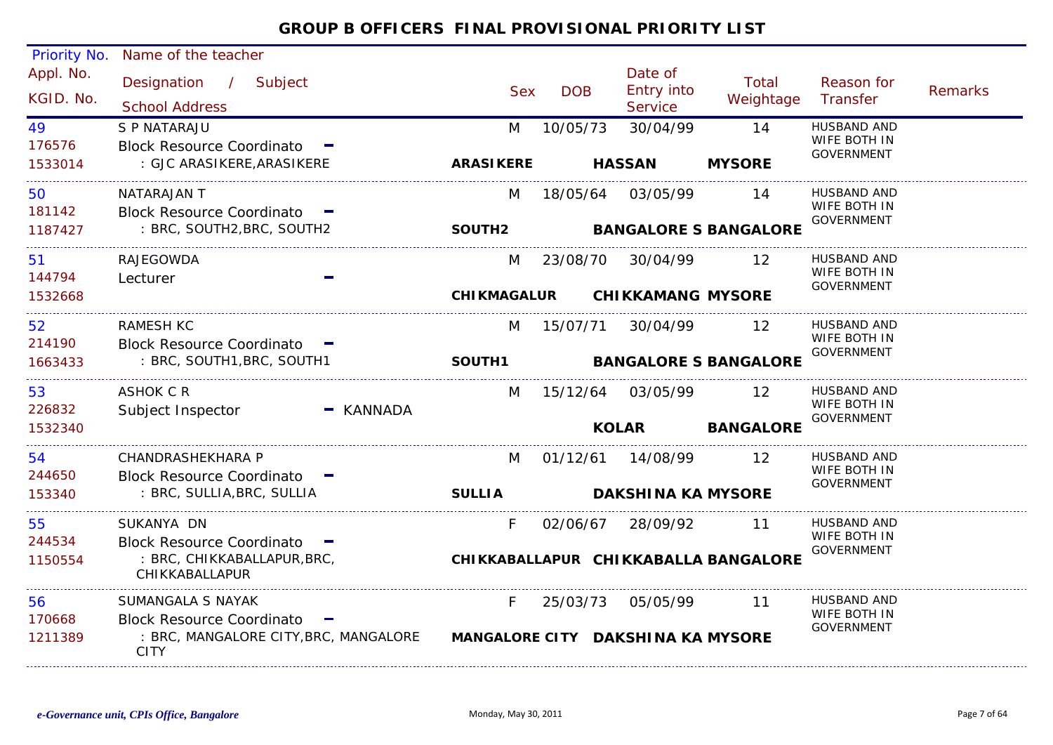| Priority No.           | Name of the teacher                                              |                    |            |              |                                         |                                      |                                   |                |
|------------------------|------------------------------------------------------------------|--------------------|------------|--------------|-----------------------------------------|--------------------------------------|-----------------------------------|----------------|
| Appl. No.<br>KGID. No. | Designation<br>$\frac{1}{2}$<br>Subject<br><b>School Address</b> |                    | <b>Sex</b> | <b>DOB</b>   | Date of<br><b>Entry into</b><br>Service | Total<br>Weightage                   | Reason for<br>Transfer            | <b>Remarks</b> |
| 49                     | S P NATARAJU                                                     |                    | M          | 10/05/73     | 30/04/99                                | 14                                   | HUSBAND AND                       |                |
| 176576                 | <b>Block Resource Coordinato</b>                                 |                    |            |              |                                         |                                      | WIFE BOTH IN<br><b>GOVERNMENT</b> |                |
| 1533014                | : GJC ARASIKERE, ARASIKERE                                       | <b>ARASIKERE</b>   |            |              | <b>HASSAN</b>                           | <b>MYSORE</b>                        |                                   |                |
| 50                     | NATARAJAN T                                                      |                    | M          | 18/05/64     | 03/05/99                                | 14                                   | <b>HUSBAND AND</b>                |                |
| 181142                 | Block Resource Coordinato -                                      |                    |            |              |                                         |                                      | WIFE BOTH IN<br><b>GOVERNMENT</b> |                |
| 1187427                | : BRC, SOUTH2, BRC, SOUTH2                                       | SOUTH2             |            |              |                                         | <b>BANGALORE S BANGALORE</b>         |                                   |                |
| 51                     | RAJEGOWDA                                                        |                    | M          | 23/08/70     | 30/04/99                                | 12                                   | HUSBAND AND                       |                |
| 144794                 | Lecturer                                                         |                    |            |              |                                         |                                      | WIFE BOTH IN<br><b>GOVERNMENT</b> |                |
| 1532668                |                                                                  | <b>CHIKMAGALUR</b> |            |              | <b>CHIKKAMANG MYSORE</b>                |                                      |                                   |                |
| 52                     | <b>RAMESH KC</b>                                                 |                    | M          | 15/07/71     | 30/04/99                                | 12                                   | HUSBAND AND                       |                |
| 214190                 | <b>Block Resource Coordinato</b>                                 |                    |            |              |                                         |                                      | WIFE BOTH IN<br><b>GOVERNMENT</b> |                |
| 1663433                | : BRC, SOUTH1, BRC, SOUTH1                                       | SOUTH1             |            |              |                                         | <b>BANGALORE S BANGALORE</b>         |                                   |                |
| 53                     | ASHOK C R                                                        |                    | M          | 15/12/64     | 03/05/99                                | 12                                   | <b>HUSBAND AND</b>                |                |
| 226832                 | Subject Inspector                                                | $-$ KANNADA        |            |              |                                         |                                      | WIFE BOTH IN<br><b>GOVERNMENT</b> |                |
| 1532340                |                                                                  |                    |            | <b>KOLAR</b> |                                         | <b>BANGALORE</b>                     |                                   |                |
| 54                     | CHANDRASHEKHARA P                                                |                    | M          | 01/12/61     | 14/08/99                                | 12                                   | HUSBAND AND                       |                |
| 244650                 | Block Resource Coordinato -                                      |                    |            |              |                                         |                                      | WIFE BOTH IN<br><b>GOVERNMENT</b> |                |
| 153340                 | : BRC, SULLIA, BRC, SULLIA                                       | <b>SULLIA</b>      |            |              | <b>DAKSHINA KA MYSORE</b>               |                                      |                                   |                |
| 55                     | SUKANYA DN                                                       |                    | F.         | 02/06/67     | 28/09/92                                | 11                                   | HUSBAND AND                       |                |
| 244534                 | <b>Block Resource Coordinato</b>                                 |                    |            |              |                                         |                                      | WIFE BOTH IN<br><b>GOVERNMENT</b> |                |
| 1150554                | : BRC, CHIKKABALLAPUR, BRC,<br>CHIKKABALLAPUR                    |                    |            |              |                                         | CHIKKABALLAPUR CHIKKABALLA BANGALORE |                                   |                |
| 56                     | SUMANGALA S NAYAK                                                |                    | F.         | 25/03/73     | 05/05/99                                | 11                                   | HUSBAND AND                       |                |
| 170668                 | <b>Block Resource Coordinato</b>                                 |                    |            |              |                                         |                                      | WIFE BOTH IN<br><b>GOVERNMENT</b> |                |
| 1211389                | : BRC, MANGALORE CITY, BRC, MANGALORE<br><b>CITY</b>             |                    |            |              | MANGALORE CITY DAKSHINA KA MYSORE       |                                      |                                   |                |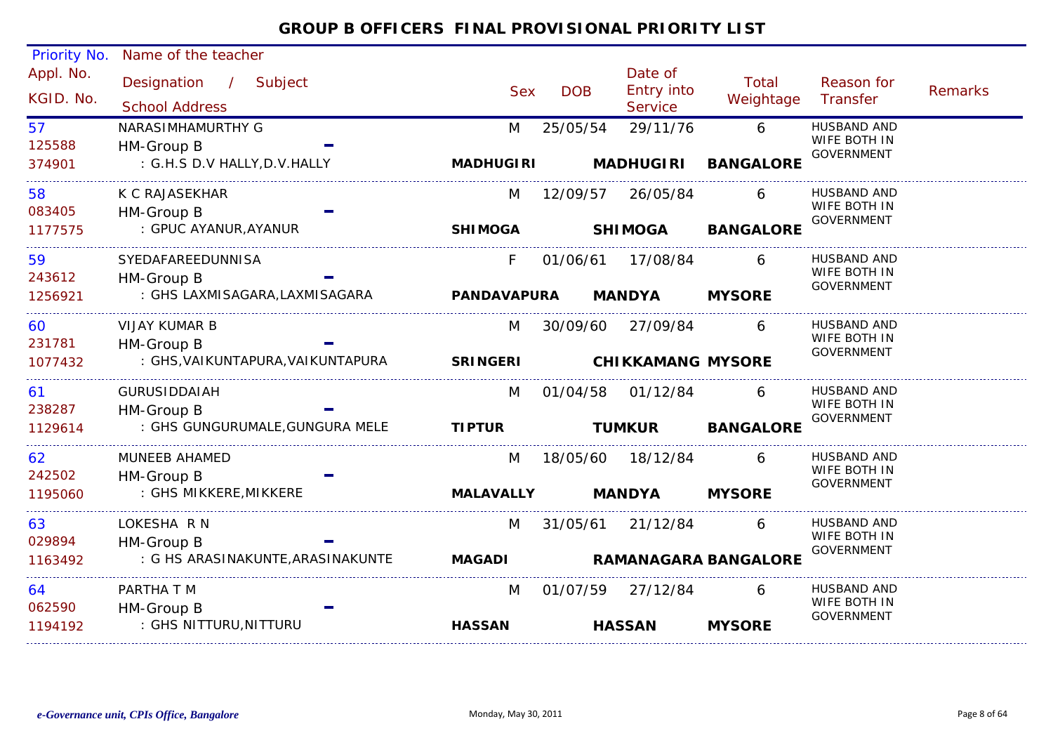#### Appl. No. Priority No. Name of the teacher Designation Subject Sex DOB/ Date of<br>DOB Entry into ServiceReason for Weightage Transfer Remarks Total Sex School Address KGID. No.125588M 25/05/54 29/11/76 6 HUSBAND AND : G.H.S D.V HALLY,D.V.HALLY 57WIFE BOTH IN GOVERNMENT HM-Group B 374901NARASIMHAMURTHY G**MADHUGIRI MADHUGIRI BANGALORE**083405M 12/09/57 26/05/84 6 HUSBAND AND : GPUC AYANUR,AYANUR 58WIFE BOTH IN GOVERNMENT HM-Group B 1177575K C RAJASEKHAR**SHIMOGA SHIMOGA BANGALORE**243612F 01/06/61 17/08/84 : GHS LAXMISAGARA,LAXMISAGARA 599 SYEDAFAREEDUNNISA F 01/06/61 17/08/84 6 HUSBAND AND WIFE BOTH IN GOVERNMENT HM-Group B 1256921**PANDAVAPURA MANDYA MYSORE**231781M 30/09/60 27/09/84 6 HUSBAND AND : GHS,VAIKUNTAPURA,VAIKUNTAPURA 60WIFE BOTH IN GOVERNMENT HM-Group B 1077432VIJAY KUMAR B**SRINGERI CHIKKAMANG MYSORE**238287M 01/04/58 01/12/84 6 HUSBAND AND : GHS GUNGURUMALE,GUNGURA MELE 61WIFE BOTH IN GOVERNMENT HM-Group B 1129614GURUSIDDAIAH**TIPTUR TUMKUR BANGALORE** 242502 M 18/05/60 18/12/84 6 HUSBAND AND : GHS MIKKERE,MIKKERE 62WIFE BOTH IN GOVERNMENT HM-Group B 1195060MUNEEB AHAMED**MALAVALLY MANDYA MYSORE**029894M 31/05/61 21/12/84 6 HUSBAND AND : G HS ARASINAKUNTE,ARASINAKUNTE 63WIFE BOTH IN GOVERNMENT HM-Group B 1163492LOKESHA R N**MAGADI RAMANAGARA BANGALORE**062590M 01/07/59 27/12/84 6 HUSBAND AND : GHS NITTURU,NITTURU 64WIFE BOTH IN GOVERNMENT HM-Group B 1194192PARTHA T M**HASSANHASSAN MYSORE**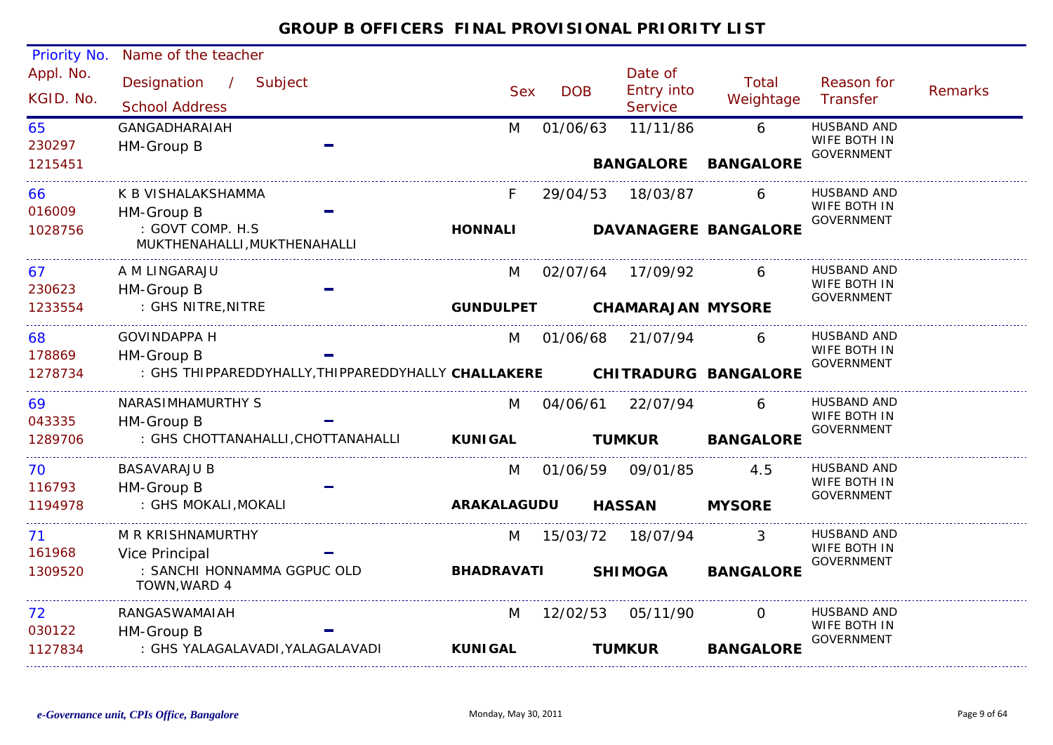| <b>Priority No.</b>    | Name of the teacher                                               |                    |            |                                         |                             |                                                  |                |
|------------------------|-------------------------------------------------------------------|--------------------|------------|-----------------------------------------|-----------------------------|--------------------------------------------------|----------------|
| Appl. No.<br>KGID. No. | Designation<br>$\sqrt{2}$<br>Subject<br><b>School Address</b>     | <b>Sex</b>         | <b>DOB</b> | Date of<br>Entry into<br><b>Service</b> | Total<br>Weightage          | Reason for<br>Transfer                           | <b>Remarks</b> |
| 65<br>230297           | <b>GANGADHARAIAH</b><br>HM-Group B                                | M                  | 01/06/63   | 11/11/86                                | 6                           | HUSBAND AND<br>WIFE BOTH IN<br><b>GOVERNMENT</b> |                |
| 1215451                |                                                                   |                    |            | <b>BANGALORE</b>                        | <b>BANGALORE</b>            |                                                  |                |
| 66<br>016009           | K B VISHALAKSHAMMA                                                |                    | 29/04/53   | 18/03/87                                | 6                           | <b>HUSBAND AND</b><br>WIFE BOTH IN               |                |
| 1028756                | HM-Group B<br>: GOVT COMP. H.S<br>MUKTHENAHALLI, MUKTHENAHALLI    | <b>HONNALI</b>     |            |                                         | <b>DAVANAGERE BANGALORE</b> | <b>GOVERNMENT</b>                                |                |
| 67                     | A M LINGARAJU                                                     | M                  | 02/07/64   | 17/09/92                                | 6                           | <b>HUSBAND AND</b><br>WIFE BOTH IN               |                |
| 230623<br>1233554      | HM-Group B<br>: GHS NITRE, NITRE                                  | <b>GUNDULPET</b>   |            | <b>CHAMARAJAN MYSORE</b>                |                             | <b>GOVERNMENT</b>                                |                |
| 68                     | <b>GOVINDAPPA H</b>                                               | M                  | 01/06/68   | 21/07/94                                | 6                           | <b>HUSBAND AND</b><br>WIFE BOTH IN               |                |
| 178869<br>1278734      | HM-Group B<br>: GHS THIPPAREDDYHALLY, THIPPAREDDYHALLY CHALLAKERE |                    |            |                                         | <b>CHITRADURG BANGALORE</b> | <b>GOVERNMENT</b>                                |                |
| 69                     | NARASIMHAMURTHY S                                                 | M                  | 04/06/61   | 22/07/94                                | 6                           | <b>HUSBAND AND</b><br>WIFE BOTH IN               |                |
| 043335<br>1289706      | HM-Group B<br>: GHS CHOTTANAHALLI, CHOTTANAHALLI                  | <b>KUNIGAL</b>     |            | <b>TUMKUR</b>                           | <b>BANGALORE</b>            | <b>GOVERNMENT</b>                                |                |
| 70<br>116793           | <b>BASAVARAJU B</b><br>HM-Group B                                 | M                  | 01/06/59   | 09/01/85                                | 4.5                         | HUSBAND AND<br>WIFE BOTH IN                      |                |
| 1194978                | : GHS MOKALI, MOKALI                                              | <b>ARAKALAGUDU</b> |            | <b>HASSAN</b>                           | <b>MYSORE</b>               | <b>GOVERNMENT</b>                                |                |
| 71                     | M R KRISHNAMURTHY                                                 | M                  | 15/03/72   | 18/07/94                                |                             | HUSBAND AND<br>WIFE BOTH IN                      |                |
| 161968<br>1309520      | Vice Principal<br>: SANCHI HONNAMMA GGPUC OLD<br>TOWN, WARD 4     | <b>BHADRAVATI</b>  |            | <b>SHIMOGA</b>                          | <b>BANGALORE</b>            | <b>GOVERNMENT</b>                                |                |
| 72                     | RANGASWAMAIAH                                                     | M                  | 12/02/53   | 05/11/90                                | $\Omega$                    | <b>HUSBAND AND</b><br>WIFE BOTH IN               |                |
| 030122<br>1127834      | HM-Group B<br>: GHS YALAGALAVADI, YALAGALAVADI                    | <b>KUNIGAL</b>     |            | <b>TUMKUR</b>                           | <b>BANGALORE</b>            | <b>GOVERNMENT</b>                                |                |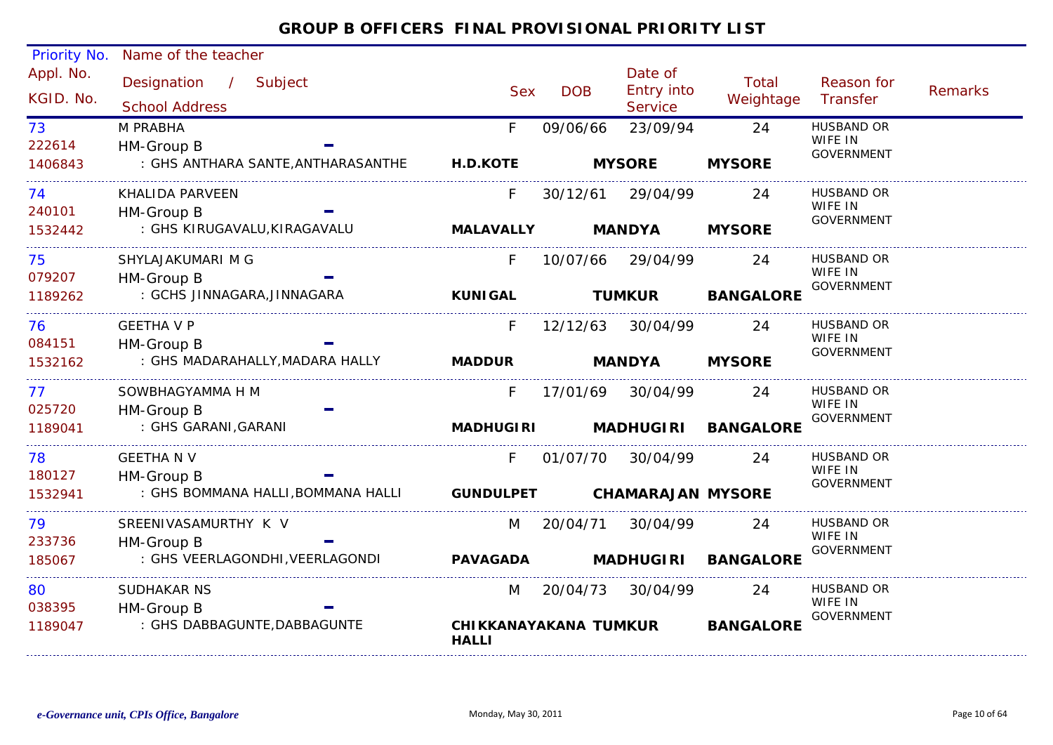#### Appl. No. Priority No. Name of the teacher Designation Subject Sex DOB/ Date of<br>DOB Entry into ServiceReason for Weightage Transfer Remarks Total Sex School Address KGID. No.222614F 09/06/66 23/09/94 24 HUSBAND OR : GHS ANTHARA SANTE,ANTHARASANTHE 73WIFE IN GOVERNMENT HM-Group B 1406843M PRABHA**H.D.KOTE MYSORE MYSORE**240101F 30/12/61 29/04/99 : GHS KIRUGAVALU,KIRAGAVALU 744 KHALIDA PARVEEN F 30/12/61 29/04/99 24 HUSBAND OR WIFE IN GOVERNMENT HM-Group B 1532442**MALAVALLY MANDYA MYSORE**079207F 10/07/66 29/04/99 24 HUSBAND OR : GCHS JINNAGARA,JINNAGARA 75WIFE IN **GOVERNMENT**  HM-Group B 1189262SHYLAJAKUMARI M G**KUNIGAL TUMKUR BANGALORE** 084151F 12/12/63 30/04/99 24 HUSBAND OR : GHS MADARAHALLY,MADARA HALLY 76WIFE IN GOVERNMENT HM-Group B 1532162GEETHA V P**MADDUR MANDYA MYSORE**025720F 17/01/69 30/04/99 : GHS GARANI,GARANI 777 SOWBHAGYAMMA H M F 17/01/69 30/04/99 24 HUSBAND OR WIFE IN GOVERNMENT HM-Group B 1189041**MADHUGIRI MADHUGIRI BANGALORE**180127 F 01/07/70 30/04/99 24 HUSBAND OR : GHS BOMMANA HALLI,BOMMANA HALLI 78WIFE IN GOVERNMENT HM-Group B 1532941GEETHA N V**GUNDULPET CHAMARAJAN MYSORE**233736M 20/04/71 30/04/99 24 HUSBAND OR : GHS VEERLAGONDHI,VEERLAGONDI 79WIFE IN GOVERNMENT HM-Group B 185067SREENIVASAMURTHY K V**PAVAGADA MADHUGIRI BANGALORE**0383950 SUDHAKAR NS M 20/04/73 30/04/99 24 HUSBAND OR 30/04/99 : GHS DABBAGUNTE,DABBAGUNTE 80WIFE IN GOVERNMENT HM-Group B 1189047SUDHAKAR NS**CHIKKANAYAKANATUMKURHALLIBANGALORE**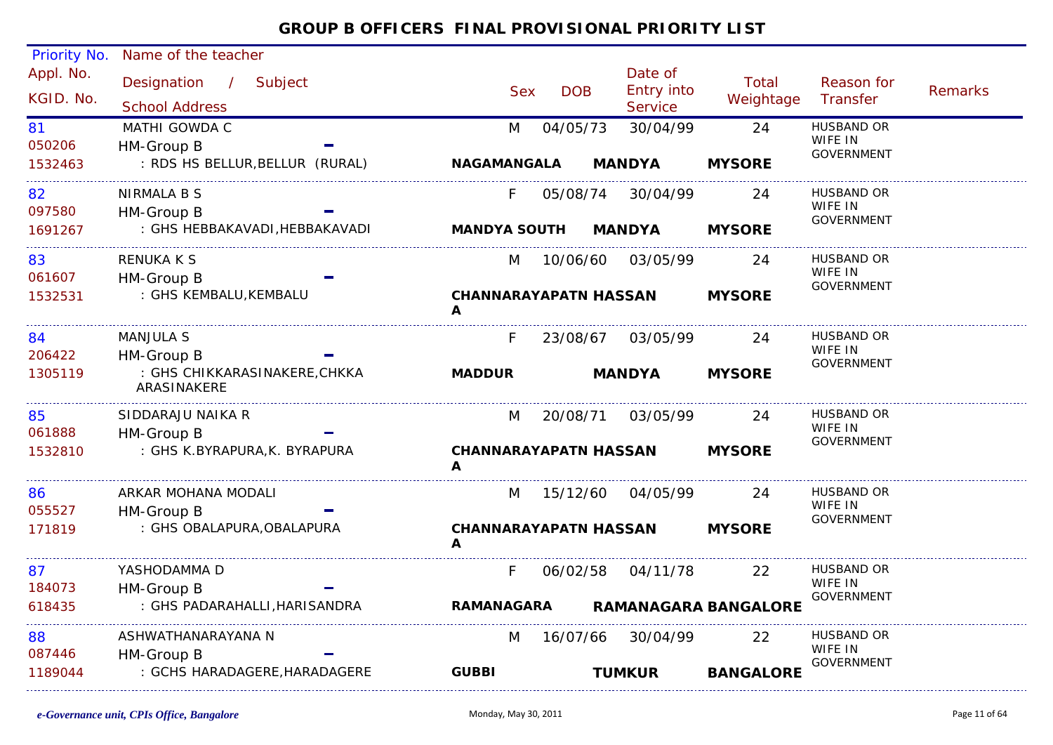| Priority No. | Name of the teacher             |   |                              |            |                              |                  |                              |                |
|--------------|---------------------------------|---|------------------------------|------------|------------------------------|------------------|------------------------------|----------------|
| Appl. No.    | Designation / Subject           |   |                              |            | Date of                      | <b>Total</b>     | Reason for                   |                |
| KGID. No.    |                                 |   | <b>Sex</b>                   | <b>DOB</b> | <b>Entry into</b>            | Weightage        | Transfer                     | <b>Remarks</b> |
|              | <b>School Address</b>           |   |                              |            | Service                      |                  |                              |                |
| 81           | MATHI GOWDA C                   |   | M                            | 04/05/73   | 30/04/99                     | 24               | <b>HUSBAND OR</b><br>WIFE IN |                |
| 050206       | HM-Group B                      |   |                              |            |                              |                  | <b>GOVERNMENT</b>            |                |
| 1532463      | : RDS HS BELLUR, BELLUR (RURAL) |   | <b>NAGAMANGALA</b>           |            | <b>MANDYA</b>                | <b>MYSORE</b>    |                              |                |
| 82           | NIRMALA B S                     |   | F.                           | 05/08/74   | 30/04/99                     | 24               | HUSBAND OR                   |                |
| 097580       | HM-Group B                      |   |                              |            |                              |                  | WIFE IN<br><b>GOVERNMENT</b> |                |
| 1691267      | : GHS HEBBAKAVADI, HEBBAKAVADI  |   | <b>MANDYA SOUTH</b>          |            | <b>MANDYA</b>                | <b>MYSORE</b>    |                              |                |
| 83           | RENUKA K S                      |   | M                            |            | 10/06/60 03/05/99            | 24               | <b>HUSBAND OR</b>            |                |
| 061607       | HM-Group B                      |   |                              |            |                              |                  | WIFE IN                      |                |
| 1532531      | : GHS KEMBALU, KEMBALU          |   |                              |            | <b>CHANNARAYAPATN HASSAN</b> | <b>MYSORE</b>    | GOVERNMENT                   |                |
|              |                                 | A |                              |            |                              |                  |                              |                |
| 84           | <b>MANJULA S</b>                |   | F.                           | 23/08/67   | 03/05/99                     | 24               | HUSBAND OR                   |                |
| 206422       | HM-Group B                      |   |                              |            |                              |                  | WIFE IN<br>GOVERNMENT        |                |
| 1305119      | : GHS CHIKKARASINAKERE,CHKKA    |   | <b>MADDUR</b>                |            | <b>MANDYA</b>                | <b>MYSORE</b>    |                              |                |
|              | ARASINAKERE                     |   |                              |            |                              |                  |                              |                |
| 85           | SIDDARAJU NAIKA R               |   | M                            | 20/08/71   | 03/05/99                     | 24               | HUSBAND OR                   |                |
| 061888       | HM-Group B                      |   |                              |            |                              |                  | WIFE IN<br><b>GOVERNMENT</b> |                |
| 1532810      | : GHS K.BYRAPURA, K. BYRAPURA   |   |                              |            | <b>CHANNARAYAPATN HASSAN</b> | <b>MYSORE</b>    |                              |                |
|              |                                 | A |                              |            |                              |                  |                              |                |
| 86           | ARKAR MOHANA MODALI             |   | M                            | 15/12/60   | 04/05/99                     | 24               | <b>HUSBAND OR</b>            |                |
| 055527       | HM-Group B                      |   |                              |            |                              |                  | WIFE IN<br><b>GOVERNMENT</b> |                |
| 171819       | : GHS OBALAPURA, OBALAPURA      |   | <b>CHANNARAYAPATN HASSAN</b> |            |                              | <b>MYSORE</b>    |                              |                |
|              |                                 | A |                              |            |                              |                  |                              |                |
| 87           | YASHODAMMA D                    |   | F.                           |            | 06/02/58 04/11/78            | 22               | <b>HUSBAND OR</b>            |                |
| 184073       | HM-Group B                      |   |                              |            |                              |                  | WIFE IN<br><b>GOVERNMENT</b> |                |
| 618435       | : GHS PADARAHALLI, HARISANDRA   |   | <b>RAMANAGARA</b>            |            | <b>RAMANAGARA BANGALORE</b>  |                  |                              |                |
| 88           | ASHWATHANARAYANA N              |   | M                            |            | 16/07/66 30/04/99            | 22               | HUSBAND OR                   |                |
| 087446       | HM-Group B                      |   |                              |            |                              |                  | WIFE IN                      |                |
| 1189044      | : GCHS HARADAGERE, HARADAGERE   |   | <b>GUBBI</b>                 |            | <b>TUMKUR</b>                | <b>BANGALORE</b> | GOVERNMENT                   |                |
|              |                                 |   |                              |            |                              |                  |                              |                |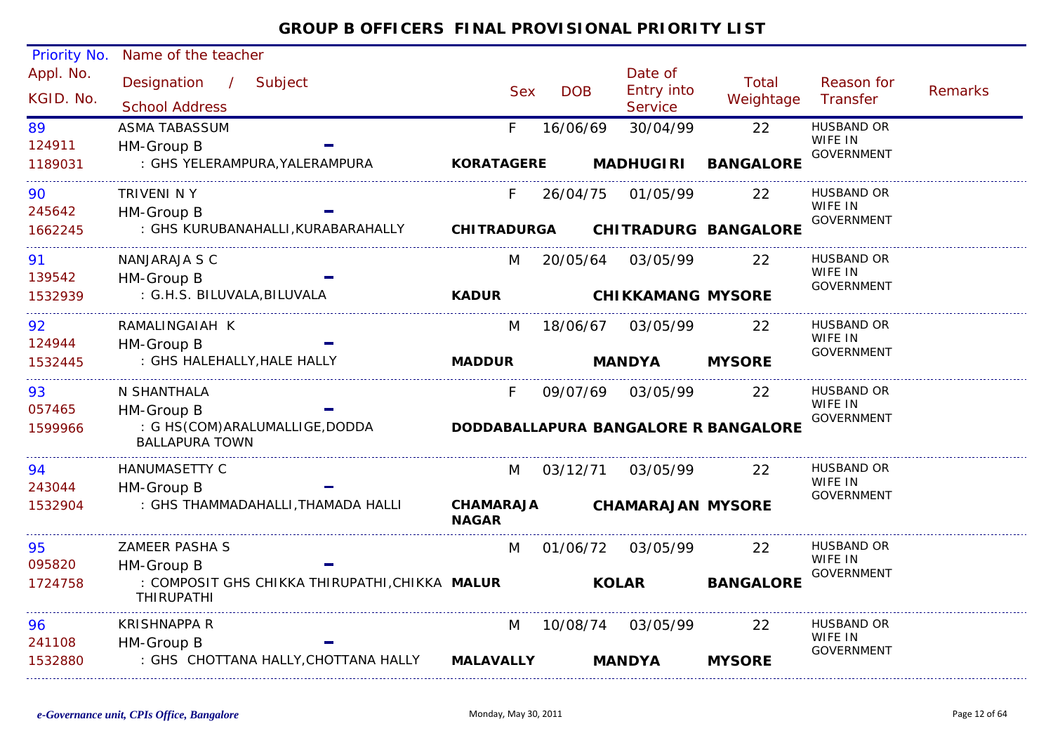| Priority No.           | Name of the teacher                                                 |                   |            |                                         |                    |                              |                |
|------------------------|---------------------------------------------------------------------|-------------------|------------|-----------------------------------------|--------------------|------------------------------|----------------|
| Appl. No.<br>KGID. No. | Designation / Subject<br><b>School Address</b>                      | <b>Sex</b>        | <b>DOB</b> | Date of<br>Entry into<br><b>Service</b> | Total<br>Weightage | Reason for<br>Transfer       | <b>Remarks</b> |
| 89                     | <b>ASMA TABASSUM</b>                                                | F                 | 16/06/69   | 30/04/99                                | 22                 | <b>HUSBAND OR</b>            |                |
| 124911                 | HM-Group B                                                          |                   |            |                                         |                    | WIFE IN<br><b>GOVERNMENT</b> |                |
| 1189031                | : GHS YELERAMPURA, YALERAMPURA                                      | <b>KORATAGERE</b> |            | <b>MADHUGIRI</b>                        | <b>BANGALORE</b>   |                              |                |
| 90                     | TRIVENI N Y                                                         | F.                | 26/04/75   | 01/05/99                                | 22                 | HUSBAND OR<br>WIFE IN        |                |
| 245642                 | HM-Group B                                                          |                   |            |                                         |                    | <b>GOVERNMENT</b>            |                |
| 1662245                | : GHS KURUBANAHALLI, KURABARAHALLY CHITRADURGA CHITRADURG BANGALORE |                   |            |                                         |                    |                              |                |
| 91                     | NANJARAJA S C                                                       | M                 | 20/05/64   | 03/05/99                                | <u>22</u>          | HUSBAND OR<br>WIFE IN        |                |
| 139542                 | HM-Group B                                                          |                   |            |                                         |                    | <b>GOVERNMENT</b>            |                |
| 1532939                | : G.H.S. BILUVALA, BILUVALA                                         | <b>KADUR</b>      |            | <b>CHIKKAMANG MYSORE</b>                |                    |                              |                |
| 92                     | RAMALINGAIAH K                                                      | M                 | 18/06/67   | 03/05/99                                | 22                 | <b>HUSBAND OR</b>            |                |
| 124944                 | HM-Group B                                                          |                   |            |                                         |                    | WIFE IN<br><b>GOVERNMENT</b> |                |
| 1532445                | : GHS HALEHALLY, HALE HALLY                                         | <b>MADDUR</b>     |            | <b>MANDYA</b>                           | <b>MYSORE</b>      |                              |                |
| 93                     | N SHANTHALA                                                         | F.                |            | 09/07/69 03/05/99                       | 22                 | HUSBAND OR                   |                |
| 057465                 | HM-Group B                                                          |                   |            |                                         |                    | WIFE IN<br><b>GOVERNMENT</b> |                |
| 1599966                | : G HS(COM)ARALUMALLIGE, DODDA<br><b>BALLAPURA TOWN</b>             |                   |            | DODDABALLAPURA BANGALORE R BANGALORE    |                    |                              |                |
| 94                     | <b>HANUMASETTY C</b>                                                | M                 | 03/12/71   | 03/05/99                                | 22                 | <b>HUSBAND OR</b>            |                |
| 243044                 | HM-Group B                                                          |                   |            |                                         |                    | WIFE IN<br><b>GOVERNMENT</b> |                |
| 1532904                | : GHS THAMMADAHALLI, THAMADA HALLI CHAMARAJA                        | <b>NAGAR</b>      |            | <b>CHAMARAJAN MYSORE</b>                |                    |                              |                |
| 95                     | <b>ZAMEER PASHA S</b>                                               | M                 |            | 01/06/72 03/05/99                       | 22                 | HUSBAND OR                   |                |
| 095820                 | HM-Group B                                                          |                   |            |                                         |                    | WIFE IN<br><b>GOVERNMENT</b> |                |
| 1724758                | : COMPOSIT GHS CHIKKA THIRUPATHI, CHIKKA MALUR<br><b>THIRUPATHI</b> |                   |            | <b>KOLAR</b>                            | <b>BANGALORE</b>   |                              |                |
| 96                     | KRISHNAPPA R                                                        | M                 | 10/08/74   | 03/05/99                                | 22                 | <b>HUSBAND OR</b>            |                |
| 241108                 | HM-Group B                                                          |                   |            |                                         |                    | WIFE IN<br><b>GOVERNMENT</b> |                |
| 1532880                | : GHS CHOTTANA HALLY, CHOTTANA HALLY                                | <b>MALAVALLY</b>  |            | <b>MANDYA</b>                           | <b>MYSORE</b>      |                              |                |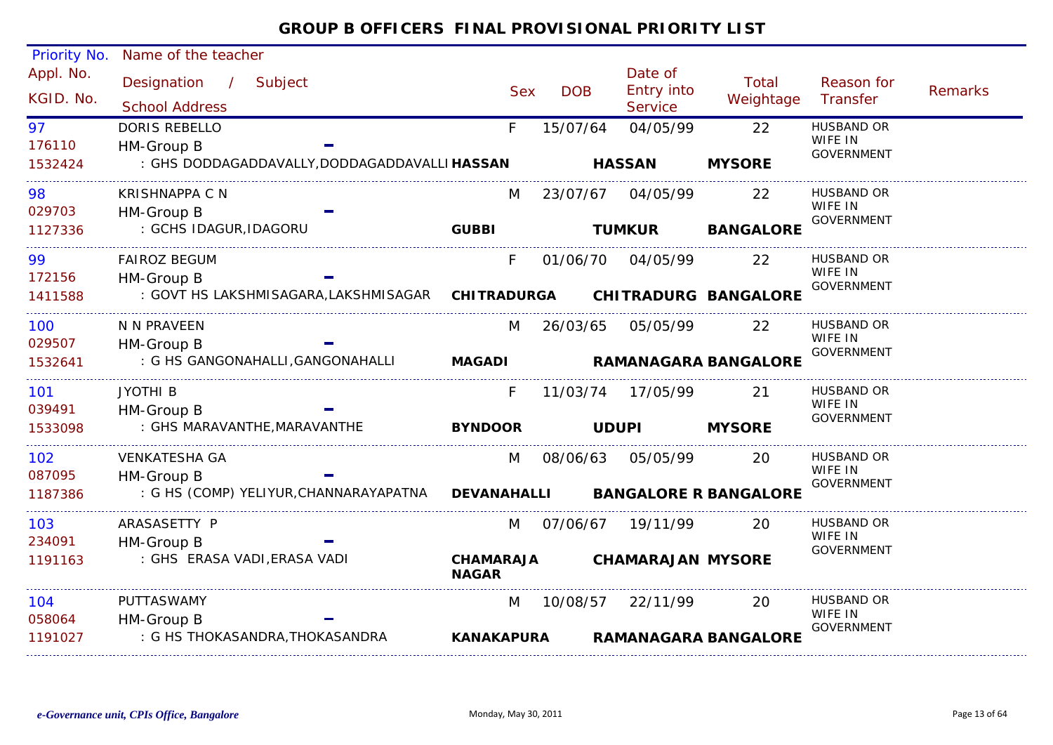#### Appl. No. Priority No. Name of the teacher Designation / Subject Sex DOB Date of<br>Entry into **Service** Reason for **Transfer**  Remarks Total Sex DOB Entry million Weightage<br>School Address Service / KGID. No.176110F 15/07/64 04/05/99 22 HUSBAND OR : GHS DODDAGADDAVALLY,DODDAGADDAVALLI **HASSAN**97WIFE IN GOVERNMENT HM-Group B 1532424DORIS REBELLO **HASSAN MYSORE**029703M 23/07/67 04/05/99 : GCHS IDAGUR,IDAGORU 988 KRISHNAPPA C N M 23/07/67 04/05/99 22 HUSBAND OR WIFE IN GOVERNMENT HM-Group B 1127336KRISHNAPPA C N**GUBBI TUMKUR BANGALORE** 172156F 01/06/70 04/05/99 22 HUSBAND OR : GOVT HS LAKSHMISAGARA,LAKSHMISAGAR **CHITRADURGA**99WIFE IN **GOVERNMENT**  HM-Group B 1411588FAIROZ BEGUM **CHITRADURG BANGALORE**029507M 26/03/65 05/05/99 22 HUSBAND OR : G HS GANGONAHALLI,GANGONAHALLI 100WIFE IN GOVERNMENT HM-Group B 1532641N N PRAVEEN**MAGADI RAMANAGARA BANGALORE**039491F 11/03/74 17/05/99 21 HUSBAND OR : GHS MARAVANTHE,MARAVANTHE 101WIFE IN GOVERNMENT HM-Group B 1533098JYOTHI B**BYNDOOR UDUPI MYSORE**087095 M 08/06/63 05/05/99 20 HUSBAND OR : G HS (COMP) YELIYUR,CHANNARAYAPATNA 102WIFE IN GOVERNMENT HM-Group B 1187386VENKATESHA GA**DEVANAHALLI BANGALORE R BANGALORE** 234091M 07/06/67 19/11/99 20 HUSBAND OR : GHS ERASA VADI,ERASA VADI 103WIFE IN GOVERNMENT HM-Group B 1191163ARASASETTY P**CHAMARAJA NAGARCHAMARAJAN MYSORE**058064M 10/08/57 22/11/99 20 HUSBAND OR : G HS THOKASANDRA,THOKASANDRA  $1<sub>04</sub>$ WIFE IN GOVERNMENT HM-Group B 1191027PUTTASWAMY **KANAKAPURARAMANAGARA BANGALORE**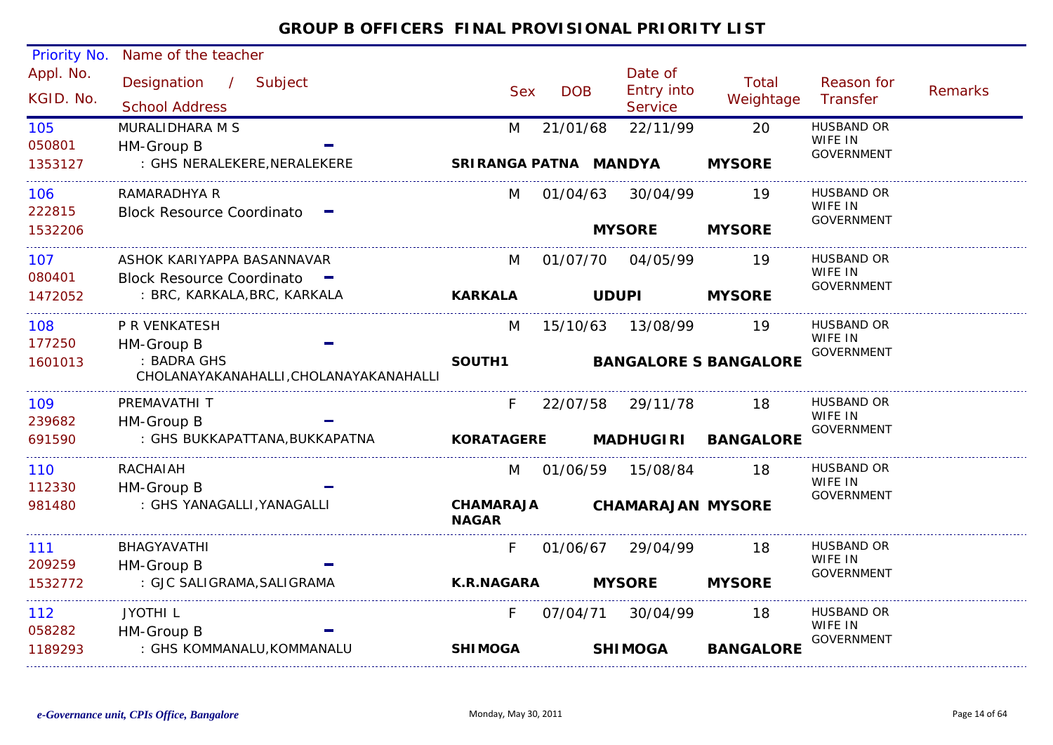| Priority No. | Name of the teacher                                   |                                  |            |                                     |                              |                              |         |
|--------------|-------------------------------------------------------|----------------------------------|------------|-------------------------------------|------------------------------|------------------------------|---------|
| Appl. No.    | Designation / Subject                                 |                                  |            | Date of                             | Total                        | Reason for                   |         |
| KGID. No.    | <b>School Address</b>                                 | <b>Sex</b>                       | <b>DOB</b> | <b>Entry into</b><br><b>Service</b> | Weightage                    | Transfer                     | Remarks |
| 105          | MURALIDHARA M S                                       | M                                | 21/01/68   | 22/11/99                            | 20                           | <b>HUSBAND OR</b>            |         |
| 050801       | HM-Group B                                            |                                  |            |                                     |                              | WIFE IN<br><b>GOVERNMENT</b> |         |
| 1353127      | : GHS NERALEKERE, NERALEKERE                          | SRIRANGA PATNA MANDYA            |            |                                     | <b>MYSORE</b>                |                              |         |
| 106          | RAMARADHYA R                                          | M                                | 01/04/63   | 30/04/99                            | 19                           | <b>HUSBAND OR</b>            |         |
| 222815       | <b>Block Resource Coordinato</b>                      |                                  |            |                                     |                              | WIFE IN<br><b>GOVERNMENT</b> |         |
| 1532206      |                                                       |                                  |            | <b>MYSORE</b>                       | <b>MYSORE</b>                |                              |         |
| 107          | ASHOK KARIYAPPA BASANNAVAR                            | M                                | 01/07/70   | 04/05/99                            | 19                           | <b>HUSBAND OR</b>            |         |
| 080401       | Block Resource Coordinato -                           |                                  |            |                                     |                              | WIFE IN<br><b>GOVERNMENT</b> |         |
| 1472052      | : BRC, KARKALA, BRC, KARKALA                          | <b>KARKALA</b>                   |            | <b>UDUPI</b>                        | <b>MYSORE</b>                |                              |         |
| 108          | P R VENKATESH                                         | M                                | 15/10/63   | 13/08/99                            | 19                           | <b>HUSBAND OR</b>            |         |
| 177250       | HM-Group B                                            |                                  |            |                                     |                              | WIFE IN<br><b>GOVERNMENT</b> |         |
| 1601013      | : BADRA GHS<br>CHOLANAYAKANAHALLI, CHOLANAYAKANAHALLI | SOUTH1                           |            |                                     | <b>BANGALORE S BANGALORE</b> |                              |         |
| 109          | PREMAVATHI T                                          | F.                               |            | 22/07/58 29/11/78                   | 18                           | <b>HUSBAND OR</b>            |         |
| 239682       | HM-Group B                                            |                                  |            |                                     |                              | WIFE IN<br><b>GOVERNMENT</b> |         |
| 691590       | : GHS BUKKAPATTANA, BUKKAPATNA                        | <b>KORATAGERE</b>                |            | <b>MADHUGIRI</b>                    | <b>BANGALORE</b>             |                              |         |
| 110          | RACHAIAH                                              | M                                | 01/06/59   | 15/08/84                            | 18                           | <b>HUSBAND OR</b>            |         |
| 112330       | HM-Group B                                            |                                  |            |                                     |                              | WIFE IN<br><b>GOVERNMENT</b> |         |
| 981480       | : GHS YANAGALLI, YANAGALLI                            | <b>CHAMARAJA</b><br><b>NAGAR</b> |            | <b>CHAMARAJAN MYSORE</b>            |                              |                              |         |
| 111          | BHAGYAVATHI                                           | F.                               | 01/06/67   | 29/04/99                            | 18                           | HUSBAND OR                   |         |
| 209259       | HM-Group B                                            |                                  |            |                                     |                              | WIFE IN<br><b>GOVERNMENT</b> |         |
| 1532772      | : GJC SALIGRAMA, SALIGRAMA                            | <b>K.R.NAGARA</b>                |            | <b>MYSORE</b>                       | <b>MYSORE</b>                |                              |         |
| 112          | <b>JYOTHIL</b>                                        | F.                               | 07/04/71   | 30/04/99                            | 18                           | <b>HUSBAND OR</b>            |         |
| 058282       | HM-Group B                                            |                                  |            |                                     |                              | WIFE IN<br><b>GOVERNMENT</b> |         |
| 1189293      | : GHS KOMMANALU, KOMMANALU                            | <b>SHIMOGA</b>                   |            | <b>SHIMOGA</b>                      | <b>BANGALORE</b>             |                              |         |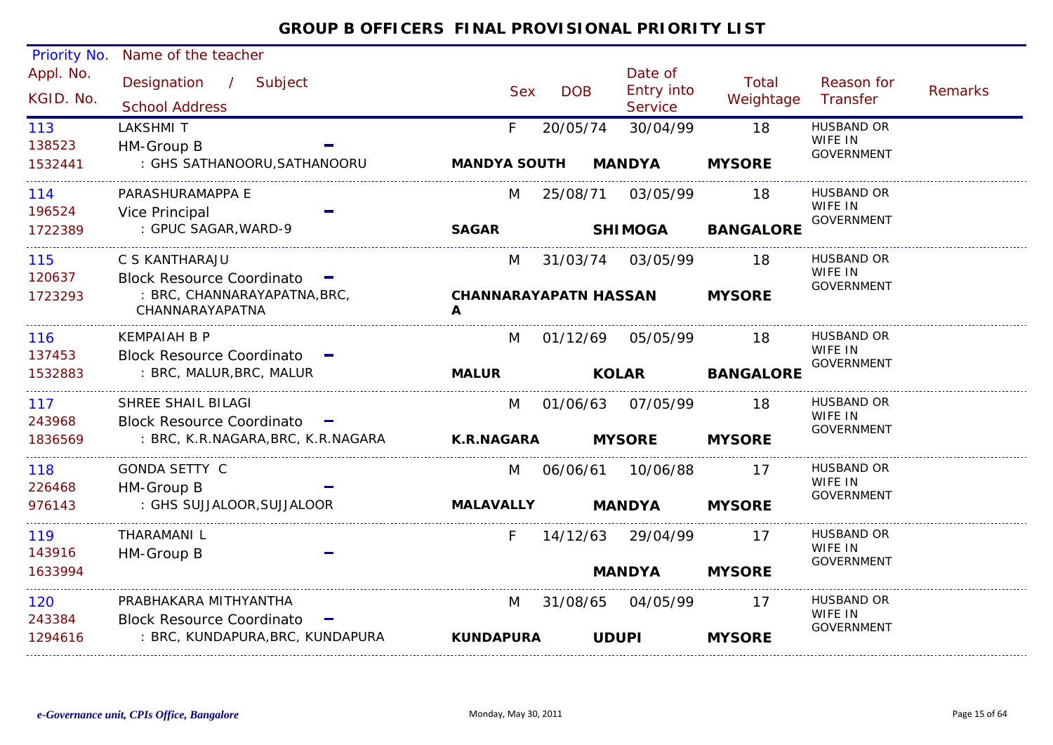| Priority No. | Name of the teacher                           |                              |            |                   |                  |                              |         |
|--------------|-----------------------------------------------|------------------------------|------------|-------------------|------------------|------------------------------|---------|
| Appl. No.    | Designation / Subject                         |                              |            | Date of           | Total            | Reason for                   |         |
| KGID. No.    |                                               | <b>Sex</b>                   | <b>DOB</b> | <b>Entry into</b> | Weightage        | Transfer                     | Remarks |
|              | <b>School Address</b>                         |                              |            | <b>Service</b>    |                  |                              |         |
| 113          | <b>LAKSHMIT</b>                               | F.                           | 20/05/74   | 30/04/99          | 18               | <b>HUSBAND OR</b><br>WIFE IN |         |
| 138523       | HM-Group B                                    |                              |            |                   |                  | <b>GOVERNMENT</b>            |         |
| 1532441      | : GHS SATHANOORU, SATHANOORU                  | <b>MANDYA SOUTH</b>          |            | <b>MANDYA</b>     | <b>MYSORE</b>    |                              |         |
| 114          | PARASHURAMAPPA E                              | M                            |            | 25/08/71 03/05/99 | 18               | <b>HUSBAND OR</b>            |         |
| 196524       | Vice Principal                                |                              |            |                   |                  | WIFE IN<br><b>GOVERNMENT</b> |         |
| 1722389      | : GPUC SAGAR, WARD-9                          | <b>SAGAR</b>                 |            | <b>SHIMOGA</b>    | <b>BANGALORE</b> |                              |         |
| 115          | C S KANTHARAJU                                | M                            |            | 31/03/74 03/05/99 | 18               | <b>HUSBAND OR</b>            |         |
| 120637       | Block Resource Coordinato -                   |                              |            |                   |                  | WIFE IN<br><b>GOVERNMENT</b> |         |
| 1723293      | : BRC, CHANNARAYAPATNA, BRC,                  | <b>CHANNARAYAPATN HASSAN</b> |            |                   | <b>MYSORE</b>    |                              |         |
|              | CHANNARAYAPATNA                               | A                            |            |                   |                  |                              |         |
| 116          | <b>KEMPAIAH B P</b>                           | M                            |            |                   | 18               | <b>HUSBAND OR</b>            |         |
| 137453       | Block Resource Coordinato -                   |                              |            |                   |                  | WIFE IN<br><b>GOVERNMENT</b> |         |
| 1532883      | : BRC, MALUR, BRC, MALUR                      | <b>MALUR</b>                 |            | <b>KOLAR</b>      | <b>BANGALORE</b> |                              |         |
| 117          | SHREE SHAIL BILAGI                            | M                            | 01/06/63   | 07/05/99          | 18               | <b>HUSBAND OR</b>            |         |
| 243968       | Block Resource Coordinato -                   |                              |            |                   |                  | WIFE IN<br>GOVERNMENT        |         |
| 1836569      | : BRC, K.R.NAGARA, BRC, K.R.NAGARA K.R.NAGARA |                              |            | <b>MYSORE</b>     | <b>MYSORE</b>    |                              |         |
| 118          | <b>GONDA SETTY C</b>                          | M                            |            | 06/06/61 10/06/88 | 17               | HUSBAND OR                   |         |
| 226468       | HM-Group B                                    |                              |            |                   |                  | WIFE IN<br>GOVERNMENT        |         |
| 976143       | : GHS SUJJALOOR, SUJJALOOR                    | MALAVALLY MANDYA             |            |                   | <b>MYSORE</b>    |                              |         |
| 119          | THARAMANI L                                   | F.                           |            | 14/12/63 29/04/99 | -17              | HUSBAND OR                   |         |
| 143916       | HM-Group B                                    |                              |            |                   |                  | WIFE IN<br>GOVERNMENT        |         |
| 1633994      |                                               |                              |            | <b>MANDYA</b>     | <b>MYSORE</b>    |                              |         |
| 120          | PRABHAKARA MITHYANTHA                         | M                            |            | 31/08/65 04/05/99 | -17              | HUSBAND OR                   |         |
| 243384       | Block Resource Coordinato -                   |                              |            |                   |                  | WIFE IN<br>GOVERNMENT        |         |
| 1294616      | : BRC, KUNDAPURA, BRC, KUNDAPURA              | <b>KUNDAPURA</b>             |            | <b>UDUPI</b>      | <b>MYSORE</b>    |                              |         |
|              |                                               |                              |            |                   |                  |                              |         |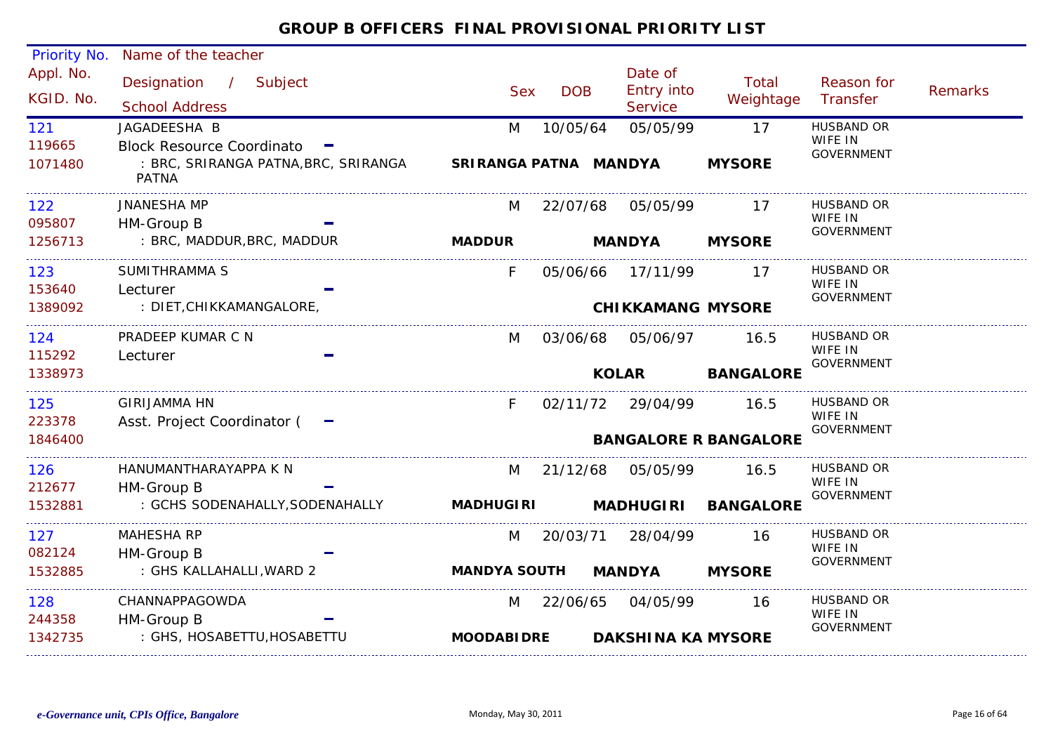| Priority No.           | Name of the teacher                                 |                       |            |                                                |                              |                              |         |
|------------------------|-----------------------------------------------------|-----------------------|------------|------------------------------------------------|------------------------------|------------------------------|---------|
| Appl. No.<br>KGID. No. | Designation / Subject<br><b>School Address</b>      | <b>Sex</b>            | <b>DOB</b> | Date of<br><b>Entry into</b><br><b>Service</b> | Total<br>Weightage           | Reason for<br>Transfer       | Remarks |
| 121                    | JAGADEESHA B                                        | M                     | 10/05/64   | 05/05/99                                       | 17                           | <b>HUSBAND OR</b>            |         |
| 119665                 | Block Resource Coordinato -                         |                       |            |                                                |                              | WIFE IN<br><b>GOVERNMENT</b> |         |
| 1071480                | : BRC, SRIRANGA PATNA,BRC, SRIRANGA<br><b>PATNA</b> | SRIRANGA PATNA MANDYA |            |                                                | <b>MYSORE</b>                |                              |         |
| 122                    | <b>JNANESHA MP</b>                                  | M                     |            | 22/07/68 05/05/99                              | 17                           | HUSBAND OR                   |         |
| 095807                 | HM-Group B                                          |                       |            |                                                |                              | WIFE IN<br><b>GOVERNMENT</b> |         |
| 1256713                | : BRC, MADDUR, BRC, MADDUR                          | <b>MADDUR</b>         |            | <b>MANDYA</b>                                  | <b>MYSORE</b>                |                              |         |
| 123                    | SUMITHRAMMA S                                       | F.                    |            | 05/06/66 17/11/99                              | $\overline{17}$              | <b>HUSBAND OR</b>            |         |
| 153640                 | Lecturer                                            |                       |            |                                                |                              | WIFE IN<br><b>GOVERNMENT</b> |         |
| 1389092                | : DIET, CHIKKAMANGALORE,                            |                       |            | <b>CHIKKAMANG MYSORE</b>                       |                              |                              |         |
| 124                    | PRADEEP KUMAR C N                                   | M                     |            | 03/06/68 05/06/97                              | 16.5                         | HUSBAND OR                   |         |
| 115292                 | Lecturer                                            |                       |            |                                                |                              | WIFE IN<br>GOVERNMENT        |         |
| 1338973                |                                                     |                       |            | <b>KOLAR</b>                                   | <b>BANGALORE</b>             |                              |         |
| 125                    | <b>GIRIJAMMA HN</b>                                 | F                     |            | 02/11/72 29/04/99                              | 16.5                         | HUSBAND OR                   |         |
| 223378                 | Asst. Project Coordinator ( -                       |                       |            |                                                |                              | WIFE IN<br>GOVERNMENT        |         |
| 1846400                |                                                     |                       |            |                                                | <b>BANGALORE R BANGALORE</b> |                              |         |
| 126                    | HANUMANTHARAYAPPA K N                               |                       |            | M 21/12/68 05/05/99 16.5                       |                              | <b>HUSBAND OR</b>            |         |
| 212677                 | HM-Group B                                          |                       |            |                                                |                              | WIFE IN<br>GOVERNMENT        |         |
| 1532881                | : GCHS SODENAHALLY,SODENAHALLY                      | <b>MADHUGIRI</b>      |            |                                                | MADHUGIRI BANGALORE          |                              |         |
| 127                    | <b>MAHESHA RP</b>                                   | M                     |            | 20/03/71 28/04/99                              | -16                          | <b>HUSBAND OR</b>            |         |
| 082124                 | HM-Group B                                          |                       |            |                                                |                              | WIFE IN<br>GOVERNMENT        |         |
| 1532885                | : GHS KALLAHALLI, WARD 2                            | <b>MANDYA SOUTH</b>   |            | <b>MANDYA</b>                                  | <b>MYSORE</b>                |                              |         |
| 128                    | CHANNAPPAGOWDA                                      | M                     |            | 22/06/65 04/05/99                              | 16                           | <b>HUSBAND OR</b>            |         |
| 244358                 | HM-Group B                                          |                       |            |                                                |                              | WIFE IN<br><b>GOVERNMENT</b> |         |
| 1342735                | : GHS, HOSABETTU, HOSABETTU                         | <b>MOODABIDRE</b>     |            | <b>DAKSHINA KA MYSORE</b>                      |                              |                              |         |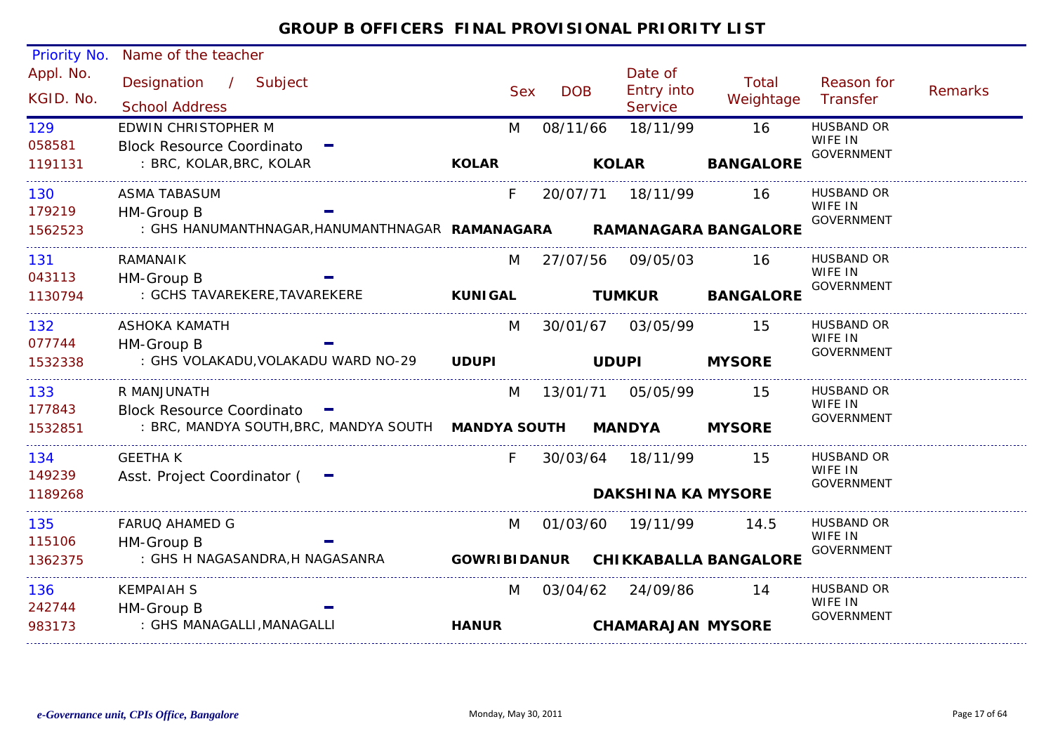| Priority No. | Name of the teacher                                                  |                     |            |            |              |                              |                              |                              |                |
|--------------|----------------------------------------------------------------------|---------------------|------------|------------|--------------|------------------------------|------------------------------|------------------------------|----------------|
| Appl. No.    | Designation / Subject                                                |                     |            |            |              | Date of                      | Total                        | Reason for                   |                |
| KGID. No.    | <b>School Address</b>                                                |                     | <b>Sex</b> | <b>DOB</b> |              | Entry into<br><b>Service</b> | Weightage                    | Transfer                     | <b>Remarks</b> |
| 129          | <b>EDWIN CHRISTOPHER M</b>                                           |                     | M          | 08/11/66   |              | 18/11/99                     | 16                           | <b>HUSBAND OR</b>            |                |
| 058581       | <b>Block Resource Coordinato</b>                                     |                     |            |            |              |                              |                              | WIFE IN<br><b>GOVERNMENT</b> |                |
| 1191131      | : BRC, KOLAR, BRC, KOLAR                                             | <b>KOLAR</b>        |            |            | <b>KOLAR</b> |                              | <b>BANGALORE</b>             |                              |                |
| 130          | <b>ASMA TABASUM</b>                                                  |                     | F.         | 20/07/71   |              | 18/11/99                     | 16                           | <b>HUSBAND OR</b>            |                |
| 179219       | HM-Group B                                                           |                     |            |            |              |                              |                              | WIFE IN<br><b>GOVERNMENT</b> |                |
| 1562523      | : GHS HANUMANTHNAGAR, HANUMANTHNAGAR RAMANAGARA RAMANAGARA BANGALORE |                     |            |            |              |                              |                              |                              |                |
| 131          | RAMANAIK                                                             |                     | M          | 27/07/56   |              | 09/05/03                     | 16                           | <b>HUSBAND OR</b><br>WIFE IN |                |
| 043113       | HM-Group B                                                           |                     |            |            |              |                              |                              | <b>GOVERNMENT</b>            |                |
| 1130794      | : GCHS TAVAREKERE, TAVAREKERE                                        | <b>KUNIGAL</b>      |            |            |              | <b>TUMKUR</b>                | <b>BANGALORE</b>             |                              |                |
| 132          | <b>ASHOKA KAMATH</b>                                                 |                     | M          | 30/01/67   |              | 03/05/99                     | -15                          | <b>HUSBAND OR</b><br>WIFE IN |                |
| 077744       | HM-Group B                                                           |                     |            |            |              |                              |                              | <b>GOVERNMENT</b>            |                |
| 1532338      | : GHS VOLAKADU, VOLAKADU WARD NO-29                                  | <b>UDUPI</b>        |            |            | <b>UDUPI</b> |                              | <b>MYSORE</b>                |                              |                |
| 133          | R MANJUNATH                                                          |                     | M          | 13/01/71   |              | 05/05/99                     | 15                           | HUSBAND OR                   |                |
| 177843       | Block Resource Coordinato -                                          |                     |            |            |              |                              |                              | WIFE IN<br><b>GOVERNMENT</b> |                |
| 1532851      | : BRC, MANDYA SOUTH, BRC, MANDYA SOUTH MANDYA SOUTH                  |                     |            |            |              | <b>MANDYA</b>                | <b>MYSORE</b>                |                              |                |
| 134          | <b>GEETHAK</b>                                                       |                     | F.         |            |              | 30/03/64 18/11/99            | -15                          | HUSBAND OR<br>WIFE IN        |                |
| 149239       | Asst. Project Coordinator (                                          |                     |            |            |              |                              |                              | <b>GOVERNMENT</b>            |                |
| 1189268      |                                                                      |                     |            |            |              | <b>DAKSHINA KA MYSORE</b>    |                              |                              |                |
| 135          | <b>FARUQ AHAMED G</b>                                                |                     | M          | 01/03/60   |              | 19/11/99                     | 14.5                         | <b>HUSBAND OR</b><br>WIFE IN |                |
| 115106       | HM-Group B                                                           |                     |            |            |              |                              |                              | <b>GOVERNMENT</b>            |                |
| 1362375      | : GHS H NAGASANDRA, H NAGASANRA                                      | <b>GOWRIBIDANUR</b> |            |            |              |                              | <b>CHIKKABALLA BANGALORE</b> |                              |                |
| 136          | <b>KEMPAIAH S</b>                                                    |                     | M          | 03/04/62   |              | 24/09/86                     | 14                           | HUSBAND OR<br>WIFE IN        |                |
| 242744       | HM-Group B                                                           |                     |            |            |              |                              |                              | <b>GOVERNMENT</b>            |                |
| 983173       | : GHS MANAGALLI, MANAGALLI                                           | <b>HANUR</b>        |            |            |              | <b>CHAMARAJAN MYSORE</b>     |                              |                              |                |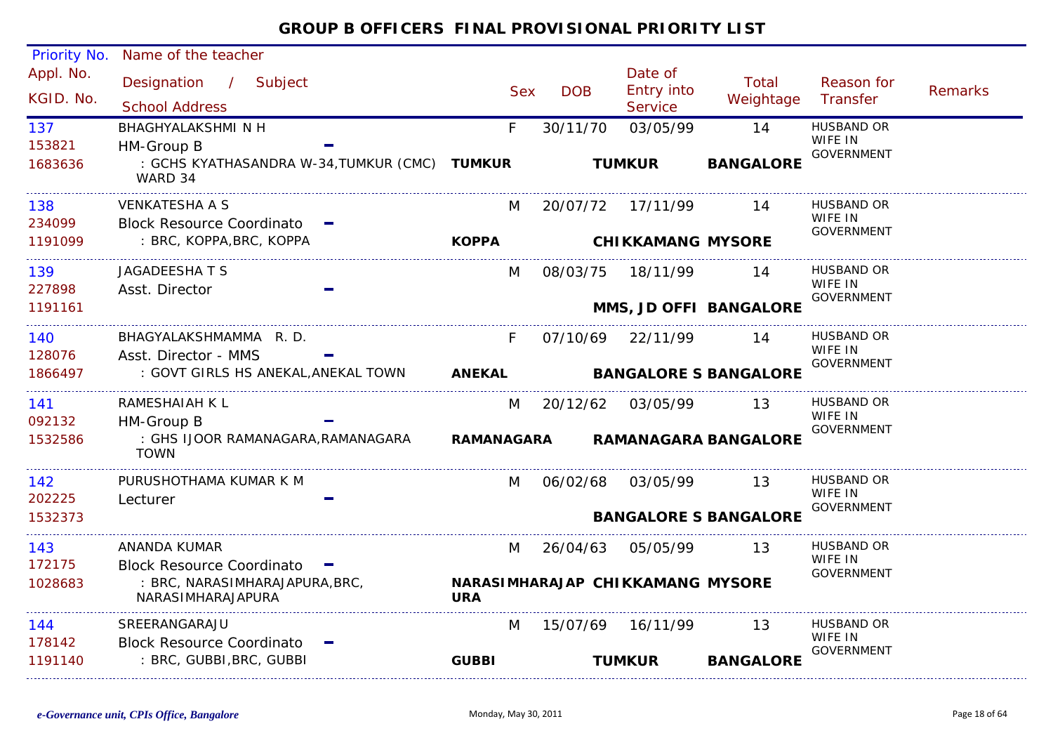#### Appl. No. Priority No. Name of the teacher Designation / Subject Sex DOB Date of<br>Entry into **Service** Reason for **Transfer**  Remarks Total School Address School Address School Address Sex Service Weightage / KGID. No.153821F 30/11/70 03/05/99 14 HUSBAND OR : GCHS KYATHASANDRA W-34,TUMKUR (CMC) **TUMKUR**WARD 34137WIFE IN GOVERNMENT HM-Group B 1683636BHAGHYALAKSHMI N H **TUMKUR BANGALORE** 234099M 20/07/72 17/11/99 14 HUSBAND OR : BRC, KOPPA,BRC, KOPPA 138WIFE IN GOVERNMENT Block Resource Coordinato 1191099VENKATESHA A S**KOPPA CHIKKAMANG MYSORE**227898139 M 08/03/75 18/11/99 14 HUSBAND OR JAGADEESHA T SWIFF IN GOVERNMENT Asst. Director 1191161**MMS, JD OFFI BANGALORE** 128076F 07/10/69 22/11/99 : GOVT GIRLS HS ANEKAL,ANEKAL TOWN 140 14 HUSBAND OR BHAGYALAKSHMAMMA R. D.WIFE IN GOVERNMENT Asst. Director - MMS 1866497**ANEKAL BANGALORE S BANGALORE**092132M 20/12/62 03/05/99 13 HUSBAND OR : GHS IJOOR RAMANAGARA,RAMANAGARA TOWN141WIFE IN GOVERNMENT HM-Group B 1532586RAMESHAIAH K L**RAMANAGARA RAMANAGARA BANGALORE**202225142 M 06/02/68 03/05/99 13 HUSBAND OR PURUSHOTHAMA KUMAR K MWIFE IN GOVERNMENT Lecturer 1532373**BANGALORE S BANGALORE**172175M 26/04/63 05/05/99 13 HUSBAND OR : BRC, NARASIMHARAJAPURA,BRC, NARASIMHARAJAPURA143WIFE IN GOVERNMENT Block Resource Coordinato 1028683ANANDA KUMAR**NARASIMHARAJAPCHIKKAMANG MYSOREURA**178142 M 15/07/69 16/11/99 : BRC, GUBBI,BRC, GUBBI 1444 SREERANGARAJU M 15/07/69 16/11/99 13 HUSBAND OR WIFE IN GOVERNMENT Block Resource Coordinato 1191140**GUBBI TUMKURBANGALORE**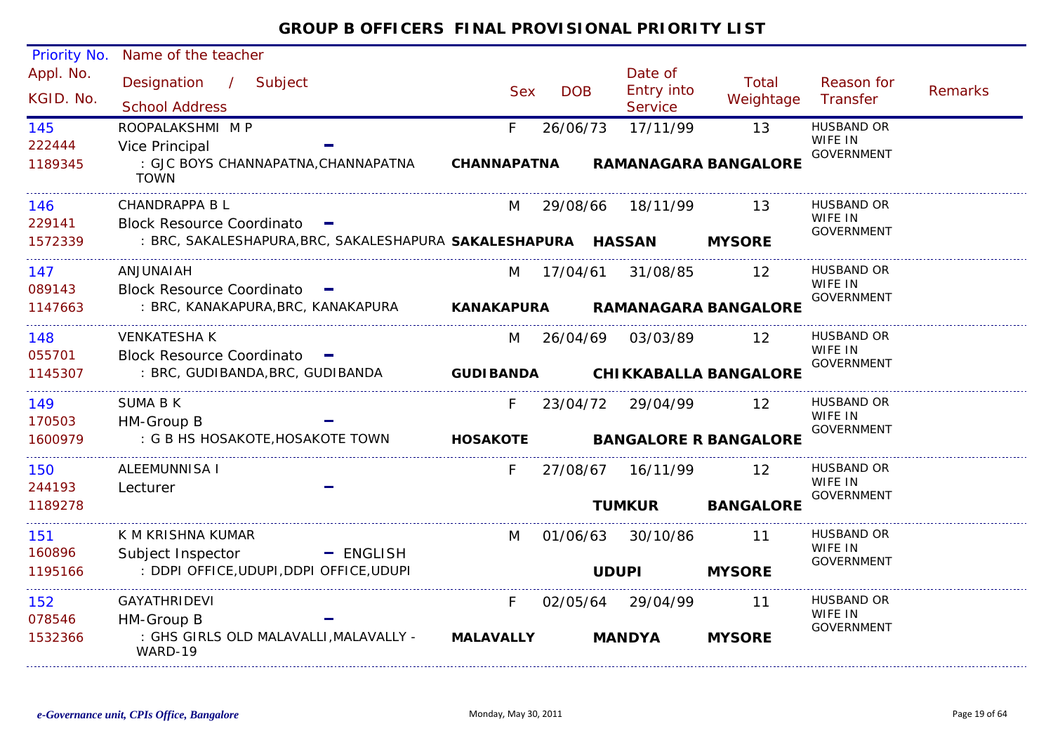#### Priority No. Name of the teacher Appl. No. Date of<br>DOB Entry into Reason for Designation Subject Sex DOB/ Total Remarks Examples of the Sex DOB Entry into the veightage<br>School Address School Address Sex Service KGID. No.Transfer**Service** 145ROOPALAKSHMI M PF 26/06/73 17/11/99 13 HUSBAND OR WIFE IN 222444Vice Principal **Districts and the Contract of Contract Contract of Contract Contract Contract On the Contract O<br>The Contract Contract Contract Contract Contract Contract Contract Contract Contract Contract Contract Contrac** GOVERNMENT : GJC BOYS CHANNAPATNA,CHANNAPATNA **CHANNAPATNA RAMANAGARA BANGALORE**1189345TOWNCHANDRAPPA B L M 29/08/66 18/11/99 13 HUSBAND OR 146WIFE IN 229141Block Resource Coordinato =<br>BRC, SAKALESHAPURA, BRC, SAKALESHAPURA SAKALESHAPURA HASSAN MYSORE GOVERNMENT1572339 : BRC, SAKALESHAPURA,BRC, SAKALESHAPURA **SAKALESHAPURA HASSAN MYSORE**ANJUNAIAH147M 17/04/61 31/08/85 12 HUSBAND OR WIFF IN 089143 Block Resource Coordinato GOVERNMENT : BRC, KANAKAPURA,BRC, KANAKAPURA **RAMANAGARA BANGALORE**1147663**KANAKAPURA**VENKATESHA K148M 26/04/69 03/03/89 12 HUSBAND OR WIFE IN 055701 Block Resource Coordinato GOVERNMENT : BRC, GUDIBANDA,BRC, GUDIBANDA 1145307**GUDIBANDA CHIKKABALLA BANGALORE**SUMA B K149F 23/04/72 29/04/99 12 HUSBAND OR WIFE IN 170503 HM-Group B GOVERNMENT1600979 : G B HS HOSAKOTE,HOSAKOTE TOWN **HOSAKOTE BANGALORE R BANGALORE** ALEEMUNNISA IF 27/08/67 16/11/99 12 HUSBAND OR 150WIFF IN 244193 Lecturer GOVERNMENT1189278**TUMKUR BANGALORE** 151 11 K M KRISHNA KUMARM 01/06/63 30/10/86HUSBAND OR WIFE IN 160896 Subject Inspector  $=$  ENGLISH GOVERNMENT : DDPI OFFICE,UDUPI,DDPI OFFICE,UDUPI 1195166**MYSORE** 152F 02/05/64 29/04/99 11 HUSBAND OR GAYATHRIDEVI WIFE IN 078546 HM-Group B GOVERNMENT : GHS GIRLS OLD MALAVALLI,MALAVALLY - 1532366**MALAVALLY MANDYA MYSORE**WARD-19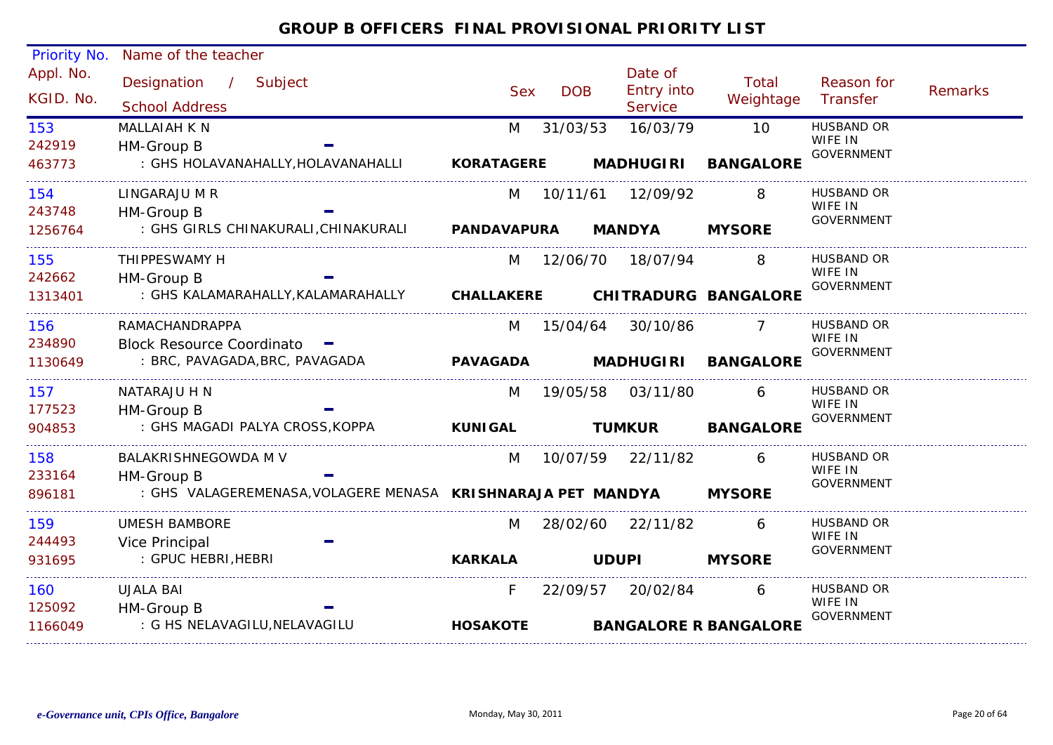| Priority No.  | Name of the teacher                                          |                    |            |                    |                              |                              |                |
|---------------|--------------------------------------------------------------|--------------------|------------|--------------------|------------------------------|------------------------------|----------------|
| Appl. No.     | Designation / Subject                                        |                    |            | Date of            | <b>Total</b>                 | Reason for                   |                |
| KGID. No.     | <b>School Address</b>                                        | <b>Sex</b>         | <b>DOB</b> | Entry into         | Weightage                    | Transfer                     | <b>Remarks</b> |
|               |                                                              |                    |            | Service            |                              |                              |                |
| 153<br>242919 | <b>MALLAIAH K N</b>                                          | M                  | 31/03/53   | 16/03/79           | 10                           | <b>HUSBAND OR</b><br>WIFE IN |                |
| 463773        | HM-Group B<br>: GHS HOLAVANAHALLY, HOLAVANAHALLI             | <b>KORATAGERE</b>  |            | <b>MADHUGIRI</b>   | <b>BANGALORE</b>             | <b>GOVERNMENT</b>            |                |
|               |                                                              |                    |            |                    |                              |                              |                |
| 154           | LINGARAJU M R                                                | M                  | 10/11/61   | 12/09/92           | 8                            | HUSBAND OR                   |                |
| 243748        | HM-Group B                                                   |                    |            |                    |                              | WIFE IN<br><b>GOVERNMENT</b> |                |
| 1256764       | : GHS GIRLS CHINAKURALI, CHINAKURALI                         | <b>PANDAVAPURA</b> |            | <b>MANDYA</b>      | <b>MYSORE</b>                |                              |                |
| 155           | THIPPESWAMY H                                                | M                  |            | 12/06/70  18/07/94 |                              | <b>HUSBAND OR</b>            |                |
| 242662        | HM-Group B                                                   |                    |            |                    |                              | WIFE IN<br><b>GOVERNMENT</b> |                |
| 1313401       | : GHS KALAMARAHALLY, KALAMARAHALLY                           | <b>CHALLAKERE</b>  |            |                    | <b>CHITRADURG BANGALORE</b>  |                              |                |
| 156           | RAMACHANDRAPPA                                               | M                  | 15/04/64   | 30/10/86           |                              | <b>HUSBAND OR</b>            |                |
| 234890        | Block Resource Coordinato -                                  |                    |            |                    |                              | WIFE IN<br><b>GOVERNMENT</b> |                |
| 1130649       | : BRC, PAVAGADA, BRC, PAVAGADA                               | <b>PAVAGADA</b>    |            | <b>MADHUGIRI</b>   | <b>BANGALORE</b>             |                              |                |
| 157           | NATARAJU H N                                                 | M                  | 19/05/58   | 03/11/80           | 6                            | <b>HUSBAND OR</b>            |                |
| 177523        | HM-Group B                                                   |                    |            |                    |                              | WIFE IN<br><b>GOVERNMENT</b> |                |
| 904853        | : GHS MAGADI PALYA CROSS, KOPPA                              | <b>KUNIGAL</b>     |            | <b>TUMKUR</b>      | <b>BANGALORE</b>             |                              |                |
| 158           | <b>BALAKRISHNEGOWDA M V</b>                                  | M                  | 10/07/59   | 22/11/82           | 6                            | <b>HUSBAND OR</b>            |                |
| 233164        | HM-Group B                                                   |                    |            |                    |                              | WIFE IN<br><b>GOVERNMENT</b> |                |
| 896181        | : GHS VALAGEREMENASA, VOLAGERE MENASA KRISHNARAJA PET MANDYA |                    |            |                    | <b>MYSORE</b>                |                              |                |
| 159           | <b>UMESH BAMBORE</b>                                         | M                  | 28/02/60   | 22/11/82           | 6                            | <b>HUSBAND OR</b>            |                |
| 244493        | Vice Principal                                               |                    |            |                    |                              | WIFE IN<br><b>GOVERNMENT</b> |                |
| 931695        | : GPUC HEBRI, HEBRI                                          | <b>KARKALA</b>     |            | <b>UDUPI</b>       | <b>MYSORE</b>                |                              |                |
| 160           | <b>UJALA BAI</b>                                             | F.                 | 22/09/57   | 20/02/84           | 6                            | <b>HUSBAND OR</b>            |                |
| 125092        | HM-Group B                                                   |                    |            |                    |                              | WIFE IN<br><b>GOVERNMENT</b> |                |
| 1166049       | : G HS NELAVAGILU, NELAVAGILU                                | <b>HOSAKOTE</b>    |            |                    | <b>BANGALORE R BANGALORE</b> |                              |                |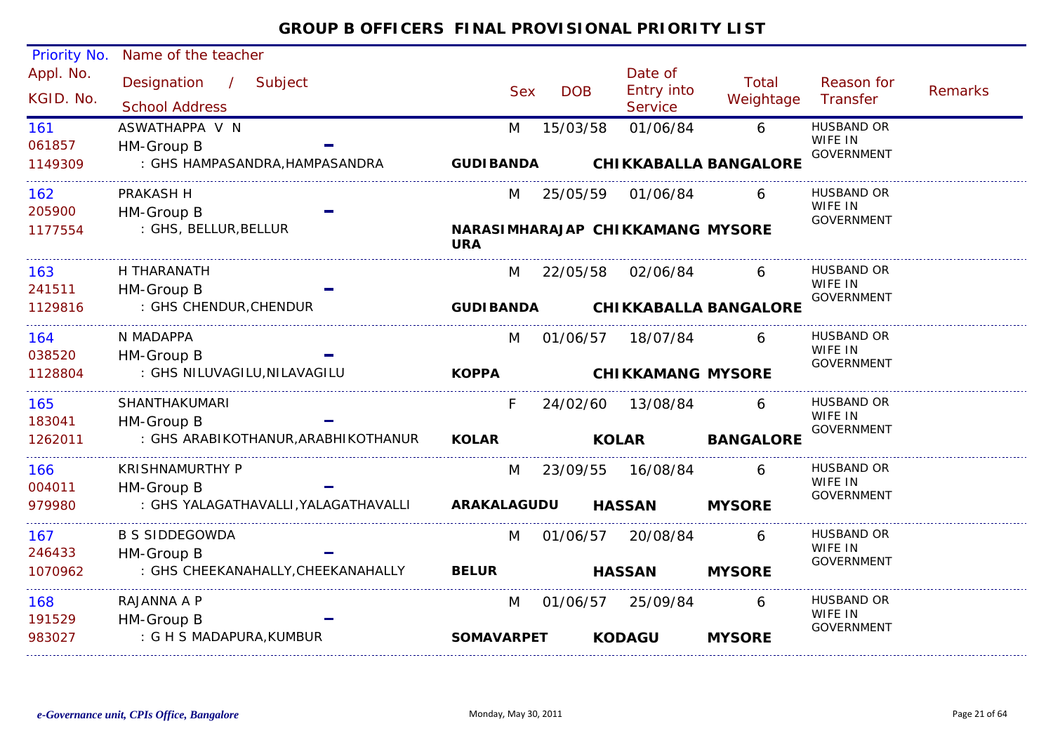| Priority No. | Name of the teacher                |                      |            |                                  |                  |                              |         |
|--------------|------------------------------------|----------------------|------------|----------------------------------|------------------|------------------------------|---------|
| Appl. No.    | Designation / Subject              |                      |            | Date of                          | Total            | Reason for                   |         |
| KGID. No.    | <b>School Address</b>              | <b>Sex</b>           | <b>DOB</b> | Entry into<br><b>Service</b>     | Weightage        | Transfer                     | Remarks |
| 161          | ASWATHAPPA V N                     | M                    | 15/03/58   | 01/06/84                         | 6                | <b>HUSBAND OR</b>            |         |
| 061857       | HM-Group B                         |                      |            |                                  |                  | WIFE IN<br><b>GOVERNMENT</b> |         |
| 1149309      | : GHS HAMPASANDRA,HAMPASANDRA      | <b>GUDIBANDA</b>     |            | <b>CHIKKABALLA BANGALORE</b>     |                  |                              |         |
| 162          | PRAKASH H                          | M                    |            | 25/05/59 01/06/84                | 6                | <b>HUSBAND OR</b>            |         |
| 205900       | HM-Group B                         |                      |            |                                  |                  | WIFE IN<br>GOVERNMENT        |         |
| 1177554      | : GHS, BELLUR, BELLUR              | <b>URA</b>           |            | NARASIMHARAJAP CHIKKAMANG MYSORE |                  |                              |         |
| 163          | H THARANATH                        | M                    |            | 22/05/58 02/06/84                | 6                | <b>HUSBAND OR</b>            |         |
| 241511       | HM-Group B                         |                      |            |                                  |                  | WIFE IN<br>GOVERNMENT        |         |
| 1129816      | : GHS CHENDUR, CHENDUR             |                      |            | GUDIBANDA CHIKKABALLA BANGALORE  |                  |                              |         |
| 164          | N MADAPPA                          | M                    |            | 01/06/57 18/07/84                | 6                | <b>HUSBAND OR</b>            |         |
| 038520       | HM-Group B                         |                      |            |                                  |                  | WIFE IN<br><b>GOVERNMENT</b> |         |
| 1128804      | : GHS NILUVAGILU, NILAVAGILU       | <b>KOPPA</b>         |            | <b>CHIKKAMANG MYSORE</b>         |                  |                              |         |
| 165          | SHANTHAKUMARI                      | F                    | 24/02/60   | 13/08/84                         | 6                | <b>HUSBAND OR</b>            |         |
| 183041       | HM-Group B                         |                      |            |                                  |                  | WIFE IN<br>GOVERNMENT        |         |
| 1262011      | : GHS ARABIKOTHANUR,ARABHIKOTHANUR | <b>KOLAR Example</b> |            | <b>KOLAR</b>                     | <b>BANGALORE</b> |                              |         |
| 166          | <b>KRISHNAMURTHY P</b>             | M                    |            | 23/09/55 16/08/84                | 6                | <b>HUSBAND OR</b>            |         |
| 004011       | HM-Group B                         |                      |            |                                  |                  | WIFE IN<br>GOVERNMENT        |         |
| 979980       |                                    |                      |            | <b>HASSAN</b>                    | <b>MYSORE</b>    |                              |         |
| 167          | <b>B S SIDDEGOWDA</b>              | M                    |            | 01/06/57 20/08/84                | 6                | <b>HUSBAND OR</b>            |         |
| 246433       | HM-Group B                         |                      |            |                                  |                  | WIFE IN<br>GOVERNMENT        |         |
| 1070962      | : GHS CHEEKANAHALLY, CHEEKANAHALLY | <b>BELUR</b>         |            | <b>HASSAN</b>                    | <b>MYSORE</b>    |                              |         |
| 168          | RAJANNA A P                        | M                    |            | 01/06/57 25/09/84                | 6                | <b>HUSBAND OR</b>            |         |
| 191529       | HM-Group B                         |                      |            |                                  |                  | WIFE IN<br>GOVERNMENT        |         |
| 983027       | : G H S MADAPURA,KUMBUR            | <b>SOMAVARPET</b>    |            | <b>KODAGU</b>                    | <b>MYSORE</b>    |                              |         |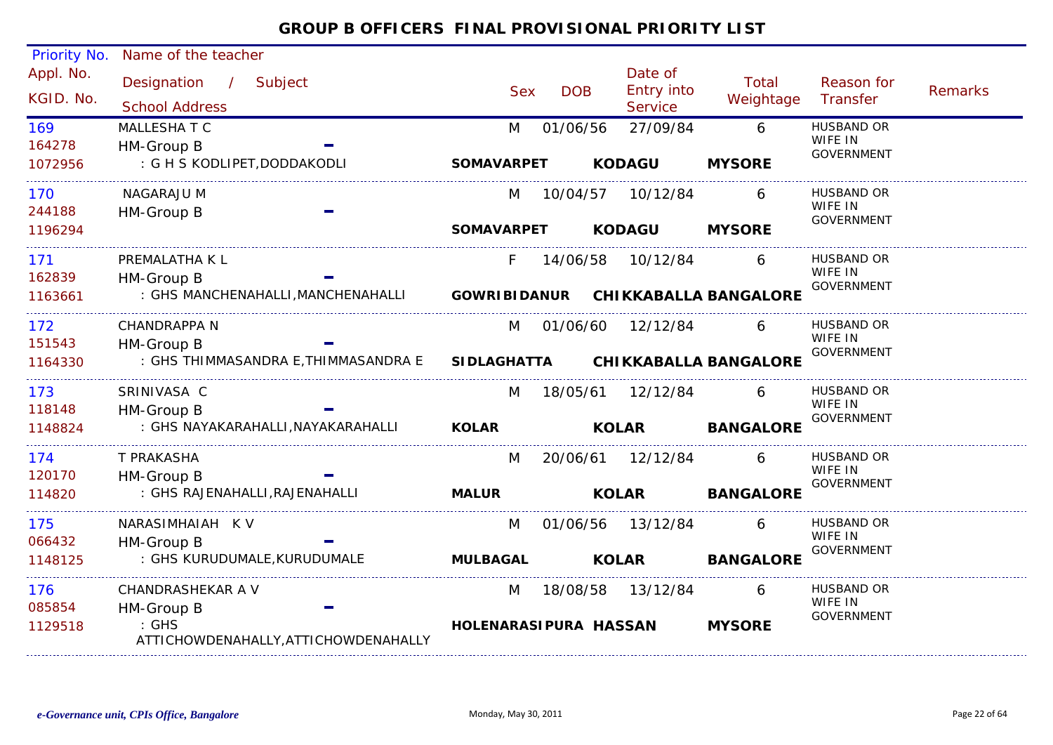| Priority No.  | Name of the teacher                           |                       |            |                    |                                    |                              |                |
|---------------|-----------------------------------------------|-----------------------|------------|--------------------|------------------------------------|------------------------------|----------------|
| Appl. No.     | Designation / Subject                         |                       |            | Date of            | <b>Total</b>                       | Reason for                   |                |
| KGID. No.     | <b>School Address</b>                         | <b>Sex</b>            | <b>DOB</b> | Entry into         | Weightage                          | Transfer                     | <b>Remarks</b> |
|               |                                               |                       |            | Service            |                                    | <b>HUSBAND OR</b>            |                |
| 169<br>164278 | MALLESHA T C                                  | M                     | 01/06/56   | 27/09/84           | 6                                  | WIFE IN                      |                |
| 1072956       | HM-Group B<br>: G H S KODLIPET, DODDAKODLI    | <b>SOMAVARPET</b>     |            | <b>KODAGU</b>      | <b>MYSORE</b>                      | <b>GOVERNMENT</b>            |                |
|               |                                               |                       |            |                    |                                    |                              |                |
| 170           | <b>NAGARAJU M</b>                             | M                     | 10/04/57   | 10/12/84           | 6                                  | <b>HUSBAND OR</b>            |                |
| 244188        | HM-Group B                                    |                       |            |                    |                                    | WIFE IN<br><b>GOVERNMENT</b> |                |
| 1196294       |                                               | <b>SOMAVARPET</b>     |            | <b>KODAGU</b>      | <b>MYSORE</b>                      |                              |                |
| 171           | PREMALATHA K L                                | F                     |            | 14/06/58 10/12/84  | 6                                  | <b>HUSBAND OR</b>            |                |
| 162839        | HM-Group B                                    |                       |            |                    |                                    | WIFE IN<br><b>GOVERNMENT</b> |                |
| 1163661       | : GHS MANCHENAHALLI MANCHENAHALLI             |                       |            |                    | GOWRIBIDANUR CHIKKABALLA BANGALORE |                              |                |
| 172           | <b>CHANDRAPPA N</b>                           | M                     |            | 01/06/60 12/12/84  | 6                                  | <b>HUSBAND OR</b>            |                |
| 151543        | HM-Group B                                    |                       |            |                    |                                    | WIFE IN<br><b>GOVERNMENT</b> |                |
| 1164330       | : GHS THIMMASANDRA E,THIMMASANDRA E           | <b>SIDLAGHATTA</b>    |            |                    | <b>CHIKKABALLA BANGALORE</b>       |                              |                |
| 173           | SRINIVASA C                                   | M                     |            | 18/05/61  12/12/84 | 6                                  | <b>HUSBAND OR</b>            |                |
| 118148        | HM-Group B                                    |                       |            |                    |                                    | WIFE IN<br><b>GOVERNMENT</b> |                |
| 1148824       | : GHS NAYAKARAHALLI, NAYAKARAHALLI            | <b>KOLAR</b>          |            | <b>KOLAR</b>       | <b>BANGALORE</b>                   |                              |                |
| 174           | T PRAKASHA                                    | M                     |            | 20/06/61 12/12/84  | 6                                  | <b>HUSBAND OR</b>            |                |
| 120170        | HM-Group B                                    |                       |            |                    |                                    | WIFE IN<br><b>GOVERNMENT</b> |                |
| 114820        | : GHS RAJENAHALLI, RAJENAHALLI                | <b>MALUR</b>          |            | <b>KOLAR</b>       | <b>BANGALORE</b>                   |                              |                |
| 175           | NARASIMHAIAH KV                               | M                     |            | 01/06/56 13/12/84  | 6                                  | HUSBAND OR                   |                |
| 066432        | HM-Group B                                    |                       |            |                    |                                    | WIFE IN<br><b>GOVERNMENT</b> |                |
| 1148125       | : GHS KURUDUMALE, KURUDUMALE                  | <b>MULBAGAL</b>       |            | <b>KOLAR</b>       | <b>BANGALORE</b>                   |                              |                |
| 176           | CHANDRASHEKAR A V                             | M                     | 18/08/58   | 13/12/84           | 6                                  | <b>HUSBAND OR</b>            |                |
| 085854        | HM-Group B                                    |                       |            |                    |                                    | WIFE IN<br><b>GOVERNMENT</b> |                |
| 1129518       | : GHS<br>ATTICHOWDENAHALLY, ATTICHOWDENAHALLY | HOLENARASIPURA HASSAN |            |                    | <b>MYSORE</b>                      |                              |                |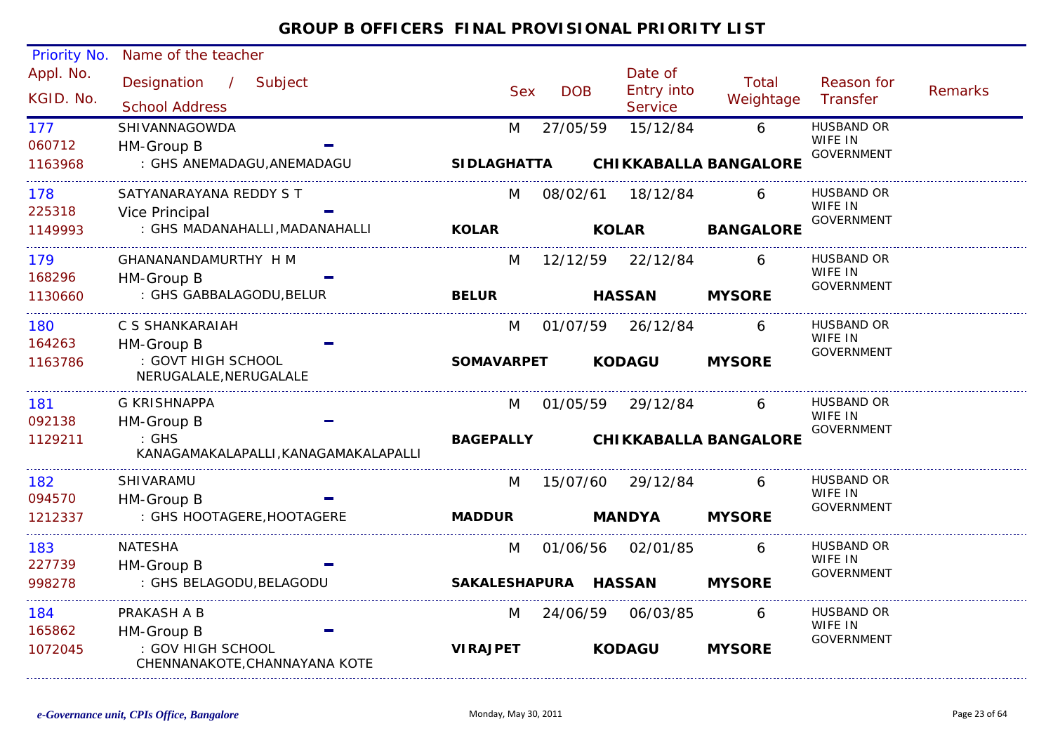| Priority No.             | Name of the teacher                                       |                         |            |                                          |                    |                                                   |                |
|--------------------------|-----------------------------------------------------------|-------------------------|------------|------------------------------------------|--------------------|---------------------------------------------------|----------------|
| Appl. No.<br>KGID. No.   | Designation / Subject<br><b>School Address</b>            | <b>Sex</b>              | <b>DOB</b> | Date of<br><b>Entry into</b><br>Service  | Total<br>Weightage | Reason for<br>Transfer                            | <b>Remarks</b> |
| 177<br>060712<br>1163968 | SHIVANNAGOWDA<br>HM-Group B<br>: GHS ANEMADAGU, ANEMADAGU | M<br><b>SIDLAGHATTA</b> | 27/05/59   | 15/12/84<br><b>CHIKKABALLA BANGALORE</b> | 6                  | <b>HUSBAND OR</b><br>WIFE IN<br><b>GOVERNMENT</b> |                |
| 178                      | SATYANARAYANA REDDY S T                                   | M                       | 08/02/61   | 18/12/84                                 | 6                  | <b>HUSBAND OR</b>                                 |                |
| 225318<br>1149993        | Vice Principal<br>: GHS MADANAHALLI, MADANAHALLI          | <b>KOLAR</b>            |            | <b>KOLAR</b>                             | <b>BANGALORE</b>   | WIFE IN<br><b>GOVERNMENT</b>                      |                |
| 179<br>168296            | GHANANANDAMURTHY H M<br>HM-Group B                        | M                       | 12/12/59   | 22/12/84                                 | 6                  | <b>HUSBAND OR</b><br>WIFE IN                      |                |
| 1130660                  | : GHS GABBALAGODU, BELUR                                  | <b>BELUR</b>            |            | <b>HASSAN</b>                            | <b>MYSORE</b>      | <b>GOVERNMENT</b>                                 |                |
| 180<br>164263            | C S SHANKARAIAH<br>HM-Group B                             | M                       | 01/07/59   | 26/12/84                                 | 6                  | <b>HUSBAND OR</b><br>WIFE IN<br><b>GOVERNMENT</b> |                |
| 1163786                  | : GOVT HIGH SCHOOL<br>NERUGALALE, NERUGALALE              | <b>SOMAVARPET</b>       |            | <b>KODAGU</b>                            | <b>MYSORE</b>      |                                                   |                |
| 181<br>092138            | <b>G KRISHNAPPA</b><br>HM-Group B                         | M                       | 01/05/59   | 29/12/84                                 | 6                  | HUSBAND OR<br>WIFE IN                             |                |
| 1129211                  | $\therefore$ GHS<br>KANAGAMAKALAPALLI, KANAGAMAKALAPALLI  | <b>BAGEPALLY</b>        |            | <b>CHIKKABALLA BANGALORE</b>             |                    | <b>GOVERNMENT</b>                                 |                |
| 182<br>094570            | SHIVARAMU<br>HM-Group B                                   | M                       | 15/07/60   | 29/12/84                                 | 6                  | <b>HUSBAND OR</b><br>WIFE IN                      |                |
| 1212337                  | : GHS HOOTAGERE, HOOTAGERE                                | <b>MADDUR</b>           |            | <b>MANDYA</b>                            | <b>MYSORE</b>      | <b>GOVERNMENT</b>                                 |                |
| 183<br>227739            | <b>NATESHA</b><br>HM-Group B                              | M                       |            | 01/06/56 02/01/85                        | 6                  | <b>HUSBAND OR</b><br>WIFE IN                      |                |
| 998278                   | : GHS BELAGODU, BELAGODU                                  | SAKALESHAPURA HASSAN    |            |                                          | <b>MYSORE</b>      | <b>GOVERNMENT</b>                                 |                |
| 184<br>165862            | PRAKASH A B<br>HM-Group B                                 | M                       | 24/06/59   | 06/03/85                                 | 6                  | <b>HUSBAND OR</b><br>WIFE IN                      |                |
| 1072045                  | : GOV HIGH SCHOOL<br>CHENNANAKOTE, CHANNAYANA KOTE        | <b>VIRAJPET</b>         |            | <b>KODAGU</b>                            | <b>MYSORE</b>      | <b>GOVERNMENT</b>                                 |                |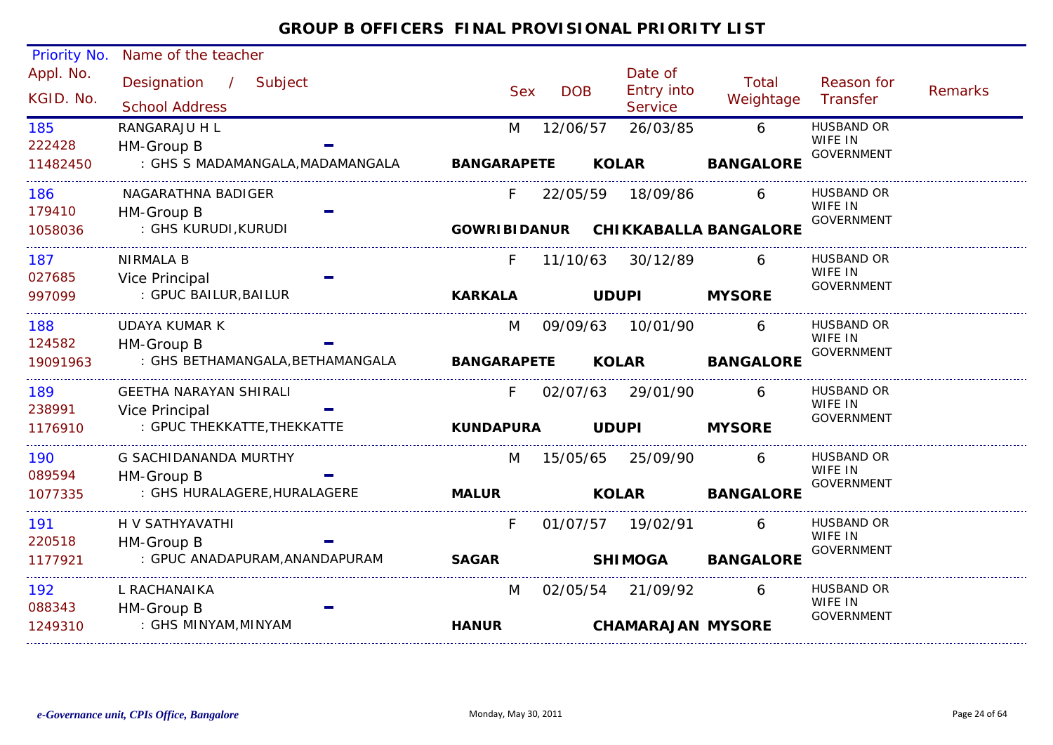| Priority No.           | Name of the teacher                               |                    |            |                |                                         |                                    |                              |                |
|------------------------|---------------------------------------------------|--------------------|------------|----------------|-----------------------------------------|------------------------------------|------------------------------|----------------|
| Appl. No.<br>KGID. No. | Designation /<br>Subject<br><b>School Address</b> | <b>Sex</b>         | <b>DOB</b> |                | Date of<br>Entry into<br><b>Service</b> | Total<br>Weightage                 | Reason for<br>Transfer       | <b>Remarks</b> |
| 185                    | RANGARAJU H L                                     | M                  | 12/06/57   |                | 26/03/85                                | 6                                  | <b>HUSBAND OR</b>            |                |
| 222428                 | HM-Group B                                        |                    |            |                |                                         |                                    | WIFE IN<br><b>GOVERNMENT</b> |                |
| 11482450               | : GHS S MADAMANGALA, MADAMANGALA                  | <b>BANGARAPETE</b> |            | <b>KOLAR</b>   |                                         | <b>BANGALORE</b>                   |                              |                |
| 186                    | NAGARATHNA BADIGER                                | F.                 | 22/05/59   |                | 18/09/86                                | 6                                  | <b>HUSBAND OR</b><br>WIFE IN |                |
| 179410                 | HM-Group B                                        |                    |            |                |                                         |                                    | <b>GOVERNMENT</b>            |                |
| 1058036                | : GHS KURUDI,KURUDI                               |                    |            |                |                                         | GOWRIBIDANUR CHIKKABALLA BANGALORE |                              |                |
| 187                    | <b>NIRMALA B</b>                                  | F.                 | 11/10/63   |                | 30/12/89                                | 6                                  | <b>HUSBAND OR</b><br>WIFE IN |                |
| 027685                 | Vice Principal                                    |                    |            |                |                                         |                                    | <b>GOVERNMENT</b>            |                |
| 997099                 | : GPUC BAILUR, BAILUR                             | <b>KARKALA</b>     |            | <b>UDUPI</b>   |                                         | <b>MYSORE</b>                      |                              |                |
| 188                    | UDAYA KUMAR K                                     | M                  | 09/09/63   |                | 10/01/90                                | 6                                  | <b>HUSBAND OR</b>            |                |
| 124582                 | HM-Group B                                        |                    |            |                |                                         |                                    | WIFE IN<br>GOVERNMENT        |                |
| 19091963               | : GHS BETHAMANGALA, BETHAMANGALA                  | <b>BANGARAPETE</b> |            | <b>KOLAR</b>   |                                         | <b>BANGALORE</b>                   |                              |                |
| 189                    | <b>GEETHA NARAYAN SHIRALI</b>                     | F.                 |            |                | 02/07/63 29/01/90                       |                                    | <b>HUSBAND OR</b>            |                |
| 238991                 | Vice Principal                                    |                    |            |                |                                         |                                    | WIFE IN<br><b>GOVERNMENT</b> |                |
| 1176910                | : GPUC THEKKATTE, THEKKATTE                       | <b>KUNDAPURA</b>   |            | <b>UDUPI</b>   |                                         | <b>MYSORE</b>                      |                              |                |
| 190                    | G SACHIDANANDA MURTHY                             | M                  |            |                | 15/05/65 25/09/90                       | 6                                  | HUSBAND OR                   |                |
| 089594                 | HM-Group B                                        |                    |            |                |                                         |                                    | WIFE IN<br><b>GOVERNMENT</b> |                |
| 1077335                | : GHS HURALAGERE, HURALAGERE                      | <b>MALUR</b>       |            | <b>KOLAR</b>   |                                         | <b>BANGALORE</b>                   |                              |                |
| 191                    | H V SATHYAVATHI                                   | F                  |            |                | 01/07/57 19/02/91                       | 6                                  | <b>HUSBAND OR</b>            |                |
| 220518                 | HM-Group B                                        |                    |            |                |                                         |                                    | WIFE IN<br>GOVERNMENT        |                |
| 1177921                | : GPUC ANADAPURAM, ANANDAPURAM                    | <b>SAGAR</b>       |            | <b>SHIMOGA</b> |                                         | <b>BANGALORE</b>                   |                              |                |
| 192                    | L RACHANAIKA                                      | M                  | 02/05/54   |                | 21/09/92                                | 6                                  | <b>HUSBAND OR</b>            |                |
| 088343                 | HM-Group B                                        |                    |            |                |                                         |                                    | WIFE IN<br><b>GOVERNMENT</b> |                |
| 1249310                | : GHS MINYAM, MINYAM                              | <b>HANUR</b>       |            |                | <b>CHAMARAJAN MYSORE</b>                |                                    |                              |                |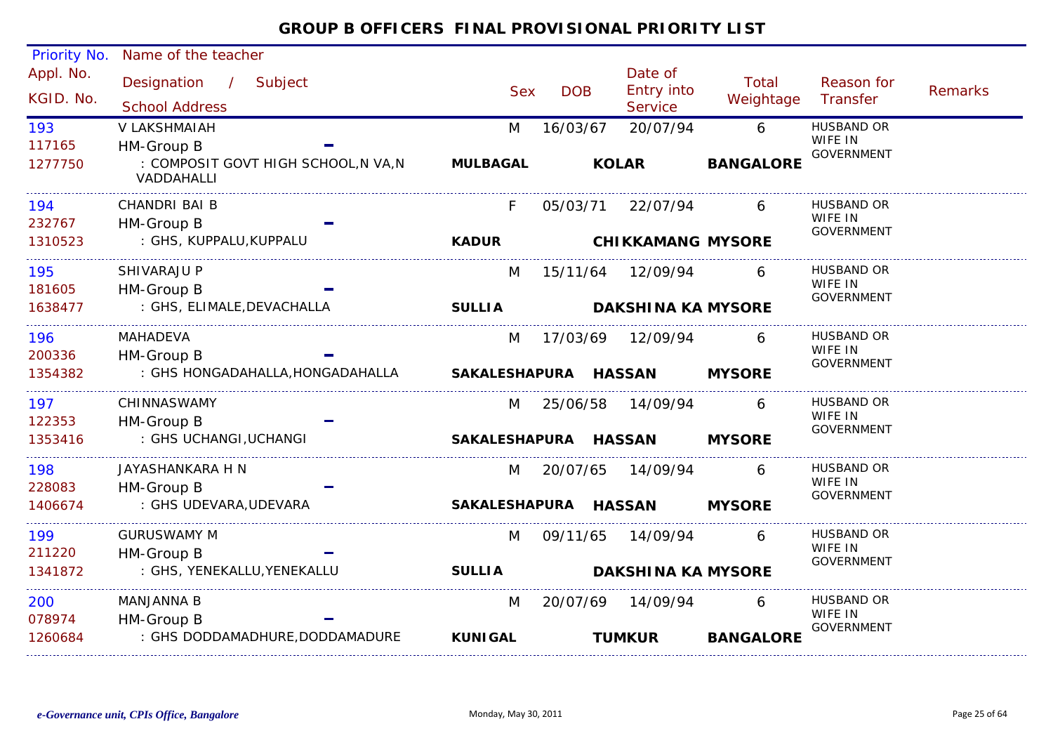#### Appl. No. Priority No. Name of the teacher Designation Subject Sex DOB/ Date of<br>DOB Entry into **Service** Reason for Weightage Transfer Remarks Total Sex School Address KGID. No.117165M 16/03/67 20/07/94 6 HUSBAND OR : COMPOSIT GOVT HIGH SCHOOL,N VA,N VADDAHALLI193WIFE IN GOVERNMENT HM-Group B 1277750V LAKSHMAIAH**MULBAGAL KOLAR BANGALORE** 232767F 05/03/71 22/07/94 6 HUSBAND OR : GHS, KUPPALU,KUPPALU 194WIFE IN GOVERNMENT HM-Group B 1310523CHANDRI BAI B**KADUR CHIKKAMANG MYSORE**181605M 15/11/64 12/09/94 6 HUSBAND OR : GHS, ELIMALE,DEVACHALLA 195WIFF IN GOVERNMENT HM-Group B 1638477SHIVARAJU P**SULLIA DAKSHINA KA MYSORE**200336M 17/03/69 12/09/94 : GHS HONGADAHALLA,HONGADAHALLA 1966 MAHADEVA M 17/03/69 12/09/94 6 HUSBAND OR WIFE IN GOVERNMENT HM-Group B 1354382MAHADEVA **SAKALESHAPURA HASSAN MYSORE**122353M 25/06/58 14/09/94 6 HUSBAND OR : GHS UCHANGI,UCHANGI 197WIFE IN GOVERNMENT HM-Group B 1353416CHINNASWAMY**SAKALESHAPURA HASSAN MYSORE**228083M 20/07/65 14/09/94 6 HUSBAND OR : GHS UDEVARA,UDEVARA 198WIFF IN GOVERNMENT HM-Group B 1406674JAYASHANKARA H N**SAKALESHAPURA HASSAN MYSORE**211220M 09/11/65 14/09/94 : GHS, YENEKALLU,YENEKALLU 1999 GURUSWAMY M M 09/11/65 14/09/94 6 HUSBAND OR WIFF IN GOVERNMENT HM-Group B 1341872**SULLIA DAKSHINA KA MYSORE**0789740 MANJANNA B M 20/07/69 14/09/94 6 HUSBAND OR : GHS DODDAMADHURE,DODDAMADURE 200WIFE IN GOVERNMENT HM-Group B 1260684MANJANNA B**KUNIGAL TUMKURBANGALORE**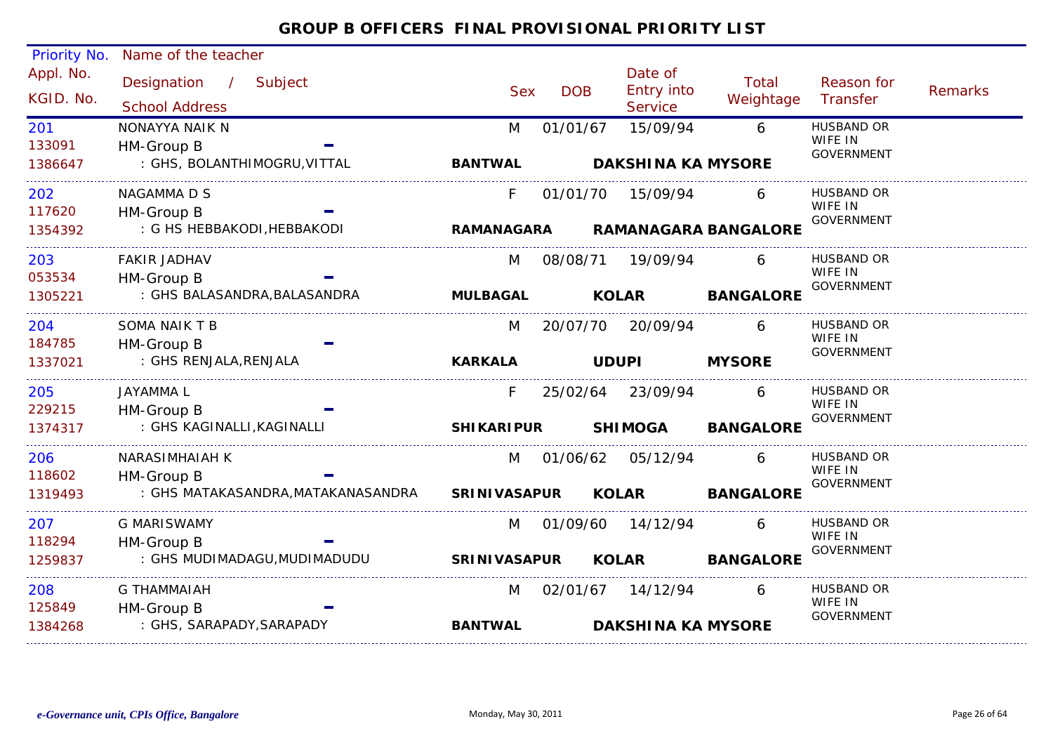| Priority No. | Name of the teacher               |                     |            |                   |                             |                              |                |
|--------------|-----------------------------------|---------------------|------------|-------------------|-----------------------------|------------------------------|----------------|
| Appl. No.    | Designation / Subject             |                     |            | Date of           | <b>Total</b>                | Reason for                   |                |
| KGID. No.    |                                   | <b>Sex</b>          | <b>DOB</b> | Entry into        | Weightage                   | Transfer                     | <b>Remarks</b> |
|              | <b>School Address</b>             |                     |            | Service           |                             |                              |                |
| 201          | NONAYYA NAIK N                    | M                   | 01/01/67   | 15/09/94          | 6                           | <b>HUSBAND OR</b><br>WIFE IN |                |
| 133091       | HM-Group B                        |                     |            |                   |                             | <b>GOVERNMENT</b>            |                |
| 1386647      | : GHS, BOLANTHIMOGRU, VITTAL      | <b>BANTWAL</b>      |            |                   | <b>DAKSHINA KA MYSORE</b>   |                              |                |
| 202          | NAGAMMA D S                       | F.                  | 01/01/70   | 15/09/94          | 6                           | HUSBAND OR                   |                |
| 117620       | HM-Group B                        |                     |            |                   |                             | WIFE IN<br><b>GOVERNMENT</b> |                |
| 1354392      | : G HS HEBBAKODI, HEBBAKODI       | RAMANAGARA          |            |                   | <b>RAMANAGARA BANGALORE</b> |                              |                |
| 203          | <b>FAKIR JADHAV</b>               | M                   |            | 08/08/71 19/09/94 | 6                           | <b>HUSBAND OR</b>            |                |
| 053534       | HM-Group B                        |                     |            |                   |                             | WIFE IN<br><b>GOVERNMENT</b> |                |
| 1305221      | : GHS BALASANDRA, BALASANDRA      | <b>MULBAGAL</b>     |            | <b>KOLAR</b>      | <b>BANGALORE</b>            |                              |                |
| 204          | SOMA NAIK T B                     | M                   |            | 20/07/70 20/09/94 | 6                           | <b>HUSBAND OR</b>            |                |
| 184785       | HM-Group B                        |                     |            |                   |                             | WIFE IN<br><b>GOVERNMENT</b> |                |
| 1337021      | : GHS RENJALA, RENJALA            | <b>KARKALA</b>      |            | <b>UDUPI</b>      | <b>MYSORE</b>               |                              |                |
| 205          | JAYAMMA L                         | F.                  |            | 25/02/64 23/09/94 | 6                           | <b>HUSBAND OR</b>            |                |
| 229215       | HM-Group B                        |                     |            |                   |                             | WIFE IN<br><b>GOVERNMENT</b> |                |
| 1374317      | : GHS KAGINALLI, KAGINALLI        | <b>SHIKARIPUR</b>   |            | <b>SHIMOGA</b>    | <b>BANGALORE</b>            |                              |                |
| 206          | <b>NARASIMHAIAH K</b>             | M                   |            | 01/06/62 05/12/94 | 6                           | HUSBAND OR                   |                |
| 118602       | HM-Group B                        |                     |            |                   |                             | WIFE IN<br><b>GOVERNMENT</b> |                |
| 1319493      | : GHS MATAKASANDRA,MATAKANASANDRA | <b>SRINIVASAPUR</b> |            | <b>KOLAR</b>      | <b>BANGALORE</b>            |                              |                |
| 207          | <b>G MARISWAMY</b>                | M                   | 01/09/60   | 14/12/94          | 6                           | <b>HUSBAND OR</b>            |                |
| 118294       | HM-Group B                        |                     |            |                   |                             | WIFE IN<br><b>GOVERNMENT</b> |                |
| 1259837      | : GHS MUDIMADAGU, MUDIMADUDU      | <b>SRINIVASAPUR</b> |            | <b>KOLAR</b>      | <b>BANGALORE</b>            |                              |                |
| 208          | <b>G THAMMAIAH</b>                | M                   |            | 02/01/67 14/12/94 | 6                           | <b>HUSBAND OR</b>            |                |
| 125849       | HM-Group B                        |                     |            |                   |                             | WIFE IN<br><b>GOVERNMENT</b> |                |
| 1384268      | : GHS, SARAPADY, SARAPADY         | <b>BANTWAL</b>      |            |                   | <b>DAKSHINA KA MYSORE</b>   |                              |                |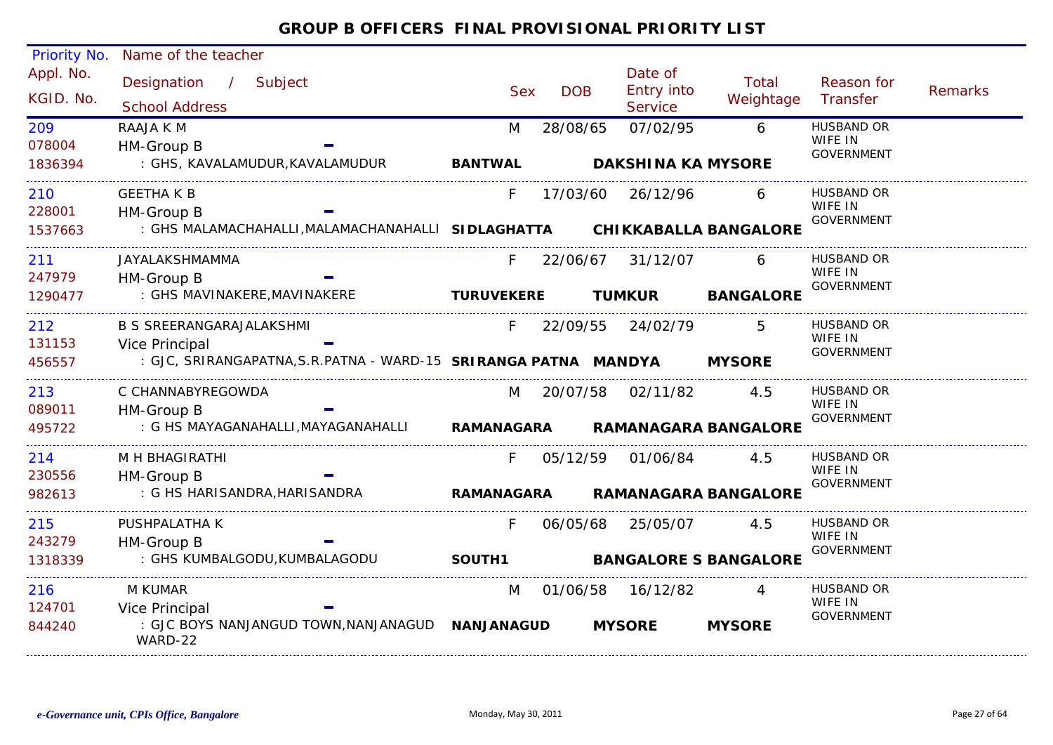#### Appl. No. Priority No. Name of the teacher Designation / Subject Sex DOB Date of<br>Entry into **Service** Reason for Weightage Transfer Remarks Total School Address / KGID. No.078004M 28/08/65 07/02/95 6 HUSBAND OR : GHS, KAVALAMUDUR,KAVALAMUDUR 209WIFE IN GOVERNMENT HM-Group B 1836394RAAJA K M**BANTWAL DAKSHINA KA MYSORE**228001F 17/03/60 26/12/96 6 HUSBAND OR : GHS MALAMACHAHALLI,MALAMACHANAHALLI 210WIFE IN GOVERNMENT HM-Group B **SIDLAGHATTA**1537663GEETHA K B **CHIKKABALLA BANGALORE**247979F 22/06/67 31/12/07 : GHS MAVINAKERE,MAVINAKERE 211 6 HUSBAND OR JAYALAKSHMAMMAWIFE IN **GOVERNMENT**  HM-Group B 1290477**TURUVEKERE TUMKUR BANGALORE** 131153F 22/09/55 24/02/79 : GJC, SRIRANGAPATNA,S.R.PATNA - WARD-15 2122 B S SREERANGARAJALAKSHMI F 22/09/55 24/02/79 5 HUSBAND OR WIFE IN GOVERNMENT Vice Principal **SRIRANGA PATNA MANDYA MYSORE**456557089011M 20/07/58 02/11/82 4.5 HUSBAND OR : G HS MAYAGANAHALLI,MAYAGANAHALLI 213WIFE IN GOVERNMENT HM-Group B 495722C CHANNABYREGOWDA**RAMANAGARA RAMANAGARA BANGALORE**230556 F 05/12/59 01/06/84 4.5 HUSBAND OR : G HS HARISANDRA,HARISANDRA 214WIFF IN GOVERNMENT HM-Group B 982613M H BHAGIRATHI**RAMANAGARA RAMANAGARA BANGALORE**243279F 06/05/68 25/05/07 4.5 HUSBAND OR : GHS KUMBALGODU,KUMBALAGODU 215WIFE IN GOVERNMENT HM-Group B 1318339PUSHPALATHA K**SOUTH1 BANGALORE S BANGALORE**124701M 01/06/58 16/12/82 4 HUSBAND OR : GJC BOYS NANJANGUD TOWN,NANJANAGUD **NANJANAGUD**WARD-22216WIFE IN GOVERNMENT Vice Principal 844240 M KUMAR**MYSORE MYSORE**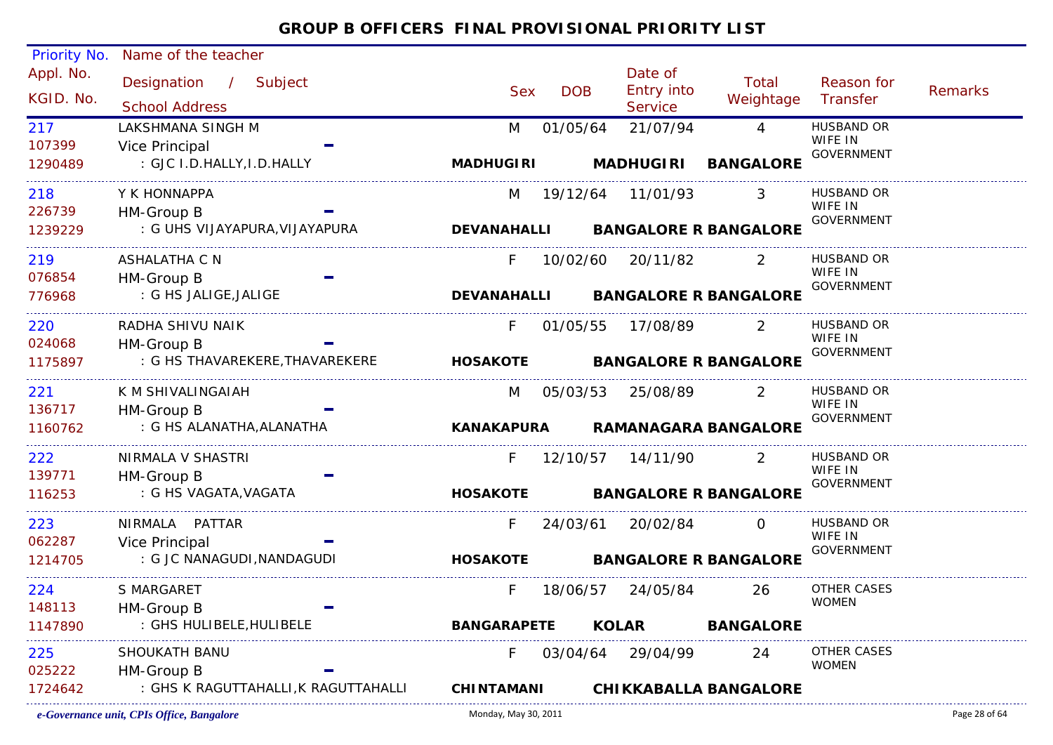| <b>Priority No.</b>    | Name of the teacher                             |                    |            |                                         |                                |                              |         |
|------------------------|-------------------------------------------------|--------------------|------------|-----------------------------------------|--------------------------------|------------------------------|---------|
| Appl. No.<br>KGID. No. | Designation / Subject<br><b>School Address</b>  | <b>Sex</b>         | <b>DOB</b> | Date of<br>Entry into<br><b>Service</b> | Total<br>Weightage Transfer    | Reason for                   | Remarks |
| 217                    | LAKSHMANA SINGH M                               | M                  | 01/05/64   | 21/07/94                                | $\overline{4}$                 | <b>HUSBAND OR</b>            |         |
| 107399                 | Vice Principal                                  |                    |            |                                         |                                | WIFE IN<br><b>GOVERNMENT</b> |         |
| 1290489                | : GJC I.D.HALLY, I.D.HALLY                      | <b>MADHUGIRI</b>   |            |                                         | MADHUGIRI BANGALORE            |                              |         |
| 218                    | Y K HONNAPPA                                    | M                  |            | 19/12/64  11/01/93                      | 3                              | HUSBAND OR                   |         |
| 226739                 | HM-Group B                                      |                    |            |                                         |                                | WIFE IN<br><b>GOVERNMENT</b> |         |
| 1239229                | : G UHS VIJAYAPURA, VIJAYAPURA                  | <b>DEVANAHALLI</b> |            |                                         | <b>BANGALORE R BANGALORE</b>   |                              |         |
| 219                    | ASHALATHA C N                                   | F.                 |            | 10/02/60 20/11/82                       | $\overline{\phantom{0}}$ 2     | HUSBAND OR                   |         |
| 076854                 | HM-Group B                                      |                    |            |                                         |                                | WIFE IN<br>GOVERNMENT        |         |
| 776968                 | : G HS JALIGE, JALIGE                           | <b>DEVANAHALLI</b> |            |                                         | <b>BANGALORE R BANGALORE</b>   |                              |         |
| 220                    | RADHA SHIVU NAIK                                | $F =$              |            | 01/05/55 17/08/89                       | 2                              | HUSBAND OR<br>WIFE IN        |         |
| 024068                 | HM-Group B                                      |                    |            |                                         |                                | <b>GOVERNMENT</b>            |         |
| 1175897                | : G HS THAVAREKERE, THAVAREKERE                 |                    |            |                                         | HOSAKOTE BANGALORE R BANGALORE |                              |         |
| 221                    | K M SHIVALINGAIAH                               | M                  |            | 05/03/53 25/08/89                       | 2                              | <b>HUSBAND OR</b>            |         |
| 136717                 | HM-Group B                                      |                    |            |                                         |                                | WIFE IN<br>GOVERNMENT        |         |
| 1160762                | : G HS ALANATHA, ALANATHA                       | <b>KANAKAPURA</b>  |            |                                         | <b>RAMANAGARA BANGALORE</b>    |                              |         |
| 222                    | NIRMALA V SHASTRI                               | F.                 |            | 12/10/57  14/11/90                      | 2                              | <b>HUSBAND OR</b>            |         |
| 139771                 | HM-Group B                                      |                    |            |                                         |                                | WIFE IN<br>GOVERNMENT        |         |
| 116253                 | : G HS VAGATA, VAGATA                           | <b>HOSAKOTE</b>    |            |                                         | <b>BANGALORE R BANGALORE</b>   |                              |         |
| 223                    | NIRMALA PATTAR                                  | F                  | 24/03/61   | 20/02/84                                | $\Omega$                       | HUSBAND OR                   |         |
| 062287                 | Vice Principal                                  |                    |            |                                         |                                | WIFE IN<br>GOVERNMENT        |         |
| 1214705                | : G JC NANAGUDI, NANDAGUDI                      | <b>HOSAKOTE</b>    |            |                                         | <b>BANGALORE R BANGALORE</b>   |                              |         |
| 224                    | S MARGARET                                      | F.                 | 18/06/57   | 24/05/84                                | 26                             | OTHER CASES                  |         |
| 148113                 | HM-Group B                                      |                    |            |                                         |                                | <b>WOMEN</b>                 |         |
| 1147890                | : GHS HULIBELE, HULIBELE                        | <b>BANGARAPETE</b> |            | <b>KOLAR</b>                            | <b>BANGALORE</b>               |                              |         |
| 225                    | SHOUKATH BANU                                   | F.                 |            | 03/04/64 29/04/99                       | 24                             | OTHER CASES<br><b>WOMEN</b>  |         |
| 025222                 | HM-Group B                                      |                    |            |                                         |                                |                              |         |
| 1724642                | : GHS K RAGUTTAHALLI, K RAGUTTAHALLI CHINTAMANI |                    |            |                                         | <b>CHIKKABALLA BANGALORE</b>   |                              |         |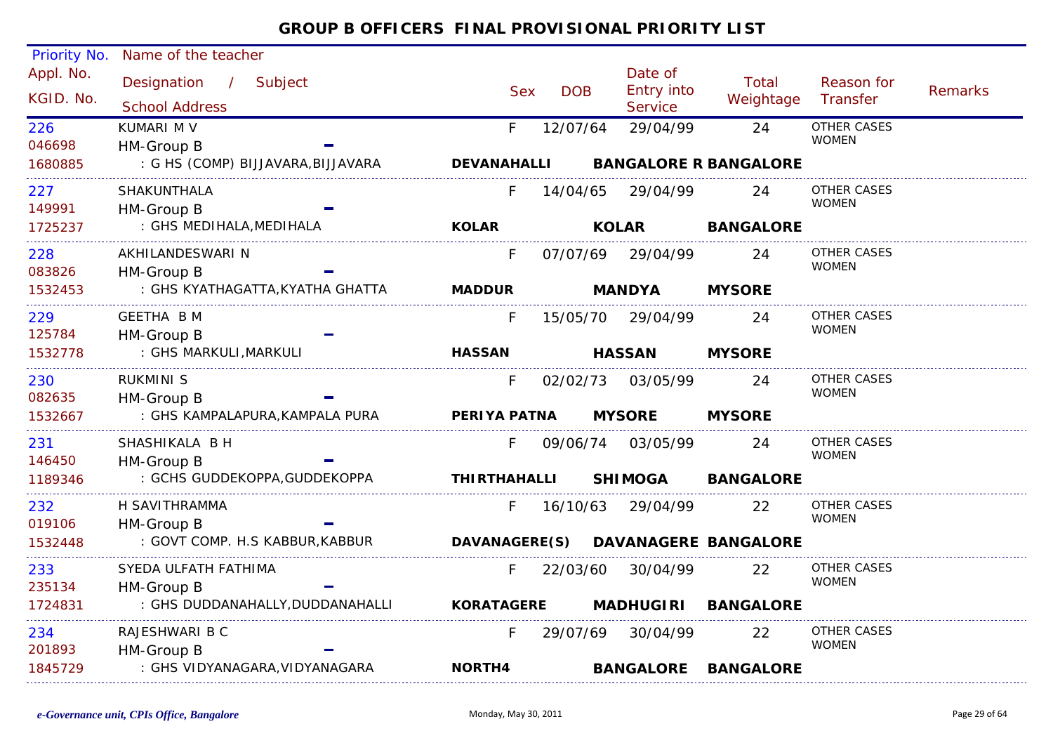| Priority No.                | Name of the teacher                |                     |            |                       |                                    |                                    |                |
|-----------------------------|------------------------------------|---------------------|------------|-----------------------|------------------------------------|------------------------------------|----------------|
| Appl. No.                   | Designation / Subject              | <b>Sex</b>          | <b>DOB</b> | Date of<br>Entry into | Total                              | Reason for                         | <b>Remarks</b> |
| KGID. No.                   | <b>School Address</b>              |                     |            | <b>Service</b>        | Weightage                          | Transfer                           |                |
| 226                         | KUMARI M V                         | F.                  | 12/07/64   | 29/04/99              | 24                                 | <b>OTHER CASES</b><br><b>WOMEN</b> |                |
| 046698                      | HM-Group B                         |                     |            |                       |                                    |                                    |                |
| 1680885                     | : G HS (COMP) BIJJAVARA, BIJJAVARA | <b>DEVANAHALLI</b>  |            |                       | <b>BANGALORE R BANGALORE</b>       |                                    |                |
| 227                         | <b>SHAKUNTHALA</b>                 |                     | 14/04/65   | 29/04/99              | 24                                 | <b>OTHER CASES</b>                 |                |
| 149991                      | HM-Group B                         |                     |            |                       |                                    | <b>WOMEN</b>                       |                |
| 1725237<br>---------------- | : GHS MEDIHALA, MEDIHALA           | <b>KOLAR</b>        |            | <b>KOLAR</b>          | <b>BANGALORE</b>                   |                                    |                |
| 228                         | AKHILANDESWARI N                   | F                   |            | 07/07/69 29/04/99     | 24                                 | <b>OTHER CASES</b>                 |                |
| 083826                      | HM-Group B                         |                     |            |                       |                                    | <b>WOMEN</b>                       |                |
| 1532453                     | : GHS KYATHAGATTA,KYATHA GHATTA    | <b>MADDUR</b>       |            | <b>MANDYA</b>         | <b>MYSORE</b>                      |                                    |                |
| 229                         | <b>GEETHA BM</b>                   | F.                  | 15/05/70   | 29/04/99              | 24                                 | <b>OTHER CASES</b>                 |                |
| 125784                      | HM-Group B                         |                     |            |                       |                                    | <b>WOMEN</b>                       |                |
| 1532778                     | : GHS MARKULI, MARKULI             | <b>HASSAN</b>       |            | <b>HASSAN</b>         | <b>MYSORE</b>                      |                                    |                |
| 230                         | <b>RUKMINI S</b>                   | F.                  | 02/02/73   | 03/05/99              | 24                                 | <b>OTHER CASES</b>                 |                |
| 082635                      | HM-Group B                         |                     |            |                       |                                    | <b>WOMEN</b>                       |                |
| 1532667                     | : GHS KAMPALAPURA, KAMPALA PURA    | PERIYA PATNA        |            | <b>MYSORE</b>         | <b>MYSORE</b>                      |                                    |                |
| 231                         | SHASHIKALA B H                     | F.                  |            | 09/06/74 03/05/99     | 24                                 | <b>OTHER CASES</b>                 |                |
| 146450                      | HM-Group B                         |                     |            |                       |                                    | <b>WOMEN</b>                       |                |
| 1189346                     | : GCHS GUDDEKOPPA, GUDDEKOPPA      | <b>THIRTHAHALLI</b> |            | <b>SHIMOGA</b>        | <b>BANGALORE</b>                   |                                    |                |
| 232                         | H SAVITHRAMMA                      | F.                  |            | 16/10/63 29/04/99     | <u>22</u>                          | OTHER CASES                        |                |
| 019106                      | HM-Group B                         |                     |            |                       |                                    | <b>WOMEN</b>                       |                |
| 1532448                     | : GOVT COMP. H.S KABBUR, KABBUR    |                     |            |                       | DAVANAGERE(S) DAVANAGERE BANGALORE |                                    |                |
| 233                         | SYEDA ULFATH FATHIMA               | F.                  | 22/03/60   | 30/04/99              | 22                                 | <b>OTHER CASES</b>                 |                |
| 235134                      | HM-Group B                         |                     |            |                       |                                    | <b>WOMEN</b>                       |                |
| 1724831                     | : GHS DUDDANAHALLY, DUDDANAHALLI   | <b>KORATAGERE</b>   |            |                       | MADHUGIRI BANGALORE                |                                    |                |
| 234                         | RAJESHWARI B C                     | F.                  | 29/07/69   | 30/04/99              | 22                                 | OTHER CASES                        |                |
| 201893                      | HM-Group B                         |                     |            |                       |                                    | <b>WOMEN</b>                       |                |
| 1845729                     | : GHS VIDYANAGARA, VIDYANAGARA     | NORTH4              |            |                       | <b>BANGALORE BANGALORE</b>         |                                    |                |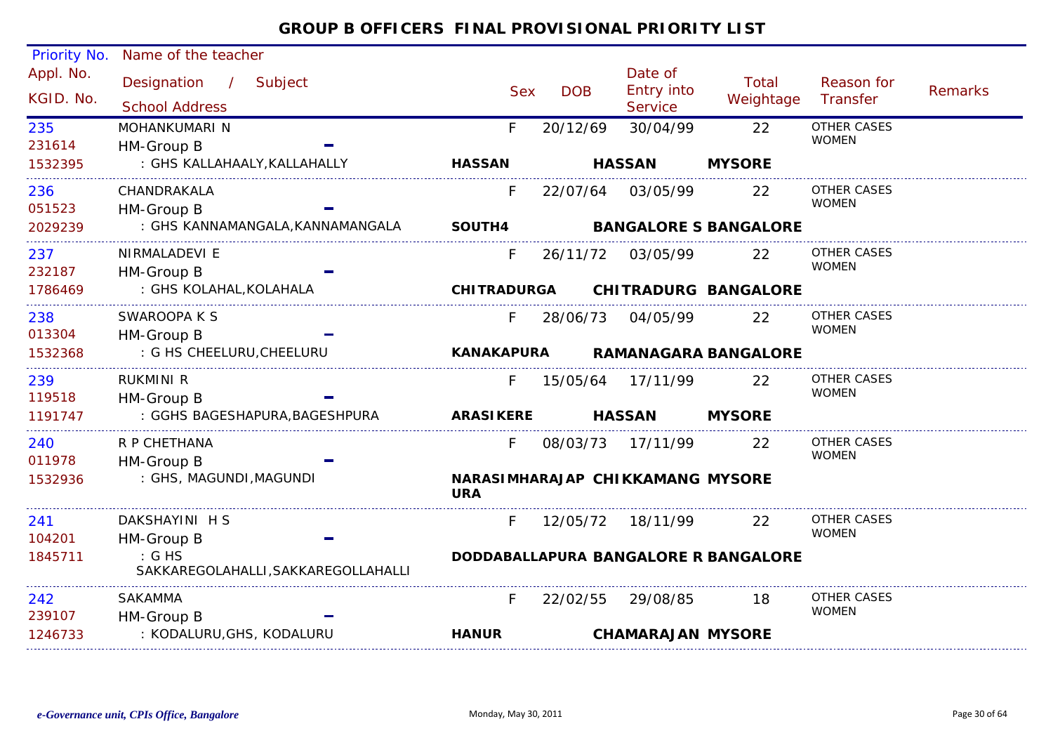| <b>Priority No.</b>    | Name of the teacher                                                         |                    |            |                                         |                                      |                        |                |
|------------------------|-----------------------------------------------------------------------------|--------------------|------------|-----------------------------------------|--------------------------------------|------------------------|----------------|
| Appl. No.<br>KGID. No. | Designation<br>$\overline{\phantom{a}}$<br>Subject<br><b>School Address</b> | <b>Sex</b>         | <b>DOB</b> | Date of<br>Entry into<br><b>Service</b> | Total<br>Weightage                   | Reason for<br>Transfer | <b>Remarks</b> |
| 235                    | MOHANKUMARI N                                                               | F.                 | 20/12/69   | 30/04/99                                | 22                                   | <b>OTHER CASES</b>     |                |
| 231614                 | HM-Group B                                                                  |                    |            |                                         |                                      | <b>WOMEN</b>           |                |
| 1532395                | : GHS KALLAHAALY, KALLAHALLY                                                | <b>HASSAN</b>      |            | <b>HASSAN</b>                           | <b>MYSORE</b>                        |                        |                |
| 236                    | CHANDRAKALA                                                                 | F.                 | 22/07/64   | 03/05/99                                | 22                                   | OTHER CASES            |                |
| 051523                 | HM-Group B                                                                  |                    |            |                                         |                                      | <b>WOMEN</b>           |                |
| 2029239                | : GHS KANNAMANGALA, KANNAMANGALA                                            | SOUTH4             |            |                                         | <b>BANGALORE S BANGALORE</b>         |                        |                |
| 237                    | NIRMALADEVI E                                                               | F.                 | 26/11/72   | 03/05/99                                | 22                                   | OTHER CASES            |                |
| 232187                 | HM-Group B                                                                  |                    |            |                                         |                                      | <b>WOMEN</b>           |                |
| 1786469                | : GHS KOLAHAL, KOLAHALA                                                     | <b>CHITRADURGA</b> |            |                                         | <b>CHITRADURG BANGALORE</b>          |                        |                |
| 238                    | SWAROOPA K S                                                                | F.                 | 28/06/73   | 04/05/99                                | 22                                   | OTHER CASES            |                |
| 013304                 | HM-Group B                                                                  |                    |            |                                         |                                      | <b>WOMEN</b>           |                |
| 1532368                | : G HS CHEELURU, CHEELURU                                                   | <b>KANAKAPURA</b>  |            |                                         | <b>RAMANAGARA BANGALORE</b>          |                        |                |
| 239                    | RUKMINI R                                                                   | F.                 |            | 15/05/64 17/11/99                       | <b>22</b>                            | OTHER CASES            |                |
| 119518                 | HM-Group B                                                                  |                    |            |                                         |                                      | <b>WOMEN</b>           |                |
| 1191747                | : GGHS BAGESHAPURA, BAGESHPURA                                              | <b>ARASIKERE</b>   |            | <b>HASSAN</b>                           | <b>MYSORE</b>                        |                        |                |
| 240                    | R P CHETHANA                                                                | F.                 |            | 08/03/73 17/11/99                       | 22                                   | OTHER CASES            |                |
| 011978                 | HM-Group B                                                                  |                    |            |                                         |                                      | <b>WOMEN</b>           |                |
| 1532936                | : GHS, MAGUNDI, MAGUNDI                                                     | <b>URA</b>         |            | NARASIMHARAJAP CHIKKAMANG MYSORE        |                                      |                        |                |
| 241                    | DAKSHAYINI H S                                                              | F.                 |            | 12/05/72  18/11/99                      | 22                                   | OTHER CASES            |                |
| 104201                 | HM-Group B                                                                  |                    |            |                                         |                                      | <b>WOMEN</b>           |                |
| 1845711                | : G H S<br>SAKKAREGOLAHALLI, SAKKAREGOLLAHALLI                              |                    |            |                                         | DODDABALLAPURA BANGALORE R BANGALORE |                        |                |
| 242                    | <b>SAKAMMA</b>                                                              | F                  | 22/02/55   | 29/08/85                                | 18                                   | OTHER CASES            |                |
| 239107                 | HM-Group B                                                                  |                    |            |                                         |                                      | <b>WOMEN</b>           |                |
| 1246733                | : KODALURU, GHS, KODALURU                                                   | <b>HANUR</b>       |            | <b>CHAMARAJAN MYSORE</b>                |                                      |                        |                |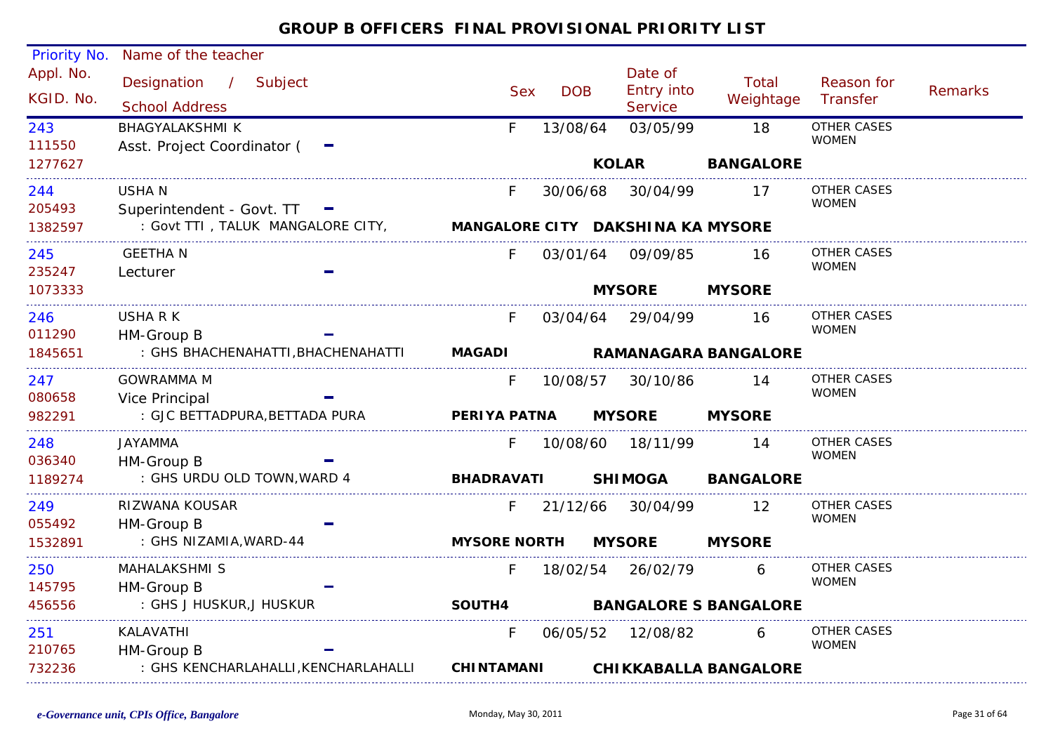| Priority No.<br>Appl. No. | Name of the teacher                                                 |                     |            | Date of            |                              |                    |         |
|---------------------------|---------------------------------------------------------------------|---------------------|------------|--------------------|------------------------------|--------------------|---------|
|                           | Designation / Subject                                               | <b>Sex</b>          | <b>DOB</b> | Entry into         | Total                        | Reason for         | Remarks |
| KGID. No.                 | <b>School Address</b>                                               |                     |            | Service            | Weightage                    | Transfer           |         |
| 243                       | <b>BHAGYALAKSHMI K</b>                                              | F.                  | 13/08/64   | 03/05/99           | 18                           | <b>OTHER CASES</b> |         |
| 111550                    | Asst. Project Coordinator ( -                                       |                     |            |                    |                              | <b>WOMEN</b>       |         |
| 1277627                   |                                                                     |                     |            | <b>KOLAR</b>       | <b>BANGALORE</b>             |                    |         |
| 244                       | <b>USHAN</b>                                                        | F.                  | 30/06/68   | 30/04/99           | 17                           | <b>OTHER CASES</b> |         |
| 205493                    | Superintendent - Govt. TT                                           |                     |            |                    |                              | <b>WOMEN</b>       |         |
| 1382597                   | : Govt TTI, TALUK MANGALORE CITY, MANGALORE CITY DAKSHINA KA MYSORE |                     |            |                    |                              |                    |         |
| 245                       | <b>GEETHAN</b>                                                      | F.                  | 03/01/64   | 09/09/85           | 16                           | <b>OTHER CASES</b> |         |
| 235247                    | Lecturer                                                            |                     |            |                    |                              | <b>WOMEN</b>       |         |
| 1073333                   |                                                                     |                     |            | <b>MYSORE</b>      | <b>MYSORE</b>                |                    |         |
| 246                       | USHA R K                                                            | F.                  |            | 03/04/64 29/04/99  | 16                           | <b>OTHER CASES</b> |         |
| 011290                    | HM-Group B                                                          |                     |            |                    |                              | <b>WOMEN</b>       |         |
| 1845651                   | : GHS BHACHENAHATTI, BHACHENAHATTI                                  | <b>MAGADI</b>       |            |                    | <b>RAMANAGARA BANGALORE</b>  |                    |         |
| 247                       | <b>GOWRAMMA M</b>                                                   | F.                  | 10/08/57   | 30/10/86           | 14                           | <b>OTHER CASES</b> |         |
| 080658                    | Vice Principal                                                      |                     |            |                    |                              | <b>WOMEN</b>       |         |
| 982291                    | : GJC BETTADPURA, BETTADA PURA                                      | PERIYA PATNA        |            | <b>MYSORE</b>      | <b>MYSORE</b>                |                    |         |
| 248                       | <b>JAYAMMA</b>                                                      | F.                  |            | 10/08/60  18/11/99 | 14                           | <b>OTHER CASES</b> |         |
| 036340                    | HM-Group B                                                          |                     |            |                    |                              | <b>WOMEN</b>       |         |
| 1189274                   | : GHS URDU OLD TOWN, WARD 4                                         | <b>BHADRAVATI</b>   |            | <b>SHIMOGA</b>     | <b>BANGALORE</b>             |                    |         |
| 249                       | RIZWANA KOUSAR                                                      | F.                  | 21/12/66   | 30/04/99           | 12                           | <b>OTHER CASES</b> |         |
| 055492                    | HM-Group B                                                          |                     |            |                    |                              | <b>WOMEN</b>       |         |
| 1532891                   | : GHS NIZAMIA, WARD-44                                              | <b>MYSORE NORTH</b> |            | <b>MYSORE</b>      | <b>MYSORE</b>                |                    |         |
| 250                       | <b>MAHALAKSHMI S</b>                                                | F.                  | 18/02/54   | 26/02/79           | 6                            | <b>OTHER CASES</b> |         |
| 145795                    | HM-Group B                                                          |                     |            |                    |                              | <b>WOMEN</b>       |         |
| 456556                    | : GHS J HUSKUR, J HUSKUR                                            | <b>SOUTH4</b>       |            |                    | <b>BANGALORE S BANGALORE</b> |                    |         |
| 251                       | KALAVATHI                                                           | F.                  | 06/05/52   | 12/08/82           | 6                            | <b>OTHER CASES</b> |         |
| 210765                    | HM-Group B                                                          |                     |            |                    |                              | <b>WOMEN</b>       |         |
| 732236                    | : GHS KENCHARLAHALLI, KENCHARLAHALLI                                | <b>CHINTAMANI</b>   |            |                    | <b>CHIKKABALLA BANGALORE</b> |                    |         |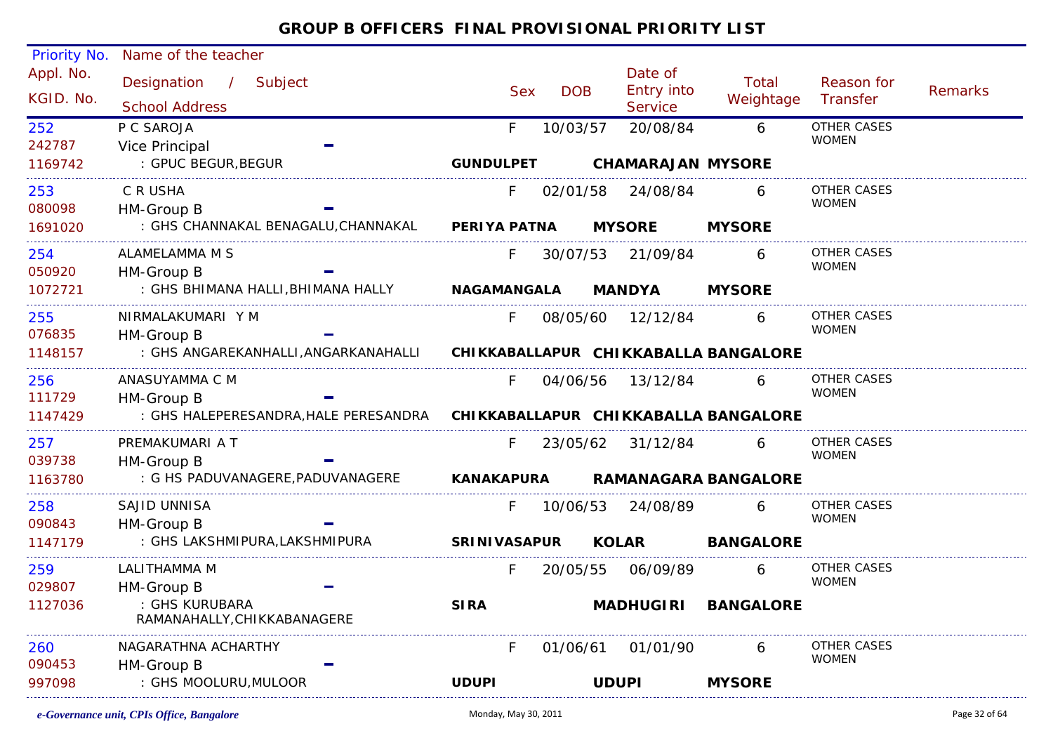| Priority No.  | Name of the teacher                                                        |                     |            |            |              |                          |                             |                             |         |
|---------------|----------------------------------------------------------------------------|---------------------|------------|------------|--------------|--------------------------|-----------------------------|-----------------------------|---------|
| Appl. No.     | Designation /<br>Subject                                                   |                     |            |            |              | Date of                  | Total                       | Reason for                  |         |
| KGID. No.     | <b>School Address</b>                                                      |                     | <b>Sex</b> | <b>DOB</b> |              | <b>Entry into</b>        | Weightage                   | Transfer                    | Remarks |
|               | P C SAROJA                                                                 |                     |            |            |              | Service                  |                             | <b>OTHER CASES</b>          |         |
| 252<br>242787 | Vice Principal                                                             |                     | F.         | 10/03/57   |              | 20/08/84                 | 6                           | <b>WOMEN</b>                |         |
| 1169742       | : GPUC BEGUR, BEGUR                                                        | <b>GUNDULPET</b>    |            |            |              | <b>CHAMARAJAN MYSORE</b> |                             |                             |         |
| 253           | C R USHA                                                                   |                     | F          |            |              | 02/01/58 24/08/84        | 6                           | OTHER CASES                 |         |
| 080098        | HM-Group B                                                                 |                     |            |            |              |                          |                             | <b>WOMEN</b>                |         |
| 1691020       | : GHS CHANNAKAL BENAGALU, CHANNAKAL PERIYA PATNA                           |                     |            |            |              | <b>MYSORE</b>            | <b>MYSORE</b>               |                             |         |
| 254           | ALAMELAMMA M S                                                             |                     | F.         |            |              | 30/07/53 21/09/84        | 6                           | <b>OTHER CASES</b>          |         |
| 050920        | HM-Group B                                                                 |                     |            |            |              |                          |                             | <b>WOMEN</b>                |         |
| 1072721       | : GHS BHIMANA HALLI, BHIMANA HALLY                                         | <b>NAGAMANGALA</b>  |            |            |              | <b>MANDYA</b>            | <b>MYSORE</b>               |                             |         |
| 255           | NIRMALAKUMARI Y M                                                          |                     | F.         |            |              | 08/05/60 12/12/84        | 6                           | OTHER CASES                 |         |
| 076835        | HM-Group B                                                                 |                     |            |            |              |                          |                             | <b>WOMEN</b>                |         |
| 1148157       | : GHS ANGAREKANHALLI, ANGARKANAHALLI CHIKKABALLAPUR CHIKKABALLA BANGALORE  |                     |            |            |              |                          |                             |                             |         |
| 256           | ANASUYAMMA C M                                                             |                     | F.         |            |              | 04/06/56 13/12/84        | 6                           | OTHER CASES                 |         |
| 111729        | HM-Group B                                                                 |                     |            |            |              |                          |                             | <b>WOMEN</b>                |         |
| 1147429       | : GHS HALEPERESANDRA, HALE PERESANDRA CHIKKABALLAPUR CHIKKABALLA BANGALORE |                     |            |            |              |                          |                             |                             |         |
| 257           | PREMAKUMARI A T                                                            |                     | F.         |            |              | 23/05/62 31/12/84        | 6                           | OTHER CASES                 |         |
| 039738        | HM-Group B                                                                 |                     |            |            |              |                          |                             | <b>WOMEN</b>                |         |
| 1163780       | : G HS PADUVANAGERE, PADUVANAGERE                                          | KANAKAPURA          |            |            |              |                          | <b>RAMANAGARA BANGALORE</b> |                             |         |
| 258           | SAJID UNNISA                                                               |                     | F.         | 10/06/53   |              | 24/08/89                 | 6                           | OTHER CASES                 |         |
| 090843        | HM-Group B                                                                 |                     |            |            |              |                          |                             | <b>WOMEN</b>                |         |
| 1147179       | : GHS LAKSHMIPURA, LAKSHMIPURA                                             | <b>SRINIVASAPUR</b> |            |            | <b>KOLAR</b> |                          | <b>BANGALORE</b>            |                             |         |
| 259           | LALITHAMMA M                                                               |                     | F.         |            |              | 20/05/55 06/09/89        | 6                           | <b>OTHER CASES</b>          |         |
| 029807        | HM-Group B                                                                 |                     |            |            |              |                          |                             | <b>WOMEN</b>                |         |
| 1127036       | : GHS KURUBARA<br>RAMANAHALLY, CHIKKABANAGERE                              | <b>SIRA</b>         |            |            |              | <b>MADHUGIRI</b>         | <b>BANGALORE</b>            |                             |         |
|               |                                                                            |                     |            |            |              |                          |                             |                             |         |
| 260<br>090453 | NAGARATHNA ACHARTHY                                                        |                     | F.         | 01/06/61   |              | 01/01/90                 | 6                           | OTHER CASES<br><b>WOMEN</b> |         |
| 997098        | HM-Group B<br>: GHS MOOLURU, MULOOR                                        | <b>UDUPI</b>        |            |            | <b>UDUPI</b> |                          | <b>MYSORE</b>               |                             |         |
|               |                                                                            |                     |            |            |              |                          |                             |                             |         |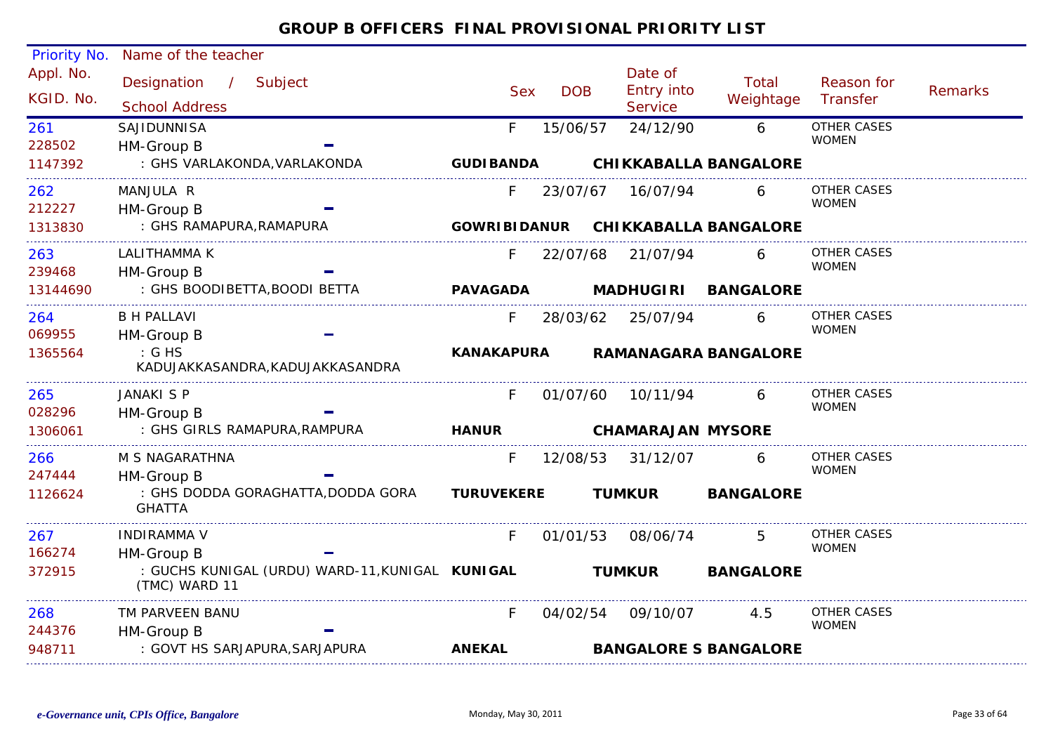| Priority No.           | Name of the teacher                                                            |                   |            |               |                                  |                                    |                                    |                |
|------------------------|--------------------------------------------------------------------------------|-------------------|------------|---------------|----------------------------------|------------------------------------|------------------------------------|----------------|
| Appl. No.<br>KGID. No. | Designation /<br>Subject<br><b>School Address</b>                              | <b>Sex</b>        | <b>DOB</b> |               | Date of<br>Entry into<br>Service | Total<br>Weightage                 | Reason for<br>Transfer             | <b>Remarks</b> |
| 261<br>228502          | SAJIDUNNISA<br>HM-Group B                                                      | F.                | 15/06/57   |               | 24/12/90                         | 6                                  | <b>OTHER CASES</b><br><b>WOMEN</b> |                |
| 1147392                | : GHS VARLAKONDA, VARLAKONDA                                                   | <b>GUDIBANDA</b>  |            |               |                                  | <b>CHIKKABALLA BANGALORE</b>       |                                    |                |
| 262<br>212227          | MANJULA R<br>HM-Group B                                                        | F.                | 23/07/67   |               | 16/07/94                         |                                    | <b>OTHER CASES</b><br><b>WOMEN</b> |                |
| 1313830                | : GHS RAMAPURA, RAMAPURA                                                       |                   |            |               |                                  | GOWRIBIDANUR CHIKKABALLA BANGALORE |                                    |                |
| 263<br>239468          | LALITHAMMA K<br>HM-Group B                                                     | F.                |            |               | 22/07/68 21/07/94                | 6                                  | OTHER CASES<br><b>WOMEN</b>        |                |
| 13144690               | : GHS BOODIBETTA, BOODI BETTA                                                  | <b>PAVAGADA</b>   |            |               | <b>MADHUGIRI</b>                 | <b>BANGALORE</b>                   |                                    |                |
| 264<br>069955          | <b>B H PALLAVI</b><br>HM-Group B                                               | F.                |            |               | 28/03/62 25/07/94                | 6                                  | <b>OTHER CASES</b><br><b>WOMEN</b> |                |
| 1365564                | $\therefore$ G HS<br>KADUJAKKASANDRA, KADUJAKKASANDRA                          | <b>KANAKAPURA</b> |            |               |                                  | <b>RAMANAGARA BANGALORE</b>        |                                    |                |
| 265<br>028296          | <b>JANAKI S P</b><br>HM-Group B                                                | F.                | 01/07/60   |               | 10/11/94                         | 6                                  | OTHER CASES<br><b>WOMEN</b>        |                |
| 1306061                | : GHS GIRLS RAMAPURA, RAMPURA                                                  | <b>HANUR</b>      |            |               |                                  | <b>CHAMARAJAN MYSORE</b>           |                                    |                |
| 266<br>247444          | M S NAGARATHNA<br>HM-Group B                                                   | F.                | 12/08/53   |               | 31/12/07                         | 6                                  | OTHER CASES<br><b>WOMEN</b>        |                |
| 1126624                | : GHS DODDA GORAGHATTA, DODDA GORA<br><b>GHATTA</b>                            | <b>TURUVEKERE</b> |            | <b>TUMKUR</b> |                                  | <b>BANGALORE</b>                   |                                    |                |
| 267                    | <b>INDIRAMMA V</b>                                                             | F.                | 01/01/53   |               | 08/06/74                         |                                    | OTHER CASES                        |                |
| 166274<br>372915       | HM-Group B<br>: GUCHS KUNIGAL (URDU) WARD-11, KUNIGAL KUNIGAL<br>(TMC) WARD 11 |                   |            | <b>TUMKUR</b> |                                  | <b>BANGALORE</b>                   | <b>WOMEN</b>                       |                |
| 268                    | TM PARVEEN BANU                                                                | F                 | 04/02/54   |               | 09/10/07                         | 4.5                                | OTHER CASES                        |                |
| 244376                 | HM-Group B                                                                     |                   |            |               |                                  |                                    | <b>WOMEN</b>                       |                |
| 948711                 | : GOVT HS SARJAPURA, SARJAPURA                                                 | <b>ANEKAL</b>     |            |               |                                  | <b>BANGALORE S BANGALORE</b>       |                                    |                |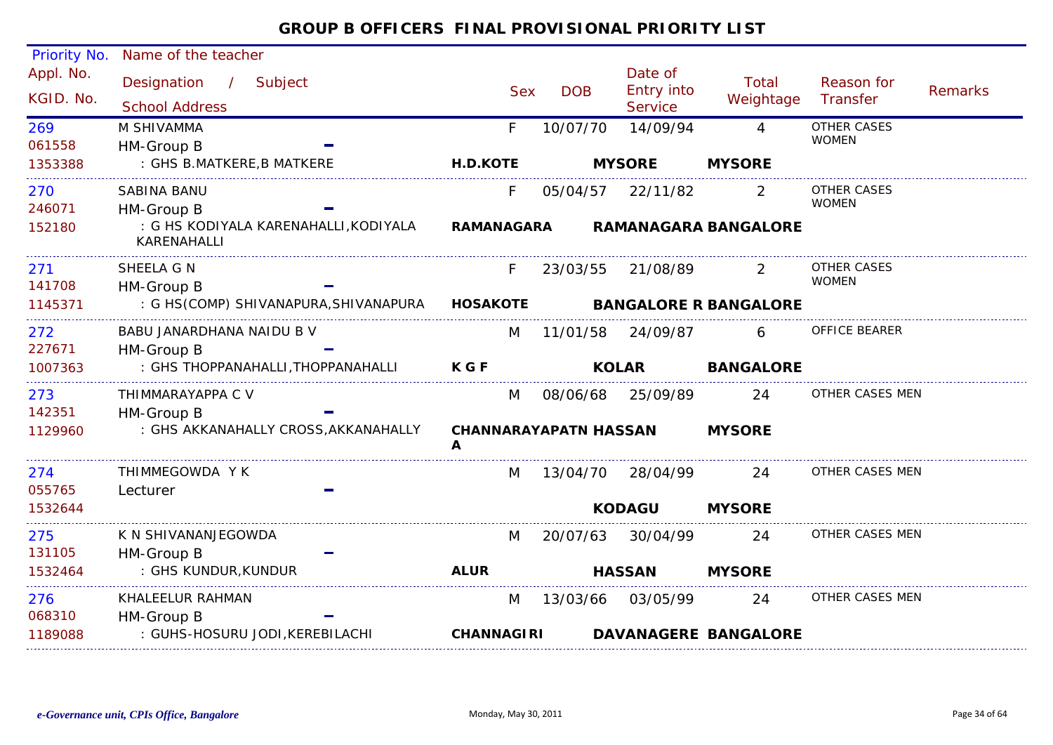| Priority No.           | Name of the teacher                                              |                              |            |                                         |                              |                                    |                |
|------------------------|------------------------------------------------------------------|------------------------------|------------|-----------------------------------------|------------------------------|------------------------------------|----------------|
| Appl. No.<br>KGID. No. | Designation<br>$\frac{1}{2}$<br>Subject<br><b>School Address</b> | <b>Sex</b>                   | <b>DOB</b> | Date of<br>Entry into<br><b>Service</b> | Total<br>Weightage           | Reason for<br>Transfer             | <b>Remarks</b> |
| 269                    | M SHIVAMMA                                                       | F.                           | 10/07/70   | 14/09/94                                | $\overline{4}$               | <b>OTHER CASES</b><br><b>WOMEN</b> |                |
| 061558                 | HM-Group B                                                       |                              |            |                                         |                              |                                    |                |
| 1353388                | : GHS B.MATKERE, B MATKERE                                       | <b>H.D.KOTE</b>              |            | <b>MYSORE</b>                           | <b>MYSORE</b>                |                                    |                |
| 270                    | SABINA BANU                                                      | F.                           | 05/04/57   | 22/11/82                                | 2                            | OTHER CASES                        |                |
| 246071                 | HM-Group B                                                       |                              |            |                                         |                              | <b>WOMEN</b>                       |                |
| 152180                 | : G HS KODIYALA KARENAHALLI, KODIYALA<br>KARENAHALLI             | <b>RAMANAGARA</b>            |            |                                         | <b>RAMANAGARA BANGALORE</b>  |                                    |                |
| 271                    | SHEELA G N                                                       | F.,                          |            | 23/03/55 21/08/89                       |                              | OTHER CASES                        |                |
| 141708                 | HM-Group B                                                       |                              |            |                                         |                              | <b>WOMEN</b>                       |                |
| 1145371                | : G HS(COMP) SHIVANAPURA, SHIVANAPURA HOSAKOTE                   |                              |            |                                         | <b>BANGALORE R BANGALORE</b> |                                    |                |
| 272                    | BABU JANARDHANA NAIDU B V                                        | M                            | 11/01/58   | 24/09/87                                | 6                            | OFFICE BEARER                      |                |
| 227671                 | HM-Group B                                                       |                              |            |                                         |                              |                                    |                |
| 1007363                | : GHS THOPPANAHALLI, THOPPANAHALLI                               | <b>KGF</b>                   |            | <b>KOLAR</b>                            | <b>BANGALORE</b>             |                                    |                |
| 273                    | THIMMARAYAPPA C V                                                | M                            |            | 08/06/68 25/09/89                       | 24                           | OTHER CASES MEN                    |                |
| 142351                 | HM-Group B                                                       |                              |            |                                         |                              |                                    |                |
| 1129960                | : GHS AKKANAHALLY CROSS, AKKANAHALLY                             | <b>CHANNARAYAPATN HASSAN</b> |            |                                         | <b>MYSORE</b>                |                                    |                |
| 274<br>055765          | THIMMEGOWDA Y K<br>Lecturer                                      | M                            |            | 13/04/70 28/04/99                       | 24                           | OTHER CASES MEN                    |                |
| 1532644                |                                                                  |                              |            | <b>KODAGU</b>                           | <b>MYSORE</b>                |                                    |                |
| 275                    | K N SHIVANANJEGOWDA                                              | M                            | 20/07/63   | 30/04/99                                | 24                           | OTHER CASES MEN                    |                |
| 131105                 | HM-Group B                                                       |                              |            |                                         |                              |                                    |                |
| 1532464                | : GHS KUNDUR, KUNDUR                                             | <b>ALUR</b>                  |            | <b>HASSAN</b>                           | <b>MYSORE</b>                |                                    |                |
| 276                    | KHALEELUR RAHMAN                                                 | M                            |            | 13/03/66 03/05/99                       | 24                           | OTHER CASES MEN                    |                |
| 068310                 | HM-Group B                                                       |                              |            |                                         |                              |                                    |                |
| 1189088                | : GUHS-HOSURU JODI, KEREBILACHI                                  | <b>CHANNAGIRI</b>            |            |                                         | <b>DAVANAGERE BANGALORE</b>  |                                    |                |
|                        |                                                                  |                              |            |                                         |                              |                                    |                |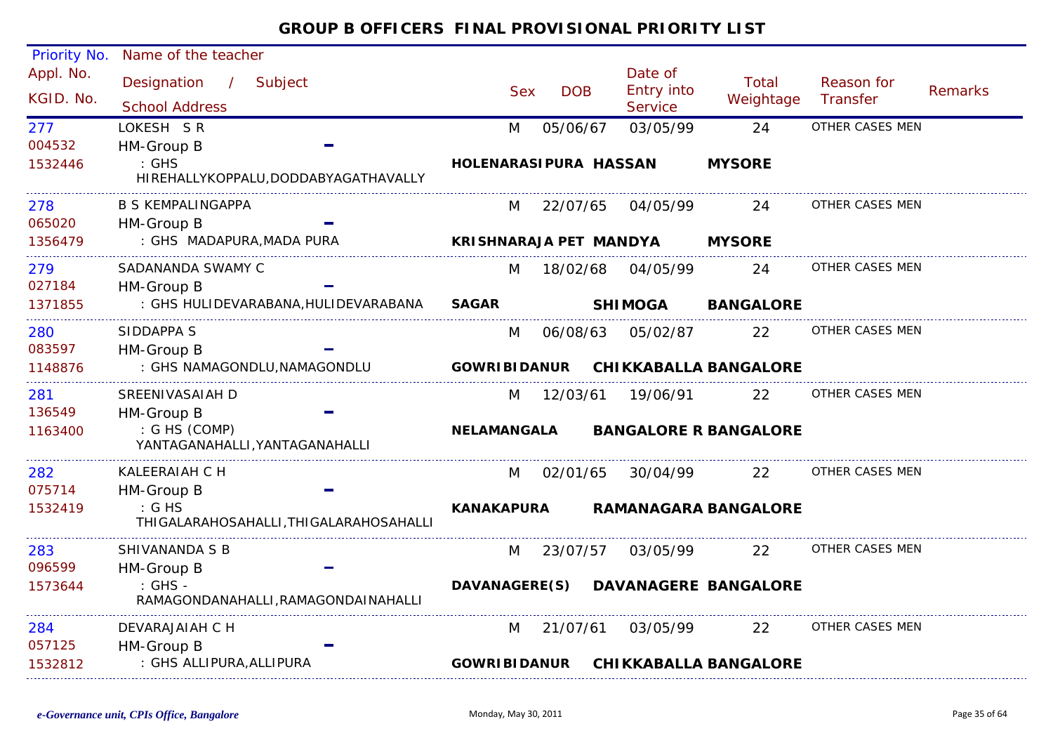| Priority No.      | Name of the teacher                                        |                        |            |                       |                              |                        |         |
|-------------------|------------------------------------------------------------|------------------------|------------|-----------------------|------------------------------|------------------------|---------|
| Appl. No.         | Designation<br>/ Subject                                   |                        |            | Date of<br>Entry into | Total                        | Reason for             |         |
| KGID. No.         | <b>School Address</b>                                      | <b>Sex</b>             | <b>DOB</b> | <b>Service</b>        | Weightage                    | Transfer               | Remarks |
| 277               | LOKESH SR                                                  | M                      | 05/06/67   | 03/05/99              | 24                           | OTHER CASES MEN        |         |
| 004532            | HM-Group B                                                 |                        |            |                       |                              |                        |         |
| 1532446           | $\therefore$ GHS<br>HIREHALLYKOPPALU, DODDABYAGATHAVALLY   | HOLENARASIPURA HASSAN  |            |                       | <b>MYSORE</b>                |                        |         |
| 278<br>065020     | B S KEMPALINGAPPA                                          | M                      | 22/07/65   | 04/05/99              | 24                           | OTHER CASES MEN        |         |
| 1356479           | HM-Group B<br>: GHS MADAPURA, MADA PURA                    | KRISHNARAJA PET MANDYA |            |                       | <b>MYSORE</b>                |                        |         |
| 279               | SADANANDA SWAMY C                                          | M                      |            | 18/02/68 04/05/99     | 24                           | OTHER CASES MEN        |         |
| 027184<br>1371855 | HM-Group B<br>: GHS HULIDEVARABANA, HULIDEVARABANA         | <b>SAGAR</b>           |            | <b>SHIMOGA</b>        | <b>BANGALORE</b>             |                        |         |
|                   |                                                            |                        |            |                       |                              |                        |         |
| 280<br>083597     | SIDDAPPA S                                                 | M                      | 06/08/63   | 05/02/87              | 22                           | <b>OTHER CASES MEN</b> |         |
| 1148876           | HM-Group B<br>: GHS NAMAGONDLU, NAMAGONDLU                 | <b>GOWRIBIDANUR</b>    |            |                       | <b>CHIKKABALLA BANGALORE</b> |                        |         |
| 281               | SREENIVASAIAH D                                            |                        |            |                       | 22                           | OTHER CASES MEN        |         |
| 136549            | HM-Group B                                                 | M                      | 12/03/61   | 19/06/91              |                              |                        |         |
| 1163400           | : G HS (COMP)<br>YANTAGANAHALLI, YANTAGANAHALLI            | <b>NELAMANGALA</b>     |            |                       | <b>BANGALORE R BANGALORE</b> |                        |         |
| 282               | KALEERAIAH C H                                             | M                      | 02/01/65   | 30/04/99              | 22                           | OTHER CASES MEN        |         |
| 075714            | HM-Group B                                                 |                        |            |                       |                              |                        |         |
| 1532419           | $\mathcal{G}$ HS<br>THIGALARAHOSAHALLI, THIGALARAHOSAHALLI | <b>KANAKAPURA</b>      |            |                       | <b>RAMANAGARA BANGALORE</b>  |                        |         |
| 283               | SHIVANANDA S B                                             | M                      | 23/07/57   | 03/05/99              | 22                           | OTHER CASES MEN        |         |
| 096599            | HM-Group B                                                 |                        |            |                       |                              |                        |         |
| 1573644           | $:$ GHS -<br>RAMAGONDANAHALLI, RAMAGONDAINAHALLI           | <b>DAVANAGERE(S)</b>   |            |                       | <b>DAVANAGERE BANGALORE</b>  |                        |         |
| 284               | DEVARAJAIAH C H                                            | M                      | 21/07/61   | 03/05/99              | 22                           | OTHER CASES MEN        |         |
| 057125<br>1532812 | HM-Group B<br>: GHS ALLIPURA, ALLIPURA                     | <b>GOWRIBIDANUR</b>    |            |                       | <b>CHIKKABALLA BANGALORE</b> |                        |         |
|                   |                                                            |                        |            |                       |                              |                        |         |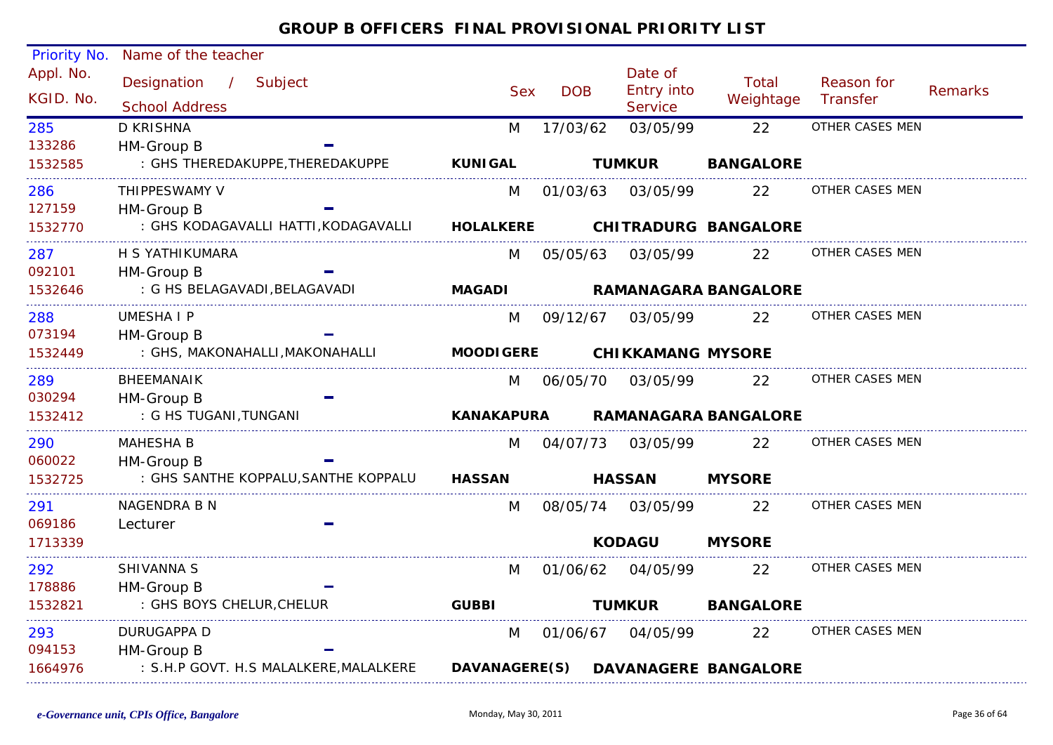| Priority No.           | Name of the teacher                                              |                   |            |                                  |                             |                        |                |
|------------------------|------------------------------------------------------------------|-------------------|------------|----------------------------------|-----------------------------|------------------------|----------------|
| Appl. No.<br>KGID. No. | Designation<br>$\mathcal{L}$<br>Subject<br><b>School Address</b> | <b>Sex</b>        | <b>DOB</b> | Date of<br>Entry into<br>Service | Total<br>Weightage          | Reason for<br>Transfer | <b>Remarks</b> |
| 285                    | <b>D KRISHNA</b>                                                 | M                 | 17/03/62   | 03/05/99                         | 22                          | OTHER CASES MEN        |                |
| 133286                 | HM-Group B                                                       |                   |            |                                  |                             |                        |                |
| 1532585                | : GHS THEREDAKUPPE, THEREDAKUPPE                                 | <b>KUNIGAL</b>    |            | <b>TUMKUR</b>                    | <b>BANGALORE</b>            |                        |                |
| 286                    | THIPPESWAMY V                                                    | M                 | 01/03/63   | 03/05/99                         | 22                          | OTHER CASES MEN        |                |
| 127159                 | HM-Group B                                                       |                   |            |                                  |                             |                        |                |
| 1532770                | : GHS KODAGAVALLI HATTI, KODAGAVALLI                             | <b>HOLALKERE</b>  |            |                                  | <b>CHITRADURG BANGALORE</b> |                        |                |
| 287                    | H S YATHIKUMARA                                                  | M                 | 05/05/63   | 03/05/99                         | 22                          | OTHER CASES MEN        |                |
| 092101                 | HM-Group B                                                       |                   |            |                                  |                             |                        |                |
| 1532646                | : G HS BELAGAVADI, BELAGAVADI                                    | <b>MAGADI</b>     |            |                                  | <b>RAMANAGARA BANGALORE</b> |                        |                |
| 288                    | <b>UMESHAIP</b>                                                  | M                 | 09/12/67   | 03/05/99                         | 22                          | OTHER CASES MEN        |                |
| 073194                 | HM-Group B                                                       |                   |            |                                  |                             |                        |                |
| 1532449                | : GHS, MAKONAHALLI, MAKONAHALLI                                  | <b>MOODIGERE</b>  |            | <b>CHIKKAMANG MYSORE</b>         |                             |                        |                |
| 289                    | <b>BHEEMANAIK</b>                                                | M                 | 06/05/70   | 03/05/99                         | 22                          | OTHER CASES MEN        |                |
| 030294                 | HM-Group B                                                       |                   |            |                                  |                             |                        |                |
| 1532412                | : G HS TUGANI, TUNGANI                                           | <b>KANAKAPURA</b> |            |                                  | <b>RAMANAGARA BANGALORE</b> |                        |                |
| 290                    | <b>MAHESHA B</b>                                                 | M                 | 04/07/73   | 03/05/99                         | 22                          | OTHER CASES MEN        |                |
| 060022                 | HM-Group B                                                       |                   |            |                                  |                             |                        |                |
| 1532725                | : GHS SANTHE KOPPALU, SANTHE KOPPALU                             | <b>HASSAN</b>     |            | <b>HASSAN</b>                    | <b>MYSORE</b>               |                        |                |
| 291                    | NAGENDRA B N                                                     | M                 | 08/05/74   | 03/05/99                         | 22                          | OTHER CASES MEN        |                |
| 069186                 | Lecturer                                                         |                   |            |                                  |                             |                        |                |
| 1713339                |                                                                  |                   |            | <b>KODAGU</b>                    | <b>MYSORE</b>               |                        |                |
| 292                    | SHIVANNA S                                                       | M                 | 01/06/62   | 04/05/99                         | 22                          | OTHER CASES MEN        |                |
| 178886                 | HM-Group B                                                       |                   |            |                                  |                             |                        |                |
| 1532821                | : GHS BOYS CHELUR, CHELUR                                        | <b>GUBBI</b>      |            | <b>TUMKUR</b>                    | <b>BANGALORE</b>            |                        |                |
| 293                    | <b>DURUGAPPA D</b>                                               | M                 | 01/06/67   | 04/05/99                         | 22                          | OTHER CASES MEN        |                |
| 094153                 | HM-Group B                                                       |                   |            |                                  |                             |                        |                |
| 1664976                | : S.H.P GOVT. H.S MALALKERE, MALALKERE                           | DAVANAGERE(S)     |            |                                  | <b>DAVANAGERE BANGALORE</b> |                        |                |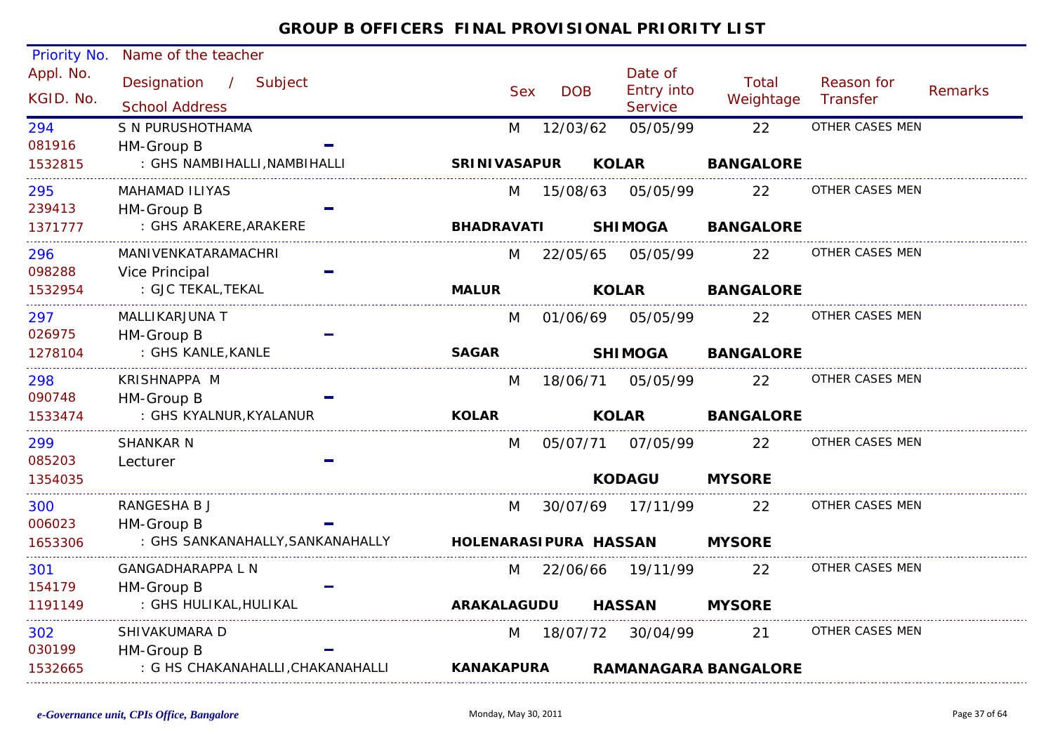| Priority No.  | Name of the teacher                        |                       |            |            |                              |                             |                 |                |
|---------------|--------------------------------------------|-----------------------|------------|------------|------------------------------|-----------------------------|-----------------|----------------|
| Appl. No.     | Designation<br>$\frac{1}{2}$<br>Subject    |                       |            |            | Date of                      | Total                       | Reason for      |                |
| KGID. No.     | <b>School Address</b>                      |                       | <b>Sex</b> | <b>DOB</b> | <b>Entry into</b><br>Service | Weightage                   | Transfer        | <b>Remarks</b> |
|               |                                            |                       |            |            |                              |                             | OTHER CASES MEN |                |
| 294<br>081916 | S N PURUSHOTHAMA                           | M                     |            | 12/03/62   | 05/05/99                     | 22                          |                 |                |
|               | HM-Group B<br>: GHS NAMBIHALLI, NAMBIHALLI |                       |            |            |                              | <b>BANGALORE</b>            |                 |                |
| 1532815       |                                            | <b>SRINIVASAPUR</b>   |            |            | <b>KOLAR</b>                 |                             |                 |                |
| 295           | <b>MAHAMAD ILIYAS</b>                      | M                     |            | 15/08/63   | 05/05/99                     | 22                          | OTHER CASES MEN |                |
| 239413        | HM-Group B                                 |                       |            |            |                              |                             |                 |                |
| 1371777       | : GHS ARAKERE, ARAKERE                     | <b>BHADRAVATI</b>     |            |            | <b>SHIMOGA</b>               | <b>BANGALORE</b>            |                 |                |
| 296           | MANIVENKATARAMACHRI                        | M                     |            | 22/05/65   | 05/05/99                     | 22                          | OTHER CASES MEN |                |
| 098288        | Vice Principal                             |                       |            |            |                              |                             |                 |                |
| 1532954       | : GJC TEKAL, TEKAL                         | <b>MALUR</b>          |            |            | <b>KOLAR</b>                 | <b>BANGALORE</b>            |                 |                |
| 297           | MALLIKARJUNA T                             | M                     |            |            | 01/06/69 05/05/99            | 22                          | OTHER CASES MEN |                |
| 026975        | HM-Group B                                 |                       |            |            |                              |                             |                 |                |
| 1278104       | : GHS KANLE, KANLE                         | <b>SAGAR</b>          |            |            | <b>SHIMOGA</b>               | <b>BANGALORE</b>            |                 |                |
| 298           | KRISHNAPPA M                               | M                     |            | 18/06/71   | 05/05/99                     | 22                          | OTHER CASES MEN |                |
| 090748        | HM-Group B                                 |                       |            |            |                              |                             |                 |                |
| 1533474       | : GHS KYALNUR, KYALANUR                    | <b>KOLAR</b>          |            |            | <b>KOLAR</b>                 | <b>BANGALORE</b>            |                 |                |
| 299           | <b>SHANKAR N</b>                           | M                     |            |            | 05/07/71 07/05/99            | 22                          | OTHER CASES MEN |                |
| 085203        | Lecturer                                   |                       |            |            |                              |                             |                 |                |
| 1354035       |                                            |                       |            |            | <b>KODAGU</b>                | <b>MYSORE</b>               |                 |                |
| 300           | RANGESHA B J                               | M                     |            | 30/07/69   | 17/11/99                     | 22                          | OTHER CASES MEN |                |
| 006023        | HM-Group B                                 |                       |            |            |                              |                             |                 |                |
| 1653306       | : GHS SANKANAHALLY, SANKANAHALLY           | HOLENARASIPURA HASSAN |            |            |                              | <b>MYSORE</b>               |                 |                |
| 301           | <b>GANGADHARAPPA L N</b>                   | M                     |            |            | 22/06/66 19/11/99            | 22                          | OTHER CASES MEN |                |
| 154179        | HM-Group B                                 |                       |            |            |                              |                             |                 |                |
| 1191149       | : GHS HULIKAL, HULIKAL                     | <b>ARAKALAGUDU</b>    |            |            | <b>HASSAN</b>                | <b>MYSORE</b>               |                 |                |
| 302           | SHIVAKUMARA D                              | M                     |            | 18/07/72   | 30/04/99                     | 21                          | OTHER CASES MEN |                |
| 030199        | HM-Group B                                 |                       |            |            |                              |                             |                 |                |
| 1532665       | : G HS CHAKANAHALLI, CHAKANAHALLI          | <b>KANAKAPURA</b>     |            |            |                              | <b>RAMANAGARA BANGALORE</b> |                 |                |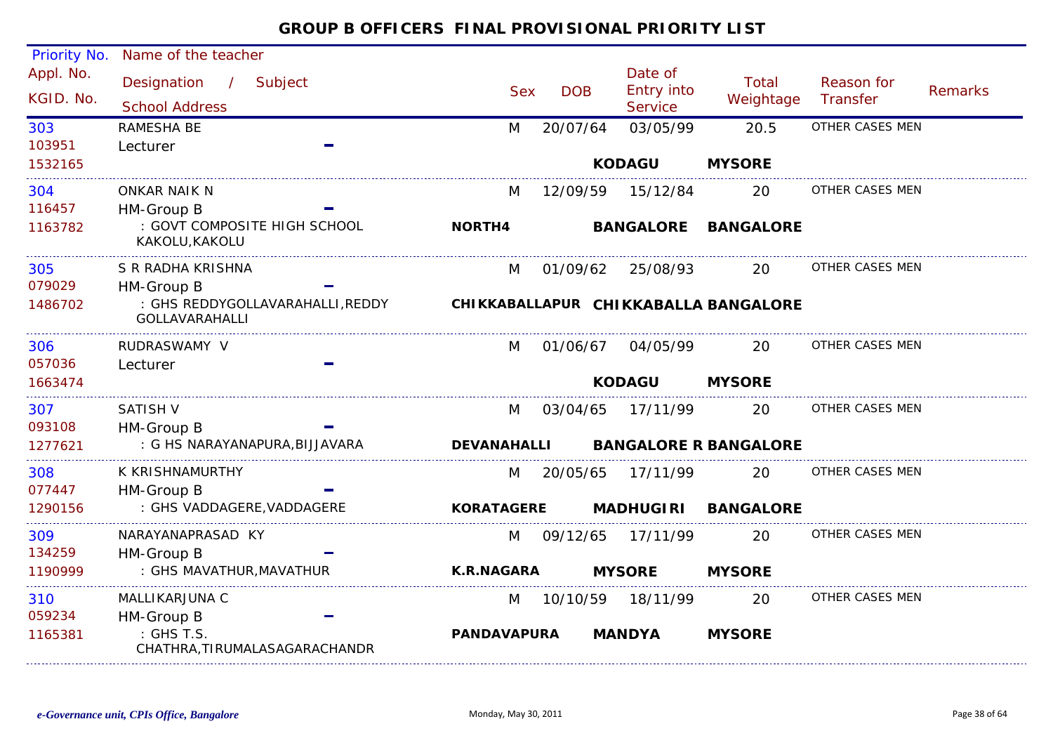| <b>Priority No.</b>    | Name of the teacher                                              |                    |            |                                         |                                      |                        |                |
|------------------------|------------------------------------------------------------------|--------------------|------------|-----------------------------------------|--------------------------------------|------------------------|----------------|
| Appl. No.<br>KGID. No. | Designation<br>$\frac{1}{2}$<br>Subject<br><b>School Address</b> | <b>Sex</b>         | <b>DOB</b> | Date of<br><b>Entry into</b><br>Service | Total<br>Weightage                   | Reason for<br>Transfer | <b>Remarks</b> |
| 303                    | RAMESHA BE                                                       | M                  | 20/07/64   | 03/05/99                                | 20.5                                 | OTHER CASES MEN        |                |
| 103951                 | Lecturer                                                         |                    |            |                                         |                                      |                        |                |
| 1532165                |                                                                  |                    |            | <b>KODAGU</b>                           | <b>MYSORE</b>                        |                        |                |
| 304                    | <b>ONKAR NAIK N</b>                                              | M                  | 12/09/59   | 15/12/84                                | 20                                   | OTHER CASES MEN        |                |
| 116457                 | HM-Group B                                                       |                    |            |                                         |                                      |                        |                |
| 1163782                | : GOVT COMPOSITE HIGH SCHOOL<br>KAKOLU, KAKOLU                   | <b>NORTH4</b>      |            | <b>BANGALORE</b>                        | <b>BANGALORE</b>                     |                        |                |
| 305                    | S R RADHA KRISHNA                                                | M                  | 01/09/62   | 25/08/93                                | 20                                   | OTHER CASES MEN        |                |
| 079029                 | HM-Group B                                                       |                    |            |                                         |                                      |                        |                |
| 1486702                | : GHS REDDYGOLLAVARAHALLI, REDDY<br><b>GOLLAVARAHALLI</b>        |                    |            |                                         | CHIKKABALLAPUR CHIKKABALLA BANGALORE |                        |                |
| 306                    | RUDRASWAMY V                                                     | M                  | 01/06/67   | 04/05/99                                | 20                                   | OTHER CASES MEN        |                |
| 057036                 | Lecturer                                                         |                    |            |                                         |                                      |                        |                |
| 1663474                |                                                                  |                    |            | <b>KODAGU</b>                           | <b>MYSORE</b>                        |                        |                |
| 307                    | <b>SATISH V</b>                                                  | M                  | 03/04/65   | 17/11/99                                | 20                                   | OTHER CASES MEN        |                |
| 093108                 | HM-Group B                                                       |                    |            |                                         |                                      |                        |                |
| 1277621                | : G HS NARAYANAPURA, BIJJAVARA                                   | <b>DEVANAHALLI</b> |            |                                         | <b>BANGALORE R BANGALORE</b>         |                        |                |
| 308                    | K KRISHNAMURTHY                                                  | M                  | 20/05/65   | 17/11/99                                | 20                                   | OTHER CASES MEN        |                |
| 077447                 | HM-Group B                                                       |                    |            |                                         |                                      |                        |                |
| 1290156                | : GHS VADDAGERE, VADDAGERE                                       | <b>KORATAGERE</b>  |            | <b>MADHUGIRI</b>                        | <b>BANGALORE</b>                     |                        |                |
| 309                    | NARAYANAPRASAD KY                                                | M                  | 09/12/65   | 17/11/99                                | 20                                   | OTHER CASES MEN        |                |
| 134259                 | HM-Group B                                                       |                    |            |                                         |                                      |                        |                |
| 1190999                | : GHS MAVATHUR, MAVATHUR                                         | <b>K.R.NAGARA</b>  |            | <b>MYSORE</b>                           | <b>MYSORE</b>                        |                        |                |
| 310                    | MALLIKARJUNA C                                                   | M                  | 10/10/59   | 18/11/99                                | 20                                   | OTHER CASES MEN        |                |
| 059234                 | HM-Group B                                                       |                    |            |                                         |                                      |                        |                |
| 1165381                | : GHS T.S.<br>CHATHRA, TIRUMALASAGARACHANDR                      | <b>PANDAVAPURA</b> |            | <b>MANDYA</b>                           | <b>MYSORE</b>                        |                        |                |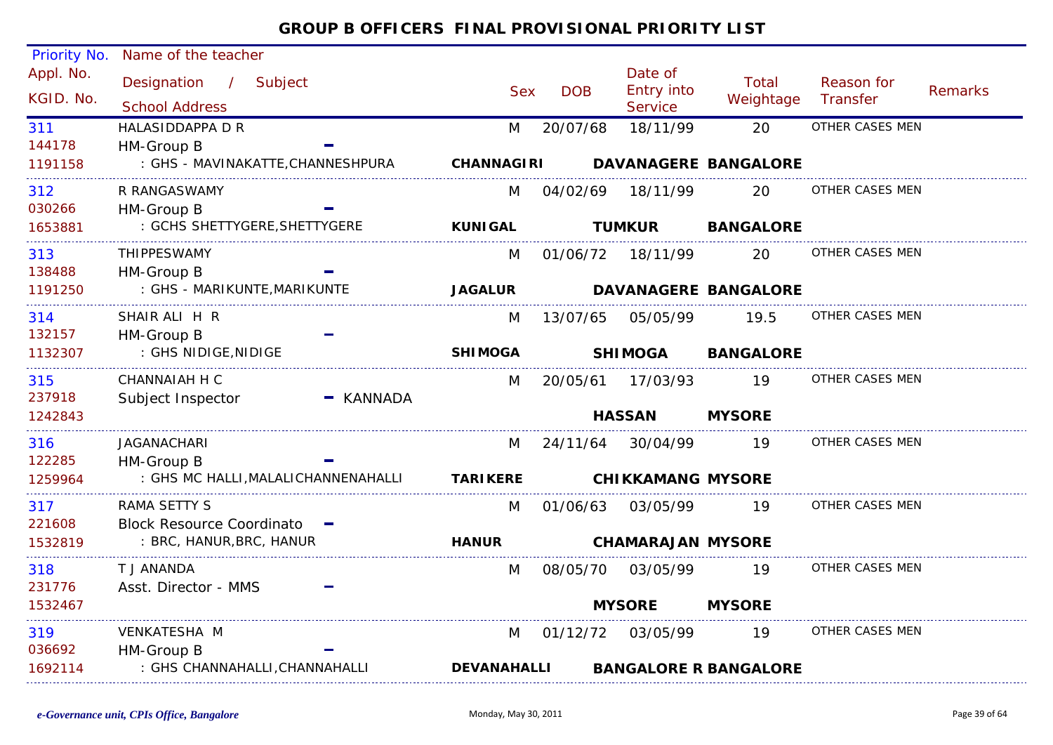| Priority No.<br>Appl. No.<br>KGID. No.<br>311<br>144178<br>1191158<br>312 | Name of the teacher<br>Designation<br>/ Subject<br><b>School Address</b><br>HALASIDDAPPA D R<br>HM-Group B<br>: GHS - MAVINAKATTE, CHANNESHPURA<br>R RANGASWAMY |           | <b>Sex</b><br>M<br><b>CHANNAGIRI</b><br>M | <b>DOB</b><br>20/07/68<br>04/02/69 | Date of<br>Entry into<br><b>Service</b><br>18/11/99<br>18/11/99 | <b>Total</b><br>Weightage<br>20<br><b>DAVANAGERE BANGALORE</b><br>20 | Reason for<br><b>Transfer</b><br>OTHER CASES MEN<br>OTHER CASES MEN | <b>Remarks</b> |
|---------------------------------------------------------------------------|-----------------------------------------------------------------------------------------------------------------------------------------------------------------|-----------|-------------------------------------------|------------------------------------|-----------------------------------------------------------------|----------------------------------------------------------------------|---------------------------------------------------------------------|----------------|
| 030266<br>1653881                                                         | HM-Group B<br>: GCHS SHETTYGERE, SHETTYGERE                                                                                                                     |           | <b>KUNIGAL</b>                            |                                    | <b>TUMKUR</b>                                                   | <b>BANGALORE</b>                                                     |                                                                     |                |
| 313<br>138488<br>1191250                                                  | <b>THIPPESWAMY</b><br>HM-Group B<br>: GHS - MARIKUNTE, MARIKUNTE                                                                                                |           | M<br><b>JAGALUR</b>                       |                                    | 01/06/72 18/11/99                                               | 20<br><b>DAVANAGERE BANGALORE</b>                                    | OTHER CASES MEN                                                     |                |
| 314<br>132157<br>1132307                                                  | SHAIR ALI H R<br>HM-Group B<br>: GHS NIDIGE, NIDIGE                                                                                                             |           | M<br><b>SHIMOGA</b>                       | 13/07/65                           | 05/05/99<br><b>SHIMOGA</b>                                      | 19.5<br><b>BANGALORE</b>                                             | OTHER CASES MEN                                                     |                |
| 315<br>237918<br>1242843                                                  | CHANNAIAH H C<br>Subject Inspector                                                                                                                              | - KANNADA | M                                         | 20/05/61                           | 17/03/93<br><b>HASSAN</b>                                       | 19<br><b>MYSORE</b>                                                  | OTHER CASES MEN                                                     |                |
| 316<br>122285<br>1259964                                                  | <b>JAGANACHARI</b><br>HM-Group B<br>: GHS MC HALLI, MALALICHANNENAHALLI                                                                                         |           | M<br><b>TARIKERE</b>                      | 24/11/64                           | 30/04/99<br><b>CHIKKAMANG MYSORE</b>                            | 19                                                                   | OTHER CASES MEN                                                     |                |
| 317<br>221608<br>1532819                                                  | RAMA SETTY S<br>Block Resource Coordinato -<br>: BRC, HANUR, BRC, HANUR                                                                                         |           | M<br><b>HANUR</b>                         | 01/06/63                           | 03/05/99<br><b>CHAMARAJAN MYSORE</b>                            | 19                                                                   | OTHER CASES MEN                                                     |                |
| 318<br>231776<br>1532467                                                  | T J ANANDA<br>Asst. Director - MMS                                                                                                                              |           | M                                         | 08/05/70                           | 03/05/99<br><b>MYSORE</b>                                       | 19<br><b>MYSORE</b>                                                  | OTHER CASES MEN                                                     |                |
| 319<br>036692<br>1692114                                                  | VENKATESHA M<br>HM-Group B<br>: GHS CHANNAHALLI, CHANNAHALLI                                                                                                    |           | M<br><b>DEVANAHALLI</b>                   | 01/12/72                           | 03/05/99                                                        | 19<br><b>BANGALORE R BANGALORE</b>                                   | OTHER CASES MEN                                                     |                |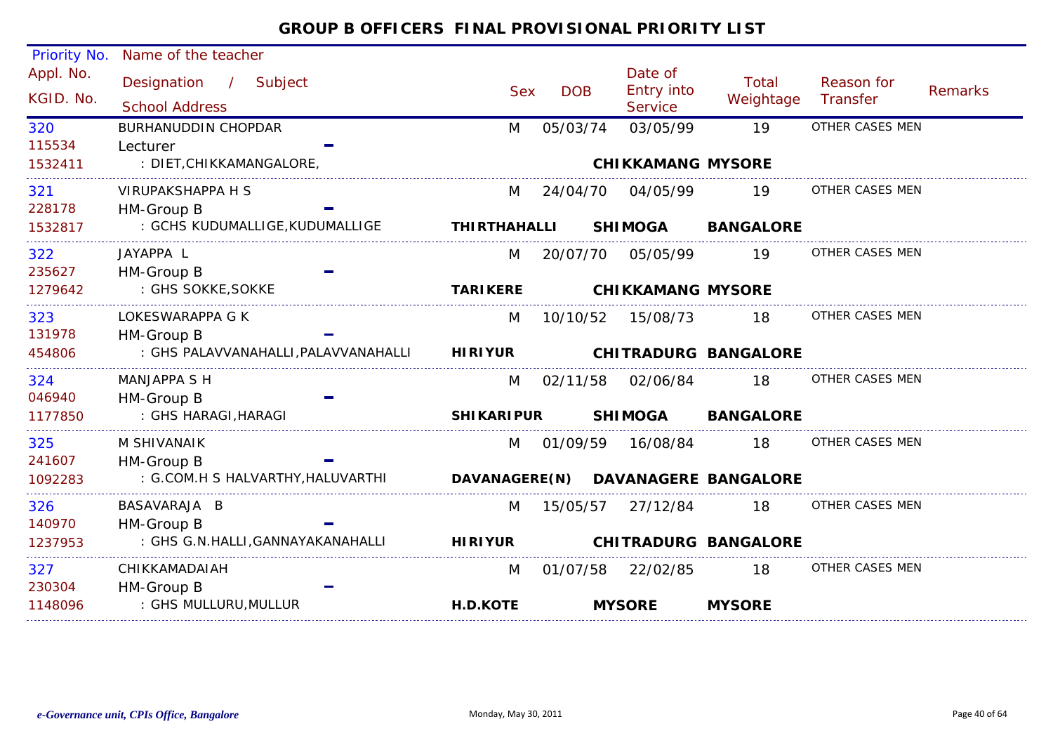| <b>Priority No.</b>    | Name of the teacher                            |                     |            |                                         |                             |                        |         |
|------------------------|------------------------------------------------|---------------------|------------|-----------------------------------------|-----------------------------|------------------------|---------|
| Appl. No.<br>KGID. No. | Designation / Subject<br><b>School Address</b> | <b>Sex</b>          | <b>DOB</b> | Date of<br><b>Entry into</b><br>Service | Total<br>Weightage          | Reason for<br>Transfer | Remarks |
| 320                    | BURHANUDDIN CHOPDAR                            | M                   | 05/03/74   | 03/05/99                                | 19                          | OTHER CASES MEN        |         |
| 115534                 | Lecturer                                       |                     |            |                                         |                             |                        |         |
| 1532411                | : DIET,CHIKKAMANGALORE,                        |                     |            | <b>CHIKKAMANG MYSORE</b>                |                             |                        |         |
| 321                    | VIRUPAKSHAPPA H S                              | M                   | 24/04/70   | 04/05/99                                | 19                          | OTHER CASES MEN        |         |
| 228178                 | HM-Group B                                     |                     |            |                                         |                             |                        |         |
| 1532817                | : GCHS KUDUMALLIGE, KUDUMALLIGE                | <b>THIRTHAHALLI</b> |            | <b>SHIMOGA</b>                          | <b>BANGALORE</b>            |                        |         |
| 322                    | JAYAPPA L                                      | M                   | 20/07/70   | 05/05/99                                | 19                          | OTHER CASES MEN        |         |
| 235627                 | HM-Group B                                     |                     |            |                                         |                             |                        |         |
| 1279642                | : GHS SOKKE, SOKKE                             | <b>TARIKERE</b>     |            | <b>CHIKKAMANG MYSORE</b>                |                             |                        |         |
| 323                    | LOKESWARAPPA G K                               | M                   |            |                                         | - 18                        | OTHER CASES MEN        |         |
| 131978                 | HM-Group B                                     |                     |            |                                         |                             |                        |         |
| 454806                 | : GHS PALAVVANAHALLI, PALAVVANAHALLI HIRIYUR   |                     |            |                                         | <b>CHITRADURG BANGALORE</b> |                        |         |
| 324                    | <b>MANJAPPA S H</b>                            |                     | M 02/11/58 | 02/06/84                                | 18                          | OTHER CASES MEN        |         |
| 046940                 | HM-Group B                                     |                     |            |                                         |                             |                        |         |
| 1177850                | : GHS HARAGI, HARAGI                           | <b>SHIKARIPUR</b>   |            | <b>SHIMOGA</b>                          | <b>BANGALORE</b>            |                        |         |
| 325                    | M SHIVANAIK                                    | M                   |            | 01/09/59 16/08/84                       | 18                          | OTHER CASES MEN        |         |
| 241607                 | HM-Group B                                     |                     |            |                                         |                             |                        |         |
| 1092283                | : G.COM.H S HALVARTHY, HALUVARTHI              | DAVANAGERE(N)       |            |                                         | <b>DAVANAGERE BANGALORE</b> |                        |         |
| 326                    | BASAVARAJA B                                   | M                   | 15/05/57   | 27/12/84                                | 18                          | OTHER CASES MEN        |         |
| 140970                 | HM-Group B                                     |                     |            |                                         |                             |                        |         |
| 1237953                | : GHS G.N.HALLI, GANNAYAKANAHALLI              | <b>HIRIYUR</b>      |            |                                         | <b>CHITRADURG BANGALORE</b> |                        |         |
| 327                    | CHIKKAMADAIAH                                  | M                   | 01/07/58   | 22/02/85                                | 18                          | OTHER CASES MEN        |         |
| 230304                 | HM-Group B                                     |                     |            |                                         |                             |                        |         |
| 1148096                | : GHS MULLURU,MULLUR                           | H.D.KOTE            |            | <b>MYSORE</b>                           | <b>MYSORE</b>               |                        |         |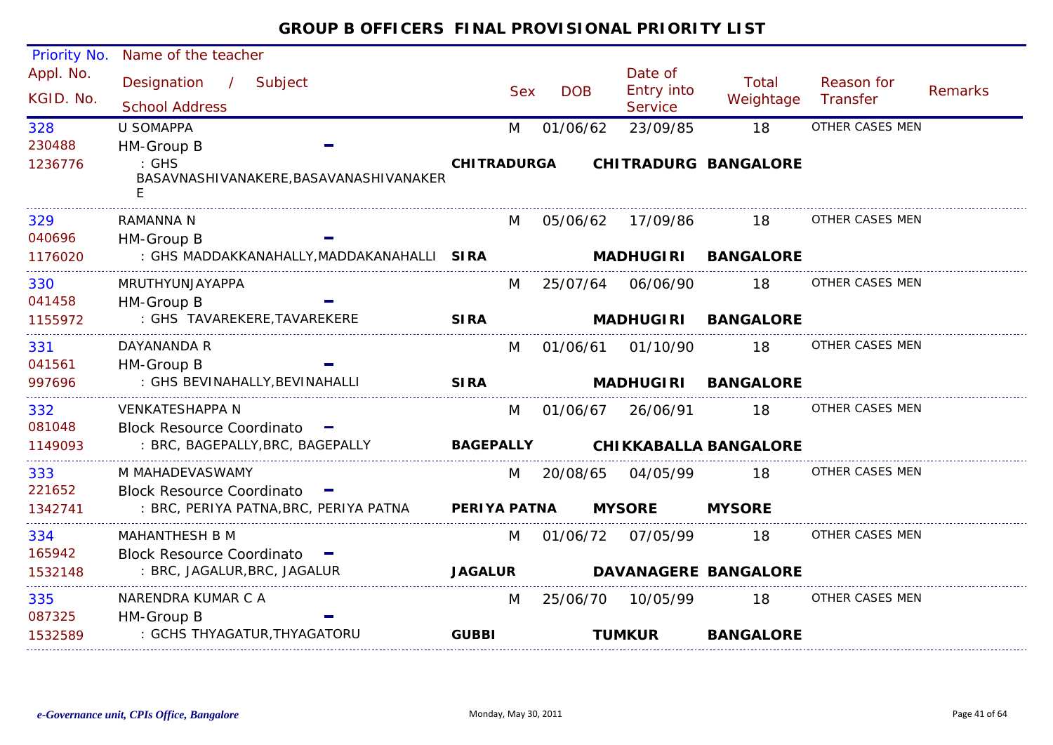#### Priority No. Name of the teacher Appl. No. Date of<br>Entry into Designation / Subject Sex DOB Reason for /Total Remarks KGID. No.School Address School Address School Address Sex Service Weightage Transfer**Service** 328U SOMAPPAM 01/06/62 23/09/85 18 OTHER CASES MEN 230488HM-Group B : GHS **CHITRADURGA CHITRADURG BANGALORE**1236776BASAVNASHIVANAKERE,BASAVANASHIVANAKER ERAMANNA N3299 RAMANNA N M 05/06/62 17/09/86 18 OTHER CASES MEN M 05/06/62 17/09/86040696HM-Group B **MADHUGIRI BANGALORE**1176020 : GHS MADDAKKANAHALLY,MADDAKANAHALLI **SIRA**330M 25/07/64 06/06/90 18 OTHER CASES MEN MRUTHYUNJAYAPPA041458HM-Group B : GHS TAVAREKERE,TAVAREKERE **SIRA**1155972 **MADHUGIRI BANGALORE**M 01/06/61 01/10/90 18 OTHER CASES MEN DAYANANDA R331041561HM-Group B : GHS BEVINAHALLY,BEVINAHALLI 997696**SIRA MADHUGIRI BANGALORE**3322 VENKATESHAPPA N M 01/06/67 26/06/91 18 OTHER CASES MEN M 01/06/67 26/06/91081048Block Resource Coordinato  $\blacksquare$ 1149093 : BRC, BAGEPALLY,BRC, BAGEPALLY **BAGEPALLY CHIKKABALLA BANGALORE**M MAHADEVASWAMY333M 20/08/65 04/05/99 18 OTHER CASES MEN Block Resource Coordinato221652 : BRC, PERIYA PATNA,BRC, PERIYA PATNA **MYSORE MYSORE**1342741**PERIYA PATNA**334M 01/06/72 07/05/99 18 OTHER CASES MEN MAHANTHESH B M165942Block Resource Coordinato : BRC, JAGALUR,BRC, JAGALUR 1532148**JAGALUR DAVANAGERE BANGALORE**335M 25/06/70 10/05/99 18 OTHER CASES MEN NARENDRA KUMAR C A087325HM-Group B : GCHS THYAGATUR,THYAGATORU **GUBBI TUMKUR BANGALORE** 1532589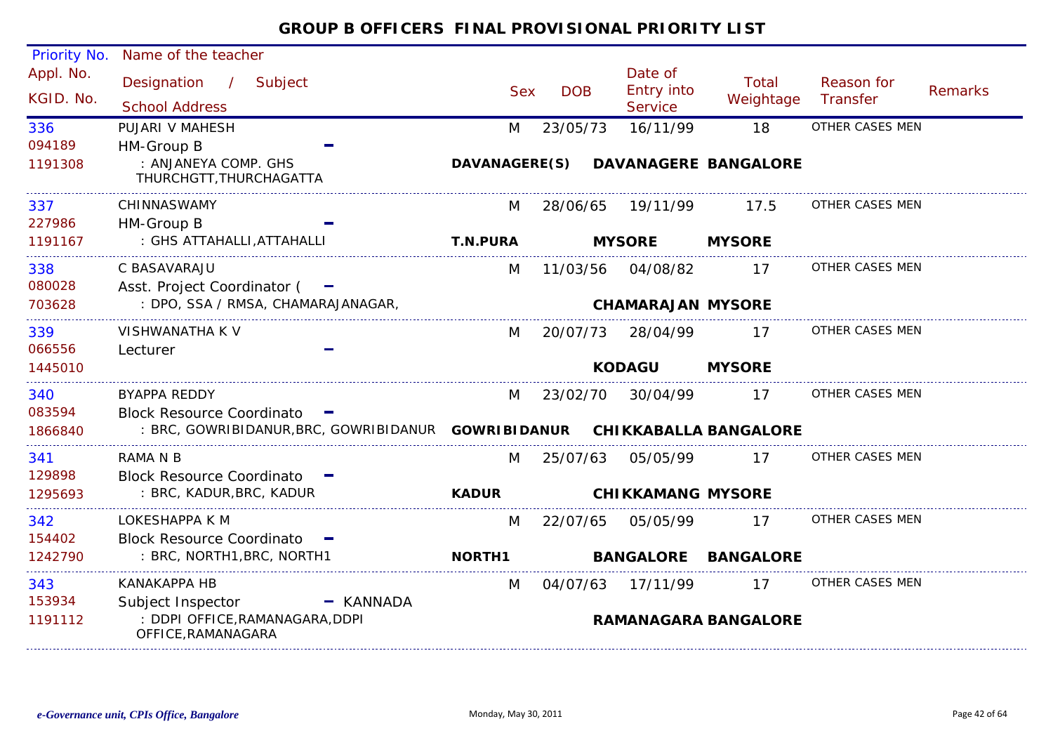| <b>Priority No.</b>    | Name of the teacher                                                       |                      |            |                                         |                             |                        |                |
|------------------------|---------------------------------------------------------------------------|----------------------|------------|-----------------------------------------|-----------------------------|------------------------|----------------|
| Appl. No.<br>KGID. No. | Designation<br>Subject<br>$\mathcal{L}$<br><b>School Address</b>          | <b>Sex</b>           | <b>DOB</b> | Date of<br>Entry into<br><b>Service</b> | Total<br>Weightage          | Reason for<br>Transfer | <b>Remarks</b> |
| 336                    | PUJARI V MAHESH                                                           | M                    | 23/05/73   | 16/11/99                                | 18                          | OTHER CASES MEN        |                |
| 094189                 | HM-Group B                                                                |                      |            |                                         |                             |                        |                |
| 1191308                | : ANJANEYA COMP. GHS<br>THURCHGTT, THURCHAGATTA                           | <b>DAVANAGERE(S)</b> |            |                                         | <b>DAVANAGERE BANGALORE</b> |                        |                |
| 337                    | CHINNASWAMY                                                               | M                    | 28/06/65   | 19/11/99                                | 17.5                        | OTHER CASES MEN        |                |
| 227986                 | HM-Group B                                                                |                      |            |                                         |                             |                        |                |
| 1191167                | : GHS ATTAHALLI, ATTAHALLI                                                | <b>T.N.PURA</b>      |            | <b>MYSORE</b>                           | <b>MYSORE</b>               |                        |                |
| 338                    | C BASAVARAJU                                                              | M                    | 11/03/56   | 04/08/82                                | 17                          | OTHER CASES MEN        |                |
| 080028                 | Asst. Project Coordinator (                                               |                      |            |                                         |                             |                        |                |
| 703628                 | : DPO, SSA / RMSA, CHAMARAJANAGAR,                                        |                      |            | <b>CHAMARAJAN MYSORE</b>                |                             |                        |                |
| 339                    | VISHWANATHA K V                                                           | M                    | 20/07/73   | 28/04/99                                | 17                          | OTHER CASES MEN        |                |
| 066556                 | Lecturer                                                                  |                      |            |                                         |                             |                        |                |
| 1445010                |                                                                           |                      |            | <b>KODAGU</b>                           | <b>MYSORE</b>               |                        |                |
| 340                    | <b>BYAPPA REDDY</b>                                                       | M                    | 23/02/70   | 30/04/99                                | 17                          | OTHER CASES MEN        |                |
| 083594                 | Block Resource Coordinato -                                               |                      |            |                                         |                             |                        |                |
| 1866840                | : BRC, GOWRIBIDANUR, BRC, GOWRIBIDANUR GOWRIBIDANUR CHIKKABALLA BANGALORE |                      |            |                                         |                             |                        |                |
| 341                    | <b>RAMA N B</b>                                                           | M                    | 25/07/63   | 05/05/99                                | 17                          | OTHER CASES MEN        |                |
| 129898                 | Block Resource Coordinato -                                               |                      |            |                                         |                             |                        |                |
| 1295693                | : BRC, KADUR, BRC, KADUR                                                  | <b>KADUR</b>         |            | <b>CHIKKAMANG MYSORE</b>                |                             |                        |                |
| 342                    | LOKESHAPPA K M                                                            | M                    | 22/07/65   | 05/05/99                                | 17                          | OTHER CASES MEN        |                |
| 154402                 | Block Resource Coordinato -                                               |                      |            |                                         |                             |                        |                |
| 1242790                | : BRC, NORTH1, BRC, NORTH1                                                | <b>NORTH1</b>        |            |                                         | <b>BANGALORE BANGALORE</b>  |                        |                |
| 343                    | <b>KANAKAPPA HB</b>                                                       | M                    | 04/07/63   | 17/11/99                                | 17                          | OTHER CASES MEN        |                |
| 153934                 | Subject Inspector<br>- KANNADA                                            |                      |            |                                         |                             |                        |                |
| 1191112                | : DDPI OFFICE, RAMANAGARA, DDPI<br>OFFICE, RAMANAGARA                     |                      |            |                                         | <b>RAMANAGARA BANGALORE</b> |                        |                |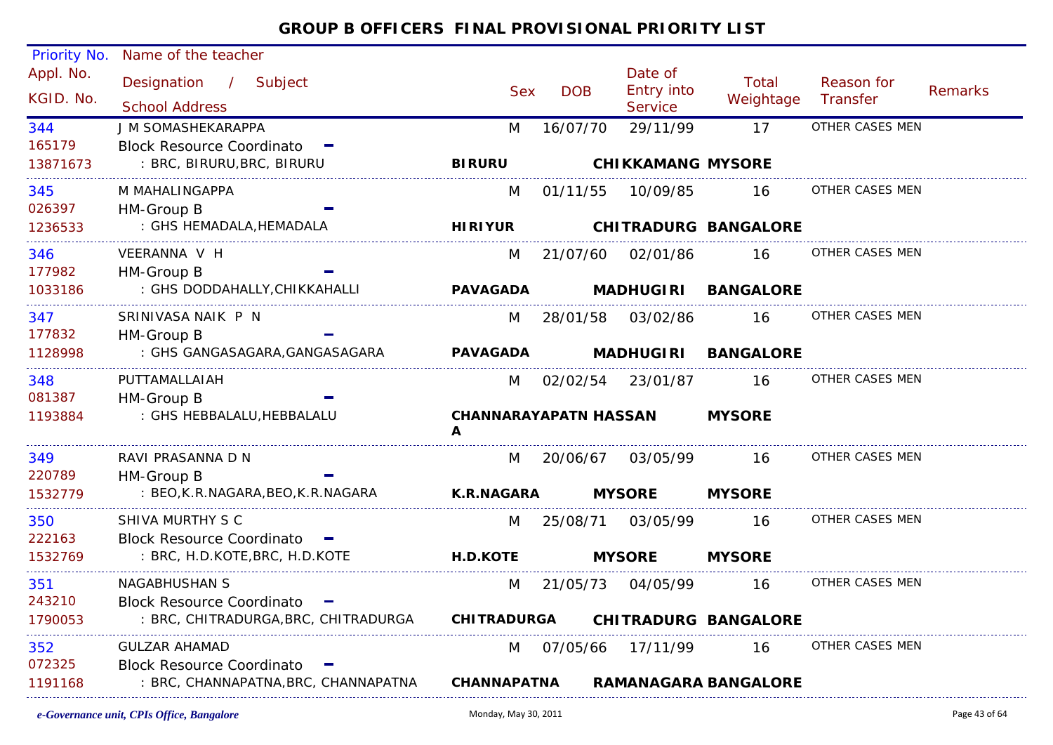| <b>Priority No.</b>    | Name of the teacher                            |                          |                                   |            |                                                |                             |                        |         |
|------------------------|------------------------------------------------|--------------------------|-----------------------------------|------------|------------------------------------------------|-----------------------------|------------------------|---------|
| Appl. No.<br>KGID. No. | Designation / Subject<br><b>School Address</b> |                          | Sex:                              | <b>DOB</b> | Date of<br><b>Entry into</b><br><b>Service</b> | Total<br>Weightage          | Reason for<br>Transfer | Remarks |
| 344                    | J M SOMASHEKARAPPA                             |                          | M                                 | 16/07/70   | 29/11/99                                       | 17                          | OTHER CASES MEN        |         |
| 165179                 | Block Resource Coordinato -                    |                          |                                   |            |                                                |                             |                        |         |
| 13871673               | : BRC, BIRURU, BRC, BIRURU                     |                          | <b>BIRURU</b>                     |            | <b>CHIKKAMANG MYSORE</b>                       |                             |                        |         |
| 345                    | M MAHALINGAPPA                                 |                          | M                                 | 01/11/55   | 10/09/85                                       | 16                          | OTHER CASES MEN        |         |
| 026397                 | HM-Group B                                     |                          |                                   |            |                                                |                             |                        |         |
| 1236533                | : GHS HEMADALA, HEMADALA                       |                          | <b>HIRIYUR</b>                    |            |                                                | <b>CHITRADURG BANGALORE</b> |                        |         |
| 346                    | VEERANNA V H                                   |                          | M                                 | 21/07/60   | 02/01/86                                       | 16                          | OTHER CASES MEN        |         |
| 177982                 | HM-Group B                                     |                          |                                   |            |                                                |                             |                        |         |
| 1033186                | : GHS DODDAHALLY, CHIKKAHALLI                  |                          | <b>PAVAGADA</b>                   |            |                                                | MADHUGIRI BANGALORE         |                        |         |
| 347                    | SRINIVASA NAIK P N                             |                          | M                                 | 28/01/58   | 03/02/86                                       | 16                          | OTHER CASES MEN        |         |
| 177832                 | HM-Group B                                     |                          |                                   |            |                                                |                             |                        |         |
| 1128998                | : GHS GANGASAGARA, GANGASAGARA                 |                          | <b>PAVAGADA</b>                   |            |                                                | MADHUGIRI BANGALORE         |                        |         |
| 348                    | PUTTAMALLAIAH                                  |                          | M                                 |            | 02/02/54 23/01/87                              | 16                          | OTHER CASES MEN        |         |
| 081387                 | HM-Group B                                     |                          |                                   |            |                                                |                             |                        |         |
| 1193884                | : GHS HEBBALALU, HEBBALALU                     |                          | <b>CHANNARAYAPATN HASSAN</b><br>A |            |                                                | <b>MYSORE</b>               |                        |         |
| 349                    | RAVI PRASANNA D N                              |                          | M                                 | 20/06/67   | 03/05/99                                       | - 16                        | OTHER CASES MEN        |         |
| 220789                 | HM-Group B                                     |                          |                                   |            |                                                |                             |                        |         |
| 1532779                | : BEO, K.R. NAGARA, BEO, K.R. NAGARA           |                          | <b>K.R.NAGARA</b>                 |            | <b>MYSORE</b>                                  | <b>MYSORE</b>               |                        |         |
| 350                    | SHIVA MURTHY S C                               |                          | M                                 |            | 25/08/71 03/05/99                              | 16                          | OTHER CASES MEN        |         |
| 222163                 | Block Resource Coordinato -                    |                          |                                   |            |                                                |                             |                        |         |
| 1532769                | : BRC, H.D.KOTE, BRC, H.D.KOTE                 |                          | <b>H.D.KOTE</b>                   |            | <b>MYSORE</b>                                  | <b>MYSORE</b>               |                        |         |
| 351                    | <b>NAGABHUSHAN S</b>                           |                          | M                                 | 21/05/73   | 04/05/99                                       | 16                          | OTHER CASES MEN        |         |
| 243210                 | <b>Block Resource Coordinato</b>               | <b>Contract Contract</b> |                                   |            |                                                |                             |                        |         |
| 1790053                | : BRC, CHITRADURGA, BRC, CHITRADURGA           |                          | <b>CHITRADURGA</b>                |            |                                                | <b>CHITRADURG BANGALORE</b> |                        |         |
| 352                    | <b>GULZAR AHAMAD</b>                           |                          | M                                 | 07/05/66   | 17/11/99                                       | 16                          | OTHER CASES MEN        |         |
| 072325                 | <b>Block Resource Coordinato</b>               |                          |                                   |            |                                                |                             |                        |         |
| 1191168                | : BRC, CHANNAPATNA, BRC, CHANNAPATNA           |                          | <b>CHANNAPATNA</b>                |            |                                                | <b>RAMANAGARA BANGALORE</b> |                        |         |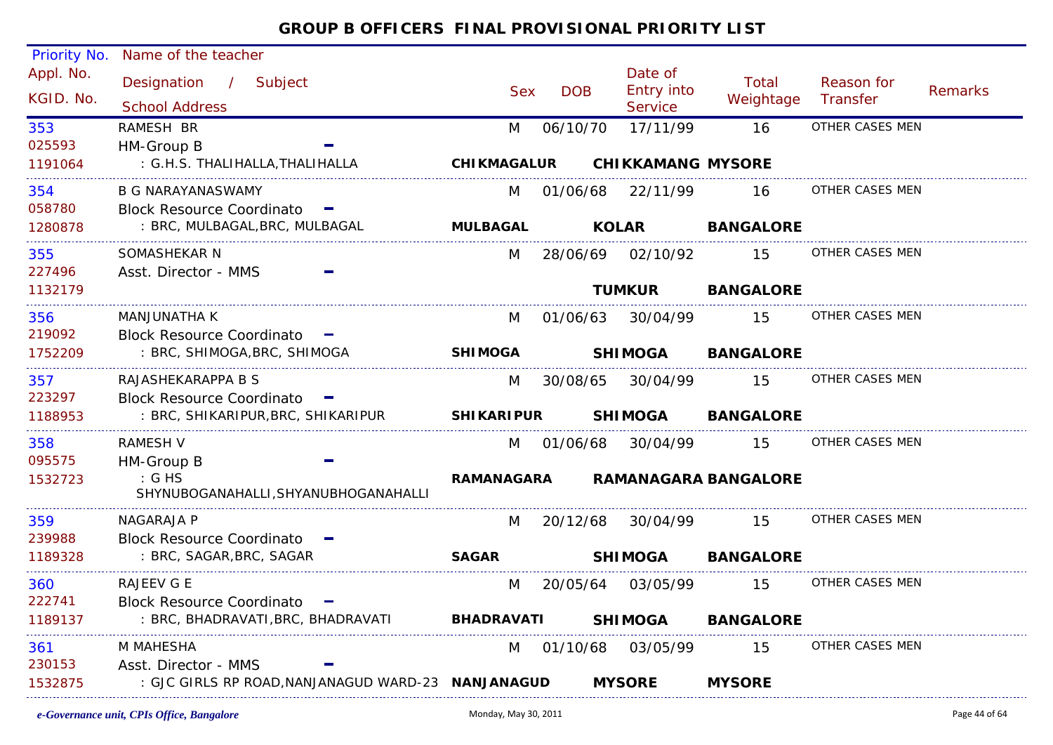| <b>Priority No.</b>    | Name of the teacher                                          |                    |            |                                         |                             |                        |         |
|------------------------|--------------------------------------------------------------|--------------------|------------|-----------------------------------------|-----------------------------|------------------------|---------|
| Appl. No.<br>KGID. No. | Designation / Subject<br><b>School Address</b>               | <b>Sex</b>         | <b>DOB</b> | Date of<br>Entry into<br><b>Service</b> | Total<br>Weightage          | Reason for<br>Transfer | Remarks |
| 353                    | RAMESH BR                                                    | M                  | 06/10/70   | 17/11/99                                | 16                          | OTHER CASES MEN        |         |
| 025593                 | HM-Group B                                                   |                    |            |                                         |                             |                        |         |
| 1191064                | : G.H.S. THALIHALLA, THALIHALLA                              | <b>CHIKMAGALUR</b> |            | <b>CHIKKAMANG MYSORE</b>                |                             |                        |         |
| 354                    | B G NARAYANASWAMY                                            | M                  |            | 01/06/68 22/11/99                       | 16                          | OTHER CASES MEN        |         |
| 058780                 | <b>Block Resource Coordinato</b>                             |                    |            |                                         |                             |                        |         |
| 1280878                | : BRC, MULBAGAL, BRC, MULBAGAL                               | <b>MULBAGAL</b>    |            | <b>KOLAR</b>                            | <b>BANGALORE</b>            |                        |         |
| 355                    | SOMASHEKAR N                                                 | M                  |            | 28/06/69 02/10/92                       | 15                          | OTHER CASES MEN        |         |
| 227496                 | Asst. Director - MMS                                         |                    |            |                                         |                             |                        |         |
| 1132179                |                                                              |                    |            | <b>TUMKUR</b>                           | <b>BANGALORE</b>            |                        |         |
| 356                    | MANJUNATHA K                                                 | M                  |            | 01/06/63 30/04/99                       | 15                          | OTHER CASES MEN        |         |
| 219092                 | <b>Block Resource Coordinato</b>                             |                    |            |                                         |                             |                        |         |
| 1752209                | : BRC, SHIMOGA, BRC, SHIMOGA                                 | <b>SHIMOGA</b>     |            | <b>SHIMOGA</b>                          | <b>BANGALORE</b>            |                        |         |
| 357                    | RAJASHEKARAPPA B S                                           | M                  |            | 30/08/65 30/04/99                       | 15                          | OTHER CASES MEN        |         |
| 223297                 | <b>Block Resource Coordinato</b>                             |                    |            |                                         |                             |                        |         |
| 1188953                | : BRC, SHIKARIPUR, BRC, SHIKARIPUR                           | <b>SHIKARIPUR</b>  |            | <b>SHIMOGA</b>                          | <b>BANGALORE</b>            |                        |         |
| 358                    | <b>RAMESH V</b>                                              | M                  | 01/06/68   | 30/04/99                                | 15                          | OTHER CASES MEN        |         |
| 095575                 | HM-Group B                                                   |                    |            |                                         |                             |                        |         |
| 1532723                | $\mathcal{G}$ : G HS<br>SHYNUBOGANAHALLI, SHYANUBHOGANAHALLI | RAMANAGARA         |            |                                         | <b>RAMANAGARA BANGALORE</b> |                        |         |
| 359                    | NAGARAJA P                                                   | M                  |            | 20/12/68 30/04/99                       | 15                          | OTHER CASES MEN        |         |
| 239988                 | Block Resource Coordinato -                                  |                    |            |                                         |                             |                        |         |
| 1189328                | : BRC, SAGAR, BRC, SAGAR                                     | <b>SAGAR</b>       |            | <b>SHIMOGA</b>                          | <b>BANGALORE</b>            |                        |         |
| 360                    | RAJEEV G E                                                   | M                  |            | 20/05/64 03/05/99                       | 15                          | OTHER CASES MEN        |         |
| 222741                 | <b>Block Resource Coordinato</b>                             |                    |            |                                         |                             |                        |         |
| 1189137                | : BRC, BHADRAVATI, BRC, BHADRAVATI                           | <b>BHADRAVATI</b>  |            | <b>SHIMOGA</b>                          | <b>BANGALORE</b>            |                        |         |
| 361                    | M MAHESHA                                                    |                    | M 01/10/68 | 03/05/99                                | 15                          | OTHER CASES MEN        |         |
| 230153                 | Asst. Director - MMS                                         |                    |            |                                         |                             |                        |         |
| 1532875                | : GJC GIRLS RP ROAD, NANJANAGUD WARD-23 NANJANAGUD           |                    |            | <b>MYSORE</b>                           | <b>MYSORE</b>               |                        |         |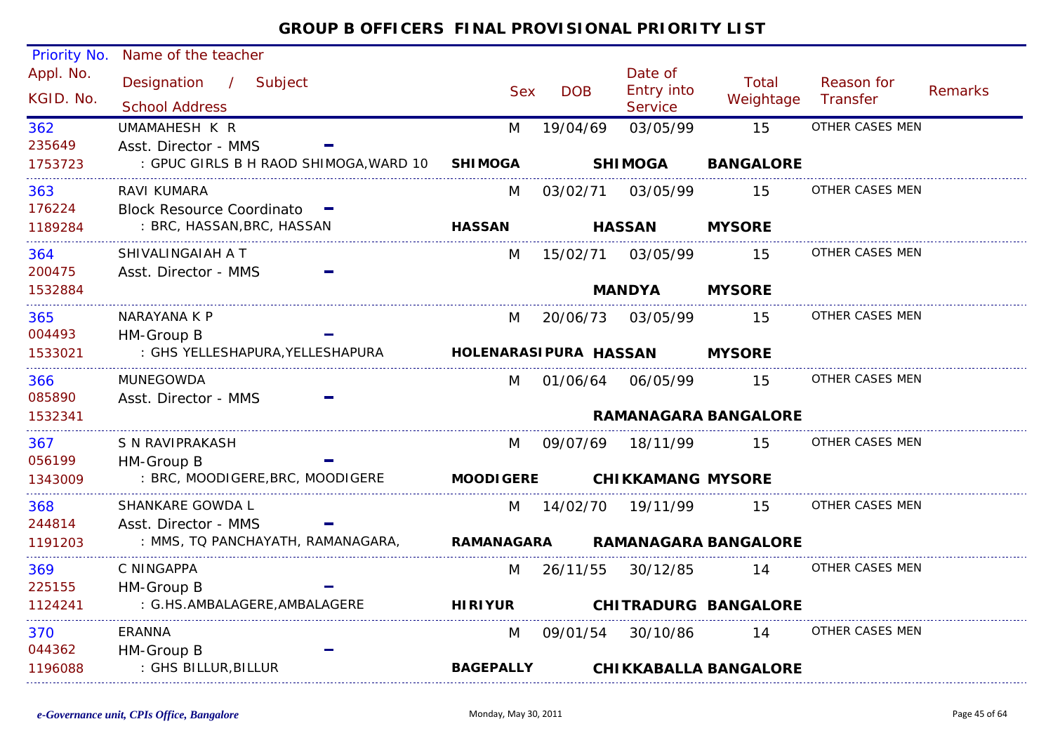| Priority No.           | Name of the teacher                            |                       |            |                                         |                              |                        |         |
|------------------------|------------------------------------------------|-----------------------|------------|-----------------------------------------|------------------------------|------------------------|---------|
| Appl. No.<br>KGID. No. | Designation / Subject<br><b>School Address</b> | <b>Sex</b>            | <b>DOB</b> | Date of<br><b>Entry into</b><br>Service | <b>Total</b><br>Weightage    | Reason for<br>Transfer | Remarks |
| 362                    | UMAMAHESH K R                                  | M                     | 19/04/69   | 03/05/99                                | 15                           | OTHER CASES MEN        |         |
| 235649                 | Asst. Director - MMS                           |                       |            |                                         |                              |                        |         |
| 1753723                | : GPUC GIRLS B H RAOD SHIMOGA, WARD 10         | <b>SHIMOGA</b>        |            | <b>SHIMOGA</b>                          | <b>BANGALORE</b>             |                        |         |
| 363                    | RAVI KUMARA                                    | M                     | 03/02/71   | 03/05/99                                | 15                           | OTHER CASES MEN        |         |
| 176224                 | <b>Block Resource Coordinato</b>               |                       |            |                                         |                              |                        |         |
| 1189284                | : BRC, HASSAN, BRC, HASSAN                     | <b>HASSAN</b>         |            | <b>HASSAN</b>                           | <b>MYSORE</b>                |                        |         |
| 364                    | SHIVALINGAIAH A T                              | M                     |            | 15/02/71 03/05/99                       | 15                           | OTHER CASES MEN        |         |
| 200475                 | Asst. Director - MMS                           |                       |            |                                         |                              |                        |         |
| 1532884                |                                                |                       |            | <b>MANDYA</b>                           | <b>MYSORE</b>                |                        |         |
| 365                    | NARAYANA K P                                   | M                     | 20/06/73   | 03/05/99                                | 15                           | OTHER CASES MEN        |         |
| 004493                 | HM-Group B<br>: GHS YELLESHAPURA, YELLESHAPURA | HOLENARASIPURA HASSAN |            |                                         | <b>MYSORE</b>                |                        |         |
| 1533021                |                                                |                       |            |                                         |                              |                        |         |
| 366                    | <b>MUNEGOWDA</b>                               | M                     | 01/06/64   | 06/05/99                                | 15                           | OTHER CASES MEN        |         |
| 085890<br>1532341      | Asst. Director - MMS                           |                       |            |                                         | <b>RAMANAGARA BANGALORE</b>  |                        |         |
|                        |                                                |                       |            |                                         |                              |                        |         |
| 367                    | S N RAVIPRAKASH                                | M                     | 09/07/69   | 18/11/99                                | 15                           | OTHER CASES MEN        |         |
| 056199<br>1343009      | HM-Group B<br>: BRC, MOODIGERE, BRC, MOODIGERE | <b>MOODIGERE</b>      |            | <b>CHIKKAMANG MYSORE</b>                |                              |                        |         |
|                        |                                                |                       |            |                                         |                              |                        |         |
| 368<br>244814          | SHANKARE GOWDA L<br>Asst. Director - MMS       | M                     |            | 14/02/70 19/11/99                       | 15                           | OTHER CASES MEN        |         |
| 1191203                | : MMS, TO PANCHAYATH, RAMANAGARA,              | <b>RAMANAGARA</b>     |            |                                         | <b>RAMANAGARA BANGALORE</b>  |                        |         |
|                        | C NINGAPPA                                     |                       |            |                                         |                              | OTHER CASES MEN        |         |
| 369<br>225155          | HM-Group B                                     | M                     | 26/11/55   | 30/12/85                                | 14                           |                        |         |
| 1124241                | : G.HS.AMBALAGERE, AMBALAGERE                  | <b>HIRIYUR</b>        |            |                                         | <b>CHITRADURG BANGALORE</b>  |                        |         |
| 370                    | <b>ERANNA</b>                                  | M                     | 09/01/54   | 30/10/86                                | 14                           | OTHER CASES MEN        |         |
| 044362                 | HM-Group B                                     |                       |            |                                         |                              |                        |         |
| 1196088                | : GHS BILLUR, BILLUR                           | <b>BAGEPALLY</b>      |            |                                         | <b>CHIKKABALLA BANGALORE</b> |                        |         |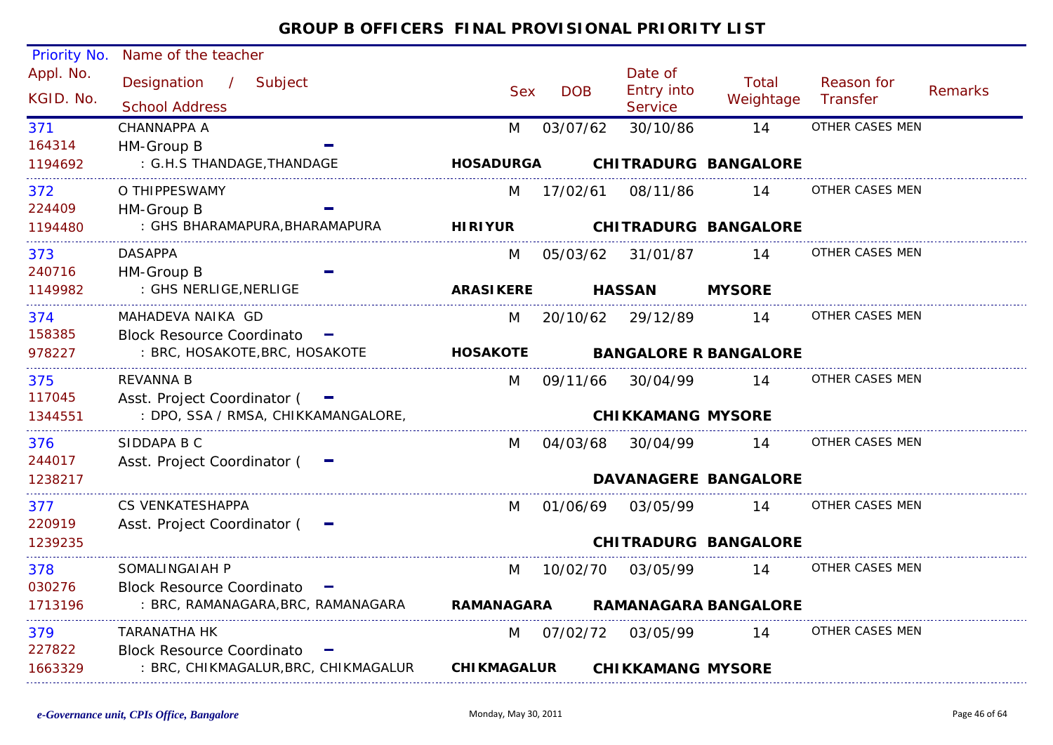| <b>Priority No.</b>    | Name of the teacher                               |                   |                    |            |                                         |                              |                        |         |
|------------------------|---------------------------------------------------|-------------------|--------------------|------------|-----------------------------------------|------------------------------|------------------------|---------|
| Appl. No.<br>KGID. No. | Designation /<br>Subject<br><b>School Address</b> |                   | <b>Sex</b>         | <b>DOB</b> | Date of<br>Entry into<br><b>Service</b> | Total<br>Weightage           | Reason for<br>Transfer | Remarks |
| 371                    | CHANNAPPA A                                       |                   | M                  | 03/07/62   | 30/10/86                                | 14                           | OTHER CASES MEN        |         |
| 164314                 | HM-Group B                                        |                   |                    |            |                                         |                              |                        |         |
| 1194692                | : G.H.S THANDAGE, THANDAGE                        |                   | <b>HOSADURGA</b>   |            |                                         | <b>CHITRADURG BANGALORE</b>  |                        |         |
| 372                    | O THIPPESWAMY                                     |                   | M                  | 17/02/61   | 08/11/86                                | 14                           | OTHER CASES MEN        |         |
| 224409                 | HM-Group B                                        |                   |                    |            |                                         |                              |                        |         |
| 1194480                | : GHS BHARAMAPURA, BHARAMAPURA                    |                   | <b>HIRIYUR</b>     |            |                                         | <b>CHITRADURG BANGALORE</b>  |                        |         |
| 373                    | <b>DASAPPA</b>                                    |                   | M                  | 05/03/62   | 31/01/87                                | 14                           | OTHER CASES MEN        |         |
| 240716                 | HM-Group B                                        |                   |                    |            |                                         |                              |                        |         |
| 1149982                | : GHS NERLIGE, NERLIGE                            |                   | <b>ARASIKERE</b>   |            | <b>HASSAN</b>                           | <b>MYSORE</b>                |                        |         |
| 374                    | MAHADEVA NAIKA GD                                 |                   | M                  | 20/10/62   | 29/12/89                                | 14                           | OTHER CASES MEN        |         |
| 158385                 | Block Resource Coordinato -                       |                   |                    |            |                                         |                              |                        |         |
| 978227                 | : BRC, HOSAKOTE, BRC, HOSAKOTE                    |                   | <b>HOSAKOTE</b>    |            |                                         | <b>BANGALORE R BANGALORE</b> |                        |         |
| 375                    | <b>REVANNA B</b>                                  |                   | M                  | 09/11/66   | 30/04/99                                | 14                           | OTHER CASES MEN        |         |
| 117045                 | Asst. Project Coordinator ( -                     |                   |                    |            |                                         |                              |                        |         |
| 1344551                | : DPO, SSA / RMSA, CHIKKAMANGALORE,               |                   |                    |            | <b>CHIKKAMANG MYSORE</b>                |                              |                        |         |
| 376                    | SIDDAPA B C                                       |                   | M                  | 04/03/68   | 30/04/99                                | 14                           | OTHER CASES MEN        |         |
| 244017                 | Asst. Project Coordinator ( -                     |                   |                    |            |                                         |                              |                        |         |
| 1238217                |                                                   |                   |                    |            |                                         | <b>DAVANAGERE BANGALORE</b>  |                        |         |
| 377                    | <b>CS VENKATESHAPPA</b>                           |                   | M                  | 01/06/69   | 03/05/99                                | 14                           | OTHER CASES MEN        |         |
| 220919                 | Asst. Project Coordinator (                       |                   |                    |            |                                         |                              |                        |         |
| 1239235                |                                                   |                   |                    |            |                                         | <b>CHITRADURG BANGALORE</b>  |                        |         |
| 378                    | SOMALINGAIAH P                                    |                   | M                  | 10/02/70   | 03/05/99                                | 14                           | OTHER CASES MEN        |         |
| 030276                 | <b>Block Resource Coordinato</b>                  | <b>CONTRACTOR</b> |                    |            |                                         |                              |                        |         |
| 1713196                | : BRC, RAMANAGARA, BRC, RAMANAGARA                |                   | <b>RAMANAGARA</b>  |            |                                         | <b>RAMANAGARA BANGALORE</b>  |                        |         |
| 379                    | TARANATHA HK                                      |                   | M                  | 07/02/72   | 03/05/99                                | 14                           | OTHER CASES MEN        |         |
| 227822                 | <b>Block Resource Coordinato</b>                  | <b>CONTRACT</b>   |                    |            |                                         |                              |                        |         |
| 1663329                | : BRC, CHIKMAGALUR, BRC, CHIKMAGALUR              |                   | <b>CHIKMAGALUR</b> |            | <b>CHIKKAMANG MYSORE</b>                |                              |                        |         |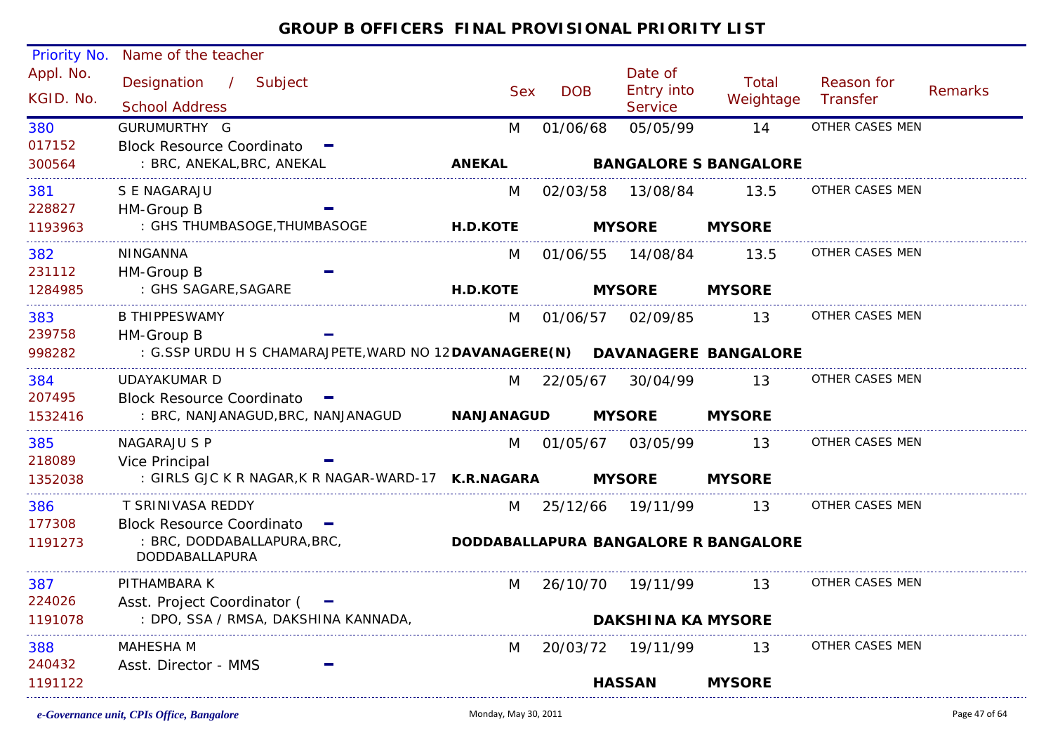| <b>Priority No.</b>    | Name of the teacher                                                           |                   |            |                                         |                                      |                        |                |
|------------------------|-------------------------------------------------------------------------------|-------------------|------------|-----------------------------------------|--------------------------------------|------------------------|----------------|
| Appl. No.<br>KGID. No. | Designation<br>Subject<br>$\sqrt{2}$<br><b>School Address</b>                 | <b>Sex</b>        | <b>DOB</b> | Date of<br><b>Entry into</b><br>Service | Total<br>Weightage                   | Reason for<br>Transfer | <b>Remarks</b> |
|                        | GURUMURTHY G                                                                  |                   |            |                                         | 14                                   | <b>OTHER CASES MEN</b> |                |
| 380<br>017152          | <b>Block Resource Coordinato</b>                                              | M                 | 01/06/68   | 05/05/99                                |                                      |                        |                |
| 300564                 | : BRC, ANEKAL, BRC, ANEKAL                                                    | <b>ANEKAL</b>     |            |                                         | <b>BANGALORE S BANGALORE</b>         |                        |                |
|                        |                                                                               |                   |            |                                         |                                      |                        |                |
| 381                    | S E NAGARAJU                                                                  | M                 | 02/03/58   | 13/08/84                                | 13.5                                 | OTHER CASES MEN        |                |
| 228827                 | HM-Group B                                                                    |                   |            |                                         |                                      |                        |                |
| 1193963                | : GHS THUMBASOGE, THUMBASOGE                                                  | <b>H.D.KOTE</b>   |            | <b>MYSORE</b>                           | <b>MYSORE</b>                        |                        |                |
| 382                    | NINGANNA                                                                      | M                 | 01/06/55   | 14/08/84                                | 13.5                                 | OTHER CASES MEN        |                |
| 231112                 | HM-Group B                                                                    |                   |            |                                         |                                      |                        |                |
| 1284985                | : GHS SAGARE, SAGARE                                                          | <b>H.D.KOTE</b>   |            | <b>MYSORE</b>                           | <b>MYSORE</b>                        |                        |                |
| 383                    | <b>B THIPPESWAMY</b>                                                          | M                 | 01/06/57   | 02/09/85                                | 13                                   | OTHER CASES MEN        |                |
| 239758                 | HM-Group B                                                                    |                   |            |                                         |                                      |                        |                |
| 998282                 | : G.SSP URDU H S CHAMARAJPETE, WARD NO 12 DAVANAGERE (N) DAVANAGERE BANGALORE |                   |            |                                         |                                      |                        |                |
| 384                    | <b>UDAYAKUMAR D</b>                                                           | M                 | 22/05/67   | 30/04/99                                | 13                                   | OTHER CASES MEN        |                |
| 207495                 | <b>Block Resource Coordinato</b>                                              |                   |            |                                         |                                      |                        |                |
| 1532416                | : BRC, NANJANAGUD,BRC, NANJANAGUD                                             | <b>NANJANAGUD</b> |            | <b>MYSORE</b>                           | <b>MYSORE</b>                        |                        |                |
|                        |                                                                               |                   |            |                                         |                                      |                        |                |
| 385                    | <b>NAGARAJU S P</b>                                                           | M                 | 01/05/67   | 03/05/99                                | 13                                   | OTHER CASES MEN        |                |
| 218089<br>1352038      | Vice Principal<br>: GIRLS GJC K R NAGAR, K R NAGAR-WARD-17 K.R.NAGARA         |                   |            | <b>MYSORE</b>                           |                                      |                        |                |
|                        |                                                                               |                   |            |                                         | <b>MYSORE</b>                        |                        |                |
| 386                    | T SRINIVASA REDDY                                                             | M                 | 25/12/66   | 19/11/99                                | 13                                   | OTHER CASES MEN        |                |
| 177308                 | <b>Block Resource Coordinato</b>                                              |                   |            |                                         |                                      |                        |                |
| 1191273                | : BRC, DODDABALLAPURA, BRC,                                                   |                   |            |                                         | DODDABALLAPURA BANGALORE R BANGALORE |                        |                |
|                        | DODDABALLAPURA                                                                |                   |            |                                         |                                      |                        |                |
| 387                    | PITHAMBARA K                                                                  | M                 | 26/10/70   | 19/11/99                                | 13                                   | OTHER CASES MEN        |                |
| 224026                 | Asst. Project Coordinator (<br>$\overline{\phantom{a}}$                       |                   |            |                                         |                                      |                        |                |
| 1191078                | : DPO, SSA / RMSA, DAKSHINA KANNADA,                                          |                   |            | <b>DAKSHINA KA MYSORE</b>               |                                      |                        |                |
| 388                    | <b>MAHESHA M</b>                                                              | M                 | 20/03/72   | 19/11/99                                | 13                                   | OTHER CASES MEN        |                |
| 240432                 | Asst. Director - MMS                                                          |                   |            |                                         |                                      |                        |                |
| 1191122                |                                                                               |                   |            | <b>HASSAN</b>                           | <b>MYSORE</b>                        |                        |                |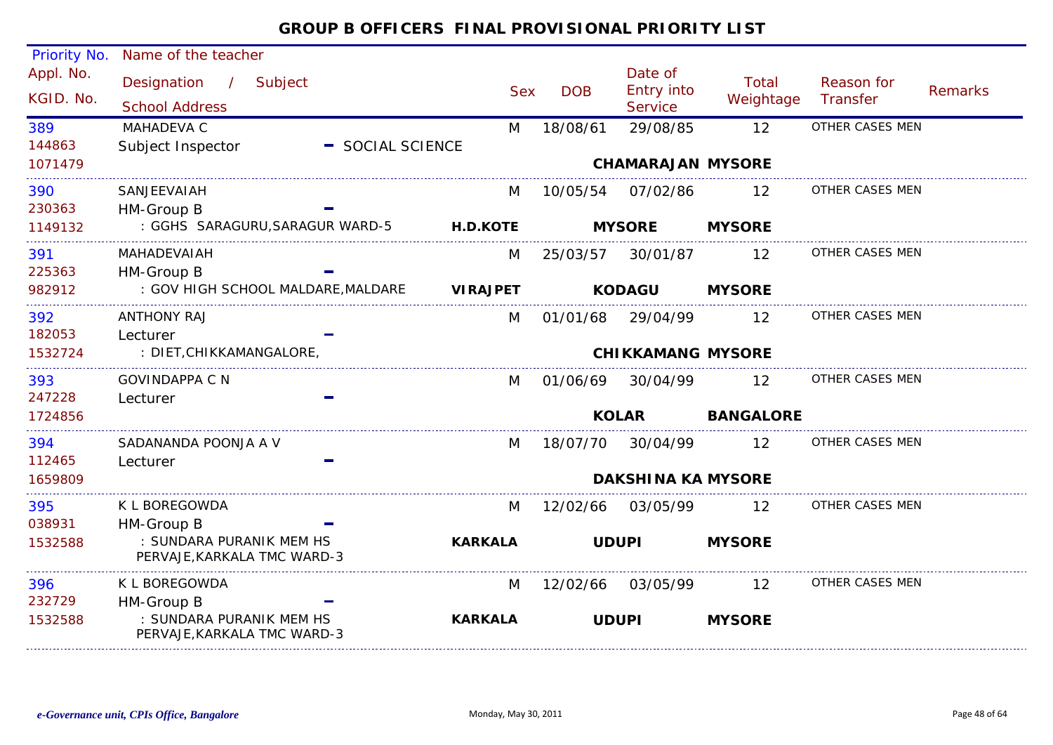| <b>Priority No.</b>    | Name of the teacher                                               |                  |                 |            |                                                |                    |                        |                |
|------------------------|-------------------------------------------------------------------|------------------|-----------------|------------|------------------------------------------------|--------------------|------------------------|----------------|
| Appl. No.<br>KGID. No. | Designation<br>$\overline{1}$<br>Subject<br><b>School Address</b> |                  | <b>Sex</b>      | <b>DOB</b> | Date of<br><b>Entry into</b><br><b>Service</b> | Total<br>Weightage | Reason for<br>Transfer | <b>Remarks</b> |
| 389                    | MAHADEVA C                                                        |                  | M               | 18/08/61   | 29/08/85                                       | 12                 | OTHER CASES MEN        |                |
| 144863                 | Subject Inspector                                                 | - SOCIAL SCIENCE |                 |            |                                                |                    |                        |                |
| 1071479                |                                                                   |                  |                 |            | <b>CHAMARAJAN MYSORE</b>                       |                    |                        |                |
| 390                    | SANJEEVAIAH                                                       |                  | M               | 10/05/54   | 07/02/86                                       | 12                 | OTHER CASES MEN        |                |
| 230363                 | HM-Group B                                                        |                  |                 |            |                                                |                    |                        |                |
| 1149132                | : GGHS SARAGURU, SARAGUR WARD-5                                   |                  | <b>H.D.KOTE</b> |            | <b>MYSORE</b>                                  | <b>MYSORE</b>      |                        |                |
| 391                    | MAHADEVAIAH                                                       |                  | M               | 25/03/57   | 30/01/87                                       | 12                 | OTHER CASES MEN        |                |
| 225363                 | HM-Group B                                                        |                  |                 |            |                                                |                    |                        |                |
| 982912                 | : GOV HIGH SCHOOL MALDARE, MALDARE                                |                  | <b>VIRAJPET</b> |            | <b>KODAGU</b>                                  | <b>MYSORE</b>      |                        |                |
| 392                    | <b>ANTHONY RAJ</b>                                                |                  | M               | 01/01/68   | 29/04/99                                       | 12                 | OTHER CASES MEN        |                |
| 182053                 | Lecturer                                                          |                  |                 |            |                                                |                    |                        |                |
| 1532724                | : DIET, CHIKKAMANGALORE,                                          |                  |                 |            | <b>CHIKKAMANG MYSORE</b>                       |                    |                        |                |
| 393                    | <b>GOVINDAPPA C N</b>                                             |                  | M               | 01/06/69   | 30/04/99                                       | $12 \overline{ }$  | OTHER CASES MEN        |                |
| 247228                 | Lecturer                                                          |                  |                 |            |                                                |                    |                        |                |
| 1724856                |                                                                   |                  |                 |            | <b>KOLAR</b>                                   | <b>BANGALORE</b>   |                        |                |
| 394                    | SADANANDA POONJA A V                                              |                  | M               | 18/07/70   | 30/04/99                                       | 12                 | OTHER CASES MEN        |                |
| 112465                 | Lecturer                                                          |                  |                 |            |                                                |                    |                        |                |
| 1659809                |                                                                   |                  |                 |            | <b>DAKSHINA KA MYSORE</b>                      |                    |                        |                |
| 395                    | K L BOREGOWDA                                                     |                  | M               | 12/02/66   | 03/05/99                                       | 12                 | OTHER CASES MEN        |                |
| 038931                 | HM-Group B                                                        |                  |                 |            |                                                |                    |                        |                |
| 1532588                | : SUNDARA PURANIK MEM HS<br>PERVAJE, KARKALA TMC WARD-3           |                  | <b>KARKALA</b>  |            | <b>UDUPI</b>                                   | <b>MYSORE</b>      |                        |                |
| 396                    | K L BOREGOWDA                                                     |                  | M               | 12/02/66   | 03/05/99                                       | $12 \overline{ }$  | OTHER CASES MEN        |                |
| 232729                 | HM-Group B                                                        |                  |                 |            |                                                |                    |                        |                |
| 1532588                | : SUNDARA PURANIK MEM HS<br>PERVAJE, KARKALA TMC WARD-3           |                  | <b>KARKALA</b>  |            | <b>UDUPI</b>                                   | <b>MYSORE</b>      |                        |                |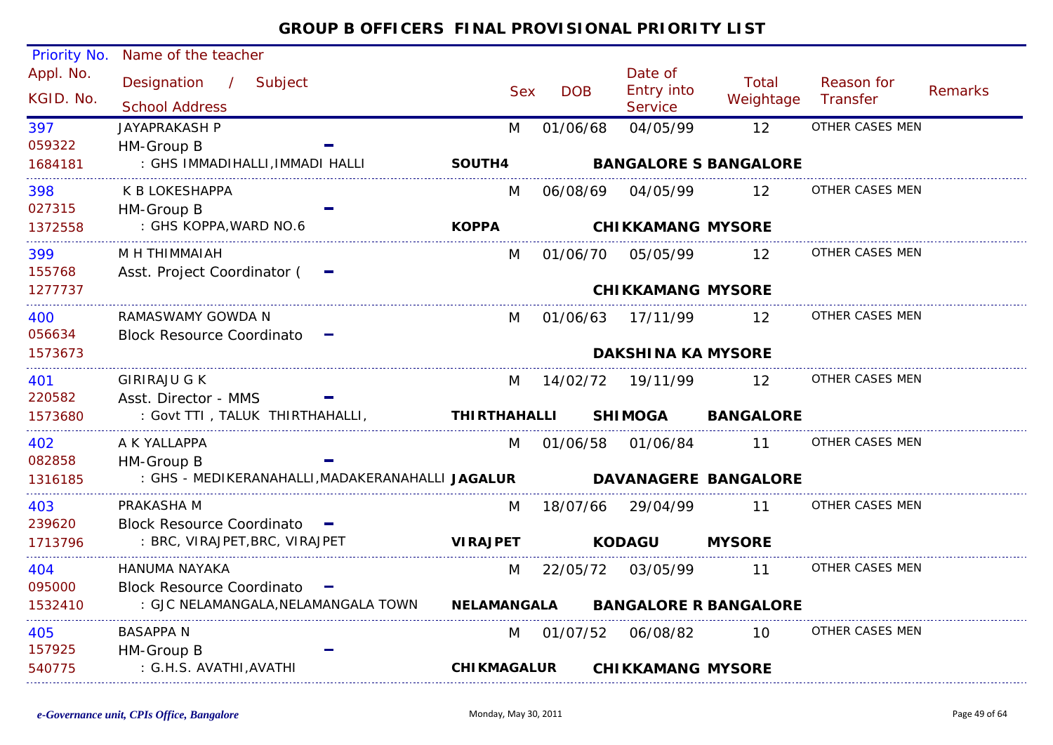| Priority No.           | Name of the teacher                              |                   |                     |            |                                         |                              |                        |         |
|------------------------|--------------------------------------------------|-------------------|---------------------|------------|-----------------------------------------|------------------------------|------------------------|---------|
| Appl. No.<br>KGID. No. | Designation / Subject<br><b>School Address</b>   |                   | <b>Sex</b>          | <b>DOB</b> | Date of<br><b>Entry into</b><br>Service | <b>Total</b><br>Weightage    | Reason for<br>Transfer | Remarks |
| 397                    | <b>JAYAPRAKASH P</b>                             |                   | M                   | 01/06/68   | 04/05/99                                | 12                           | OTHER CASES MEN        |         |
| 059322                 | HM-Group B                                       |                   |                     |            |                                         |                              |                        |         |
| 1684181                | : GHS IMMADIHALLI, IMMADI HALLI                  |                   | SOUTH4              |            |                                         | <b>BANGALORE S BANGALORE</b> |                        |         |
| 398                    | K B LOKESHAPPA                                   |                   | M                   | 06/08/69   | 04/05/99                                | 12                           | OTHER CASES MEN        |         |
| 027315                 | HM-Group B                                       |                   |                     |            |                                         |                              |                        |         |
| 1372558                | : GHS KOPPA, WARD NO.6                           |                   | <b>KOPPA</b>        |            | <b>CHIKKAMANG MYSORE</b>                |                              |                        |         |
| 399                    | M H THIMMAIAH                                    |                   | M                   | 01/06/70   | 05/05/99                                | 12 <sup>1</sup>              | OTHER CASES MEN        |         |
| 155768                 | Asst. Project Coordinator (                      |                   |                     |            |                                         |                              |                        |         |
| 1277737                |                                                  |                   |                     |            | <b>CHIKKAMANG MYSORE</b>                |                              |                        |         |
| 400                    | RAMASWAMY GOWDA N                                |                   | M                   | 01/06/63   | 17/11/99                                | 12 <sup>°</sup>              | OTHER CASES MEN        |         |
| 056634                 | <b>Block Resource Coordinato</b>                 |                   |                     |            |                                         |                              |                        |         |
| 1573673                |                                                  |                   |                     |            | <b>DAKSHINA KA MYSORE</b>               |                              |                        |         |
| 401                    | <b>GIRIRAJU G K</b>                              |                   | M                   | 14/02/72   | 19/11/99                                | 12                           | OTHER CASES MEN        |         |
| 220582                 | Asst. Director - MMS                             |                   |                     |            |                                         |                              |                        |         |
| 1573680                | : Govt TTI, TALUK THIRTHAHALLI,                  |                   | <b>THIRTHAHALLI</b> |            | <b>SHIMOGA</b>                          | <b>BANGALORE</b>             |                        |         |
| 402                    | A K YALLAPPA                                     |                   | M                   |            | 01/06/58 01/06/84                       | 11                           | OTHER CASES MEN        |         |
| 082858                 | HM-Group B                                       |                   |                     |            |                                         |                              |                        |         |
| 1316185                | : GHS - MEDIKERANAHALLI, MADAKERANAHALLI JAGALUR |                   |                     |            |                                         | <b>DAVANAGERE BANGALORE</b>  |                        |         |
| 403                    | PRAKASHA M                                       |                   | M                   | 18/07/66   | 29/04/99                                | 11                           | OTHER CASES MEN        |         |
| 239620                 | <b>Block Resource Coordinato</b>                 |                   |                     |            |                                         |                              |                        |         |
| 1713796                | : BRC, VIRAJPET, BRC, VIRAJPET                   |                   | <b>VIRAJPET</b>     |            | <b>KODAGU</b>                           | <b>MYSORE</b>                |                        |         |
| 404                    | HANUMA NAYAKA                                    |                   | M                   | 22/05/72   | 03/05/99                                | 11                           | OTHER CASES MEN        |         |
| 095000                 | <b>Block Resource Coordinato</b>                 | <b>The Second</b> |                     |            |                                         |                              |                        |         |
| 1532410                | : GJC NELAMANGALA, NELAMANGALA TOWN              |                   | <b>NELAMANGALA</b>  |            |                                         | <b>BANGALORE R BANGALORE</b> |                        |         |
| 405                    | BASAPPA N                                        |                   | M                   |            | 01/07/52 06/08/82                       | 10                           | OTHER CASES MEN        |         |
| 157925                 | HM-Group B                                       |                   |                     |            |                                         |                              |                        |         |
| 540775                 | : G.H.S. AVATHI, AVATHI                          |                   | <b>CHIKMAGALUR</b>  |            | <b>CHIKKAMANG MYSORE</b>                |                              |                        |         |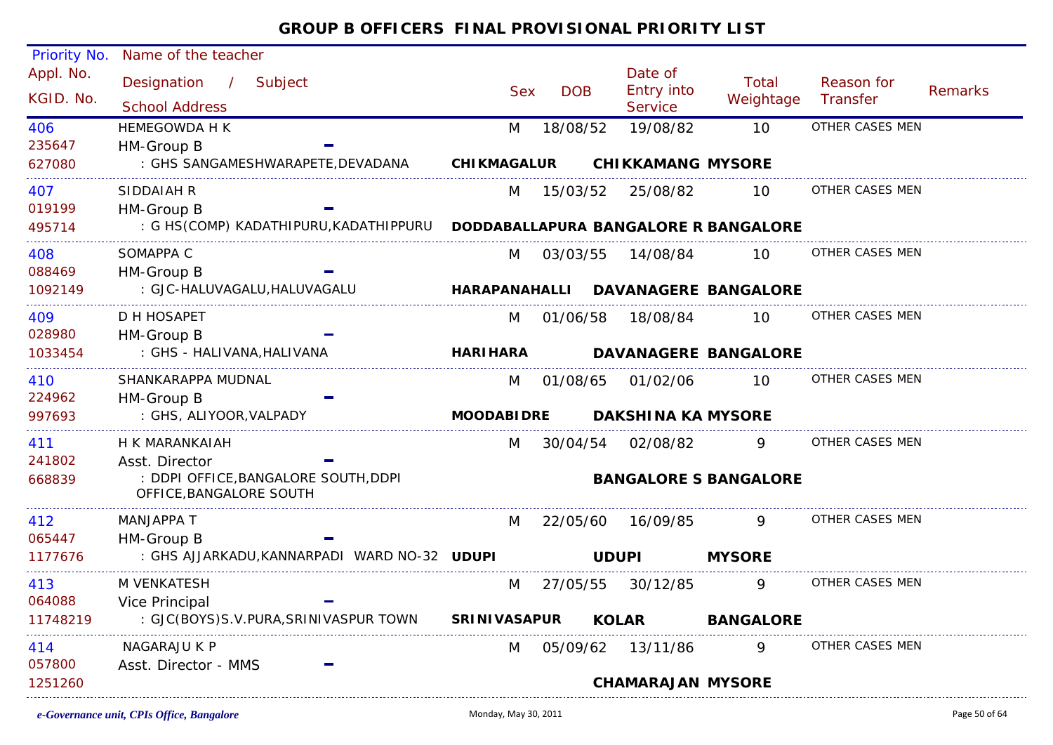| <b>Priority No.</b>    | Name of the teacher                                             |                     |            |                           |                                      |                        |                |
|------------------------|-----------------------------------------------------------------|---------------------|------------|---------------------------|--------------------------------------|------------------------|----------------|
| Appl. No.<br>KGID. No. | Designation<br>Subject<br>$\sqrt{2}$                            | <b>Sex</b>          | <b>DOB</b> | Date of<br>Entry into     | Total<br>Weightage                   | Reason for<br>Transfer | <b>Remarks</b> |
|                        | <b>School Address</b>                                           |                     |            | Service                   |                                      |                        |                |
| 406                    | <b>HEMEGOWDA H K</b>                                            | M                   | 18/08/52   | 19/08/82                  | 10                                   | OTHER CASES MEN        |                |
| 235647<br>627080       | HM-Group B<br>: GHS SANGAMESHWARAPETE, DEVADANA                 | <b>CHIKMAGALUR</b>  |            | <b>CHIKKAMANG MYSORE</b>  |                                      |                        |                |
|                        |                                                                 |                     |            |                           |                                      |                        |                |
| 407                    | SIDDAIAH R                                                      | M                   | 15/03/52   | 25/08/82                  | 10                                   | OTHER CASES MEN        |                |
| 019199                 | HM-Group B                                                      |                     |            |                           |                                      |                        |                |
| 495714                 | : G HS(COMP) KADATHIPURU, KADATHIPPURU                          |                     |            |                           | DODDABALLAPURA BANGALORE R BANGALORE |                        |                |
| 408                    | SOMAPPA C                                                       | M                   | 03/03/55   | 14/08/84                  | 10 <sup>°</sup>                      | OTHER CASES MEN        |                |
| 088469                 | HM-Group B                                                      |                     |            |                           |                                      |                        |                |
| 1092149                | : GJC-HALUVAGALU, HALUVAGALU                                    | HARAPANAHALLI       |            |                           | <b>DAVANAGERE BANGALORE</b>          |                        |                |
| 409                    | D H HOSAPET                                                     | M                   | 01/06/58   | 18/08/84                  | 10                                   | OTHER CASES MEN        |                |
| 028980                 | HM-Group B                                                      |                     |            |                           |                                      |                        |                |
| 1033454                | : GHS - HALIVANA, HALIVANA                                      | <b>HARI HARA</b>    |            |                           | <b>DAVANAGERE BANGALORE</b>          |                        |                |
| 410                    | SHANKARAPPA MUDNAL                                              | M                   | 01/08/65   | 01/02/06                  | 10                                   | OTHER CASES MEN        |                |
| 224962                 | HM-Group B                                                      |                     |            |                           |                                      |                        |                |
| 997693                 | : GHS, ALIYOOR, VALPADY                                         | <b>MOODABIDRE</b>   |            | <b>DAKSHINA KA MYSORE</b> |                                      |                        |                |
| 411                    | H K MARANKAIAH                                                  | M                   | 30/04/54   | 02/08/82                  | 9                                    | OTHER CASES MEN        |                |
| 241802                 | Asst. Director                                                  |                     |            |                           |                                      |                        |                |
| 668839                 | : DDPI OFFICE, BANGALORE SOUTH, DDPI<br>OFFICE, BANGALORE SOUTH |                     |            |                           | <b>BANGALORE S BANGALORE</b>         |                        |                |
| 412                    | MANJAPPA T                                                      | M                   | 22/05/60   | 16/09/85                  | 9.                                   | OTHER CASES MEN        |                |
| 065447                 | HM-Group B                                                      |                     |            |                           |                                      |                        |                |
| 1177676                | : GHS AJJARKADU, KANNARPADI WARD NO-32 UDUPI                    |                     |            | <b>UDUPI</b>              | <b>MYSORE</b>                        |                        |                |
| 413                    | M VENKATESH                                                     | M                   | 27/05/55   | 30/12/85                  | 9                                    | OTHER CASES MEN        |                |
| 064088                 | Vice Principal                                                  |                     |            |                           |                                      |                        |                |
| 11748219               | : GJC(BOYS)S.V.PURA, SRINIVASPUR TOWN                           | <b>SRINIVASAPUR</b> |            | <b>KOLAR</b>              | <b>BANGALORE</b>                     |                        |                |
| 414                    | NAGARAJU K P                                                    | M                   | 05/09/62   | 13/11/86                  | 9                                    | OTHER CASES MEN        |                |
| 057800                 | Asst. Director - MMS                                            |                     |            |                           |                                      |                        |                |
| 1251260                |                                                                 |                     |            | <b>CHAMARAJAN MYSORE</b>  |                                      |                        |                |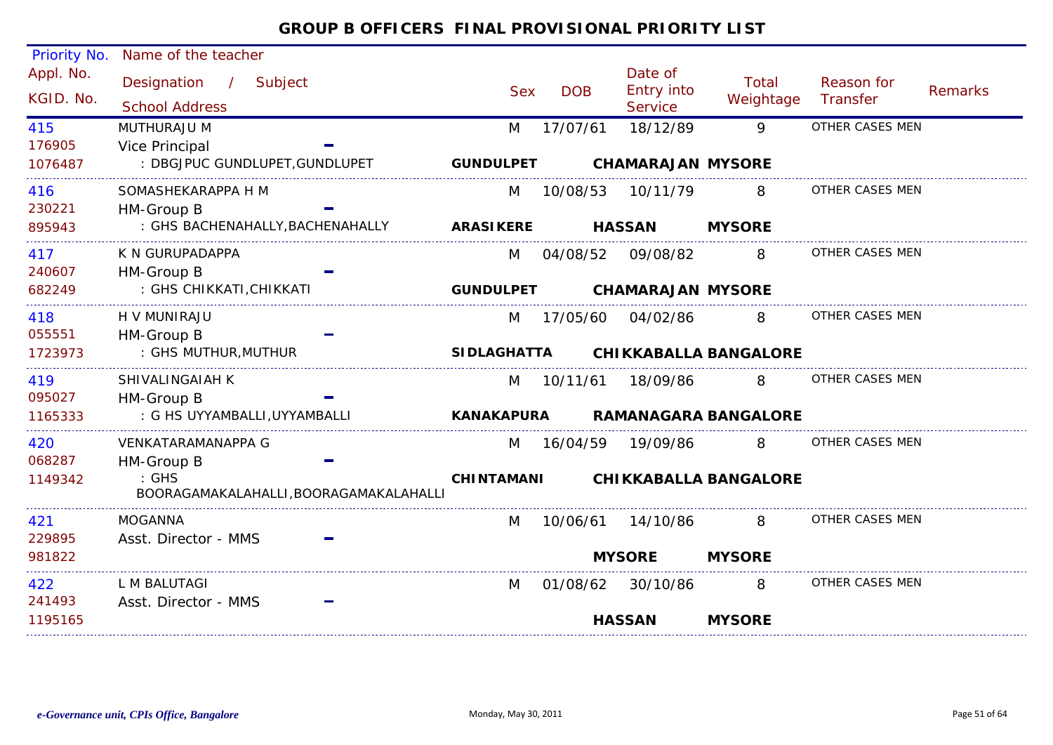|           | Priority No. Name of the teacher                           |                    |            |                              |                              |                 |                |
|-----------|------------------------------------------------------------|--------------------|------------|------------------------------|------------------------------|-----------------|----------------|
| Appl. No. | Designation / Subject                                      |                    |            | Date of                      | <b>Total</b>                 | Reason for      |                |
| KGID. No. | <b>School Address</b>                                      | <b>Sex</b>         | <b>DOB</b> | Entry into<br><b>Service</b> | Weightage                    | Transfer        | <b>Remarks</b> |
| 415       | MUTHURAJU M                                                | M                  | 17/07/61   | 18/12/89                     | 9                            | OTHER CASES MEN |                |
| 176905    | <b>Vice Principal</b>                                      |                    |            |                              |                              |                 |                |
| 1076487   | : DBGJPUC GUNDLUPET, GUNDLUPET                             | <b>GUNDULPET</b>   |            | <b>CHAMARAJAN MYSORE</b>     |                              |                 |                |
| 416       | SOMASHEKARAPPA H M                                         | M                  | 10/08/53   | 10/11/79                     | 8                            | OTHER CASES MEN |                |
| 230221    | HM-Group B                                                 |                    |            |                              |                              |                 |                |
| 895943    | : GHS BACHENAHALLY, BACHENAHALLY                           | <b>ARASIKERE</b>   |            | <b>HASSAN</b>                | <b>MYSORE</b>                |                 |                |
| 417       | K N GURUPADAPPA                                            | M                  | 04/08/52   | 09/08/82                     | 8                            | OTHER CASES MEN |                |
| 240607    | HM-Group B                                                 |                    |            |                              |                              |                 |                |
| 682249    | : GHS CHIKKATI, CHIKKATI                                   | <b>GUNDULPET</b>   |            | <b>CHAMARAJAN MYSORE</b>     |                              |                 |                |
| 418       | H V MUNIRAJU                                               | M                  | 17/05/60   | 04/02/86                     | 8                            | OTHER CASES MEN |                |
| 055551    | HM-Group B                                                 |                    |            |                              |                              |                 |                |
| 1723973   | : GHS MUTHUR, MUTHUR                                       | <b>SIDLAGHATTA</b> |            |                              | <b>CHIKKABALLA BANGALORE</b> |                 |                |
| 419       | SHIVALINGAIAH K                                            | M                  | 10/11/61   | 18/09/86                     | 8                            | OTHER CASES MEN |                |
| 095027    | HM-Group B                                                 |                    |            |                              |                              |                 |                |
| 1165333   | : G HS UYYAMBALLI, UYYAMBALLI                              | <b>KANAKAPURA</b>  |            |                              | <b>RAMANAGARA BANGALORE</b>  |                 |                |
| 420       | VENKATARAMANAPPA G                                         | M                  |            | 16/04/59 19/09/86            | 8                            | OTHER CASES MEN |                |
| 068287    | HM-Group B                                                 |                    |            |                              |                              |                 |                |
| 1149342   | $\therefore$ GHS<br>BOORAGAMAKALAHALLI, BOORAGAMAKALAHALLI | <b>CHINTAMANI</b>  |            |                              | <b>CHIKKABALLA BANGALORE</b> |                 |                |
| 421       | <b>MOGANNA</b>                                             | M                  | 10/06/61   | 14/10/86                     | 8                            | OTHER CASES MEN |                |
| 229895    | Asst. Director - MMS                                       |                    |            |                              |                              |                 |                |
| 981822    |                                                            |                    |            | <b>MYSORE</b>                | <b>MYSORE</b>                |                 |                |
| 422       | L M BALUTAGI                                               | M                  |            | 01/08/62 30/10/86            | 8                            | OTHER CASES MEN |                |
| 241493    | Asst. Director - MMS                                       |                    |            |                              |                              |                 |                |
| 1195165   |                                                            |                    |            | <b>HASSAN</b>                | <b>MYSORE</b>                |                 |                |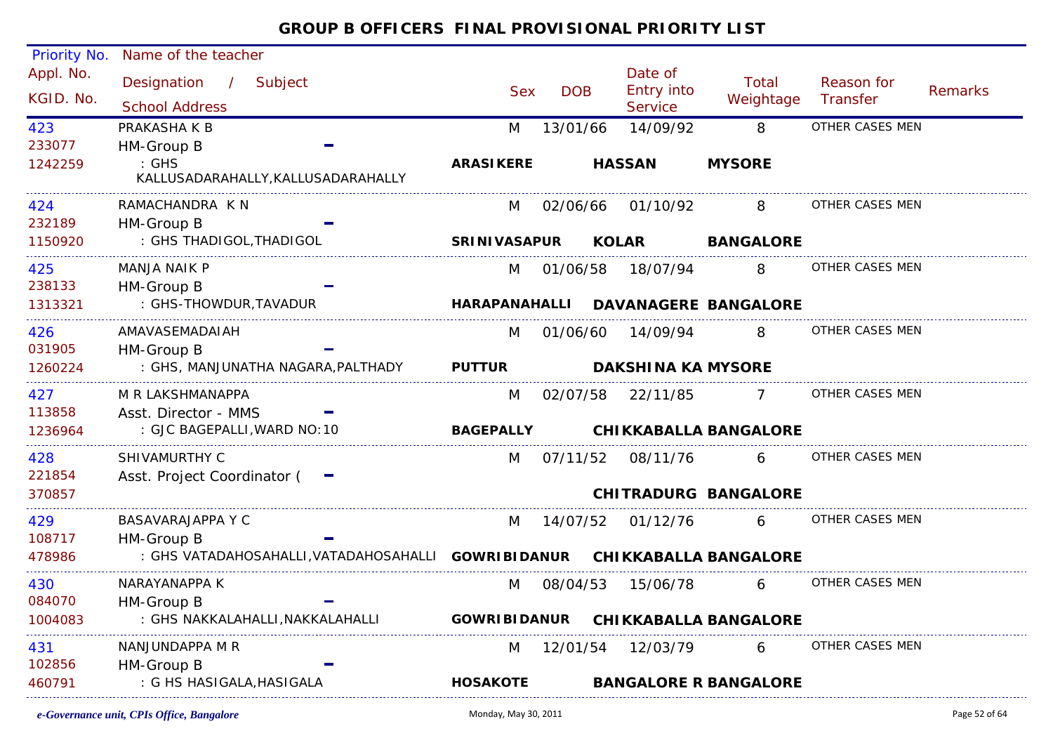| Reason for<br><b>Remarks</b><br>Weightage<br>Transfer<br>OTHER CASES MEN  |
|---------------------------------------------------------------------------|
|                                                                           |
|                                                                           |
|                                                                           |
|                                                                           |
| OTHER CASES MEN                                                           |
|                                                                           |
| <b>BANGALORE</b>                                                          |
| OTHER CASES MEN                                                           |
|                                                                           |
| <b>DAVANAGERE BANGALORE</b>                                               |
| OTHER CASES MEN                                                           |
|                                                                           |
|                                                                           |
| OTHER CASES MEN                                                           |
|                                                                           |
| <b>CHIKKABALLA BANGALORE</b>                                              |
| OTHER CASES MEN                                                           |
|                                                                           |
| <b>CHITRADURG BANGALORE</b>                                               |
| OTHER CASES MEN                                                           |
|                                                                           |
| : GHS VATADAHOSAHALLI, VATADAHOSAHALLI GOWRIBIDANUR CHIKKABALLA BANGALORE |
| OTHER CASES MEN                                                           |
|                                                                           |
| <b>CHIKKABALLA BANGALORE</b>                                              |
| OTHER CASES MEN                                                           |
|                                                                           |
|                                                                           |
|                                                                           |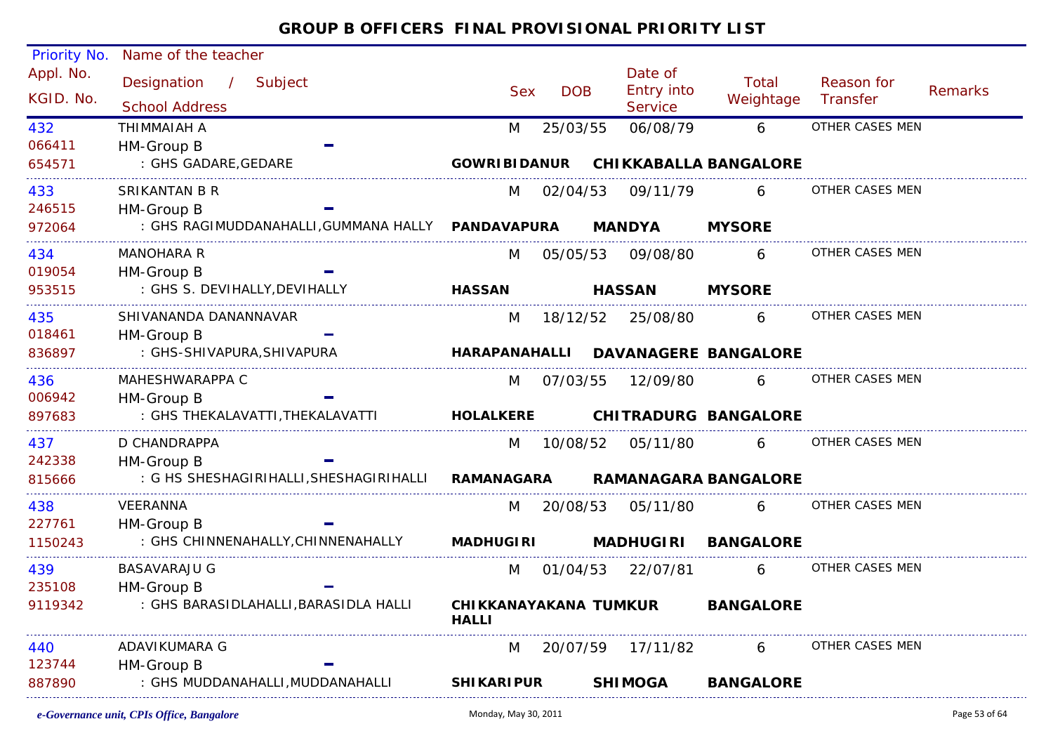| Priority No.           | Name of the teacher                               |                                       |            |                                         |                              |                        |                |
|------------------------|---------------------------------------------------|---------------------------------------|------------|-----------------------------------------|------------------------------|------------------------|----------------|
| Appl. No.<br>KGID. No. | Designation /<br>Subject<br><b>School Address</b> | <b>Sex</b>                            | <b>DOB</b> | Date of<br>Entry into<br><b>Service</b> | Total<br>Weightage           | Reason for<br>Transfer | <b>Remarks</b> |
| 432                    | THIMMAIAH A                                       | M                                     | 25/03/55   | 06/08/79                                | 6                            | OTHER CASES MEN        |                |
| 066411                 | HM-Group B                                        |                                       |            |                                         |                              |                        |                |
| 654571                 | : GHS GADARE, GEDARE                              | <b>GOWRIBIDANUR</b>                   |            |                                         | <b>CHIKKABALLA BANGALORE</b> |                        |                |
| 433                    | SRIKANTAN B R                                     | M                                     | 02/04/53   | 09/11/79                                | 6                            | OTHER CASES MEN        |                |
| 246515                 | HM-Group B                                        |                                       |            |                                         |                              |                        |                |
| 972064                 | : GHS RAGIMUDDANAHALLI, GUMMANA HALLY PANDAVAPURA |                                       |            | <b>MANDYA</b>                           | <b>MYSORE</b>                |                        |                |
| 434                    | <b>MANOHARA R</b>                                 | M                                     | 05/05/53   | 09/08/80                                | 6                            | OTHER CASES MEN        |                |
| 019054                 | HM-Group B                                        |                                       |            |                                         |                              |                        |                |
| 953515                 | : GHS S. DEVIHALLY, DEVIHALLY                     | <b>HASSAN</b>                         |            | <b>HASSAN</b>                           | <b>MYSORE</b>                |                        |                |
| 435                    | SHIVANANDA DANANNAVAR                             | M                                     |            | 18/12/52 25/08/80                       | 6                            | OTHER CASES MEN        |                |
| 018461                 | HM-Group B                                        |                                       |            |                                         |                              |                        |                |
| 836897                 | : GHS-SHIVAPURA, SHIVAPURA                        | <b>HARAPANAHALLI</b>                  |            |                                         | <b>DAVANAGERE BANGALORE</b>  |                        |                |
| 436                    | MAHESHWARAPPA C                                   | M                                     | 07/03/55   | 12/09/80                                | 6                            | OTHER CASES MEN        |                |
| 006942                 | HM-Group B                                        |                                       |            |                                         |                              |                        |                |
| 897683                 | : GHS THEKALAVATTI, THEKALAVATTI                  | <b>HOLALKERE</b>                      |            |                                         | <b>CHITRADURG BANGALORE</b>  |                        |                |
| 437                    | D CHANDRAPPA                                      | M                                     | 10/08/52   | 05/11/80                                | 6                            | OTHER CASES MEN        |                |
| 242338                 | HM-Group B                                        |                                       |            |                                         |                              |                        |                |
| 815666                 | : G HS SHESHAGIRIHALLI, SHESHAGIRIHALLI           | <b>RAMANAGARA</b>                     |            |                                         | <b>RAMANAGARA BANGALORE</b>  |                        |                |
| 438                    | VEERANNA                                          | M                                     | 20/08/53   | 05/11/80                                | 6                            | OTHER CASES MEN        |                |
| 227761                 | HM-Group B                                        |                                       |            |                                         |                              |                        |                |
| 1150243                | : GHS CHINNENAHALLY, CHINNENAHALLY                | <b>MADHUGIRI</b>                      |            | <b>MADHUGIRI</b>                        | <b>BANGALORE</b>             |                        |                |
| 439                    | <b>BASAVARAJU G</b>                               | M                                     | 01/04/53   | 22/07/81                                | 6                            | OTHER CASES MEN        |                |
| 235108                 | HM-Group B                                        |                                       |            |                                         |                              |                        |                |
| 9119342                | : GHS BARASIDLAHALLI, BARASIDLA HALLI             | CHIKKANAYAKANA TUMKUR<br><b>HALLI</b> |            |                                         | <b>BANGALORE</b>             |                        |                |
| 440                    | ADAVIKUMARA G                                     | M                                     |            | 20/07/59 17/11/82                       | 6 -                          | OTHER CASES MEN        |                |
| 123744                 | HM-Group B                                        |                                       |            |                                         |                              |                        |                |
| 887890                 | : GHS MUDDANAHALLI, MUDDANAHALLI                  | <b>SHIKARIPUR</b>                     |            | <b>SHIMOGA</b>                          | <b>BANGALORE</b>             |                        |                |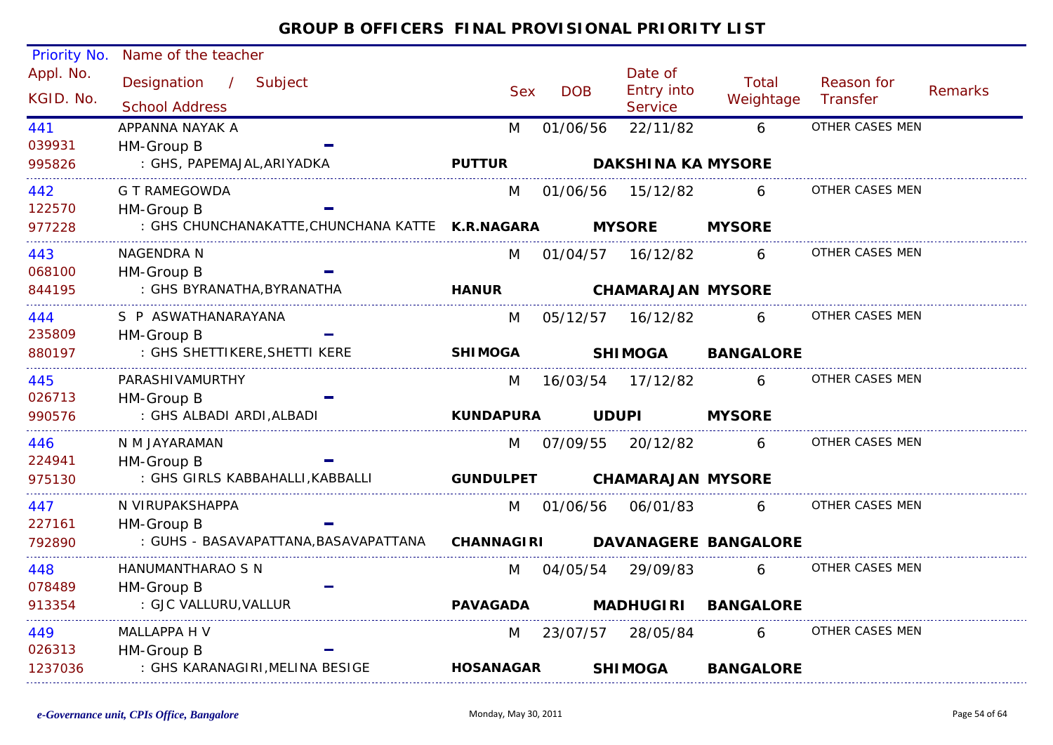| Priority No. | Name of the teacher                              |                   |            |            |                           |                             |                 |         |
|--------------|--------------------------------------------------|-------------------|------------|------------|---------------------------|-----------------------------|-----------------|---------|
| Appl. No.    | Designation / Subject                            |                   |            |            | Date of                   | <b>Total</b>                | Reason for      |         |
| KGID. No.    |                                                  |                   | <b>Sex</b> | <b>DOB</b> | Entry into                | Weightage                   | Transfer        | Remarks |
|              | <b>School Address</b>                            |                   |            |            | Service                   |                             |                 |         |
| 441          | APPANNA NAYAK A                                  | M                 |            | 01/06/56   | 22/11/82                  | 6                           | OTHER CASES MEN |         |
| 039931       | HM-Group B                                       |                   |            |            |                           |                             |                 |         |
| 995826       | : GHS, PAPEMAJAL, ARIYADKA                       | <b>PUTTUR</b>     |            |            | <b>DAKSHINA KA MYSORE</b> |                             |                 |         |
| 442          | G T RAMEGOWDA                                    | M                 |            | 01/06/56   | 15/12/82                  | 6                           | OTHER CASES MEN |         |
| 122570       | HM-Group B                                       |                   |            |            |                           |                             |                 |         |
| 977228       | : GHS CHUNCHANAKATTE, CHUNCHANA KATTE K.R.NAGARA |                   |            |            | <b>MYSORE</b>             | <b>MYSORE</b>               |                 |         |
| 443          | NAGENDRA N                                       | M                 |            |            | 01/04/57 16/12/82         | 6                           | OTHER CASES MEN |         |
| 068100       | HM-Group B                                       |                   |            |            |                           |                             |                 |         |
| 844195       | : GHS BYRANATHA, BYRANATHA                       | <b>HANUR</b>      |            |            | <b>CHAMARAJAN MYSORE</b>  |                             |                 |         |
| 444          | S P ASWATHANARAYANA                              | M                 |            | 05/12/57   | 16/12/82                  | 6                           | OTHER CASES MEN |         |
| 235809       | HM-Group B                                       |                   |            |            |                           |                             |                 |         |
| 880197       | : GHS SHETTIKERE, SHETTI KERE                    | <b>SHIMOGA</b>    |            |            | <b>SHIMOGA</b>            | <b>BANGALORE</b>            |                 |         |
| 445          | PARASHIVAMURTHY                                  | M                 |            | 16/03/54   | 17/12/82                  | 6                           | OTHER CASES MEN |         |
| 026713       | HM-Group B                                       |                   |            |            |                           |                             |                 |         |
| 990576       | : GHS ALBADI ARDI, ALBADI                        | <b>KUNDAPURA</b>  |            |            | <b>UDUPI</b>              | <b>MYSORE</b>               |                 |         |
| 446          | N M JAYARAMAN                                    | M                 |            |            | 07/09/55 20/12/82         | 6                           | OTHER CASES MEN |         |
| 224941       | HM-Group B                                       |                   |            |            |                           |                             |                 |         |
| 975130       | : GHS GIRLS KABBAHALLI, KABBALLI                 | <b>GUNDULPET</b>  |            |            | <b>CHAMARAJAN MYSORE</b>  |                             |                 |         |
| 447          | N VIRUPAKSHAPPA                                  | M                 |            | 01/06/56   | 06/01/83                  | 6                           | OTHER CASES MEN |         |
| 227161       | HM-Group B                                       |                   |            |            |                           |                             |                 |         |
| 792890       | : GUHS - BASAVAPATTANA, BASAVAPATTANA            | <b>CHANNAGIRI</b> |            |            |                           | <b>DAVANAGERE BANGALORE</b> |                 |         |
| 448          | HANUMANTHARAO S N                                | M                 |            | 04/05/54   | 29/09/83                  | 6                           | OTHER CASES MEN |         |
| 078489       | HM-Group B                                       |                   |            |            |                           |                             |                 |         |
| 913354       | : GJC VALLURU, VALLUR                            | <b>PAVAGADA</b>   |            |            | <b>MADHUGIRI</b>          | <b>BANGALORE</b>            |                 |         |
| 449          | MALLAPPA H V                                     | M                 |            | 23/07/57   | 28/05/84                  | 6                           | OTHER CASES MEN |         |
| 026313       | HM-Group B                                       |                   |            |            |                           |                             |                 |         |
| 1237036      | : GHS KARANAGIRI, MELINA BESIGE                  | <b>HOSANAGAR</b>  |            |            | <b>SHIMOGA</b>            | <b>BANGALORE</b>            |                 |         |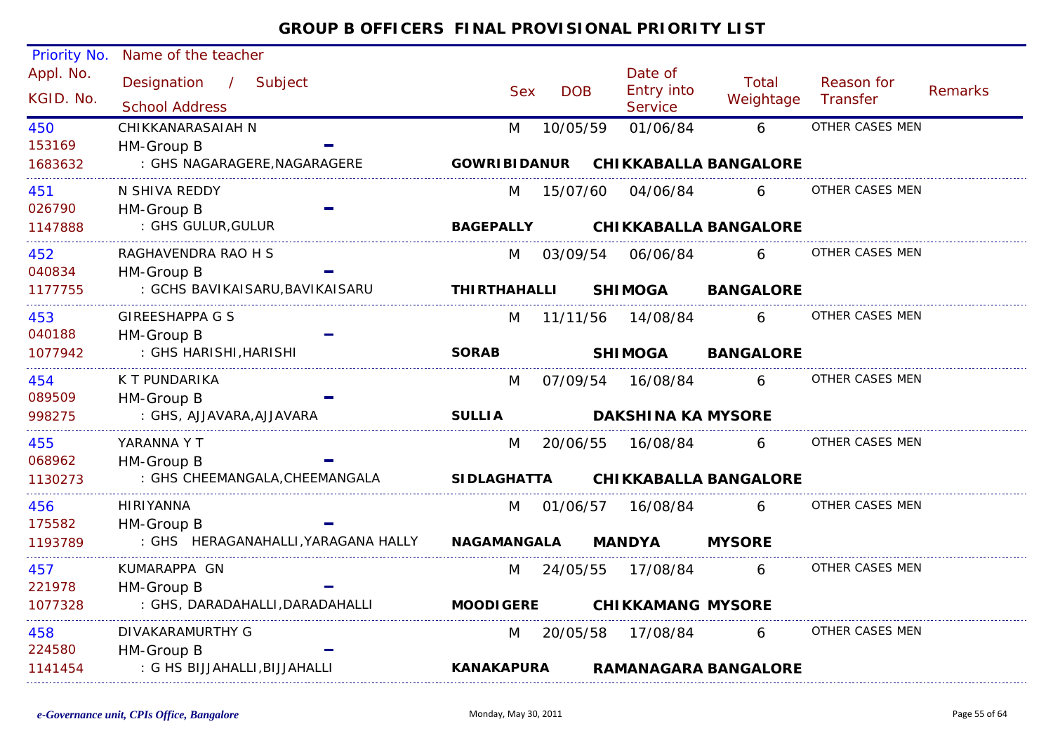| Priority No.           | Name of the teacher                            |                     |            |                                         |                              |                        |                |
|------------------------|------------------------------------------------|---------------------|------------|-----------------------------------------|------------------------------|------------------------|----------------|
| Appl. No.<br>KGID. No. | Designation / Subject<br><b>School Address</b> | <b>Sex</b>          | <b>DOB</b> | Date of<br>Entry into<br><b>Service</b> | Total<br>Weightage           | Reason for<br>Transfer | <b>Remarks</b> |
| 450                    | CHIKKANARASAIAH N                              | M                   | 10/05/59   | 01/06/84                                | 6                            | OTHER CASES MEN        |                |
| 153169                 | HM-Group B                                     |                     |            |                                         |                              |                        |                |
| 1683632                | : GHS NAGARAGERE, NAGARAGERE                   | <b>GOWRIBIDANUR</b> |            |                                         | <b>CHIKKABALLA BANGALORE</b> |                        |                |
| 451                    | N SHIVA REDDY                                  | M                   | 15/07/60   | 04/06/84                                | 6                            | OTHER CASES MEN        |                |
| 026790                 | HM-Group B                                     |                     |            |                                         |                              |                        |                |
| 1147888                | : GHS GULUR, GULUR                             | <b>BAGEPALLY</b>    |            |                                         | <b>CHIKKABALLA BANGALORE</b> |                        |                |
| 452                    | RAGHAVENDRA RAO H S                            | M                   | 03/09/54   | 06/06/84                                | 6                            | OTHER CASES MEN        |                |
| 040834                 | HM-Group B                                     |                     |            |                                         |                              |                        |                |
| 1177755                | : GCHS BAVIKAISARU, BAVIKAISARU                | <b>THIRTHAHALLI</b> |            | <b>SHIMOGA</b>                          | <b>BANGALORE</b>             |                        |                |
| 453                    | <b>GIREESHAPPA G S</b>                         | M                   | 11/11/56   | 14/08/84                                | 6                            | OTHER CASES MEN        |                |
| 040188                 | HM-Group B                                     |                     |            |                                         |                              |                        |                |
| 1077942                | : GHS HARISHI, HARISHI                         | <b>SORAB</b>        |            | <b>SHIMOGA</b>                          | <b>BANGALORE</b>             |                        |                |
| 454                    | K T PUNDARIKA                                  | M                   | 07/09/54   | 16/08/84                                | 6                            | OTHER CASES MEN        |                |
| 089509                 | HM-Group B                                     |                     |            |                                         |                              |                        |                |
| 998275                 | : GHS, AJJAVARA, AJJAVARA                      | <b>SULLIA</b>       |            | <b>DAKSHINA KA MYSORE</b>               |                              |                        |                |
| 455                    | YARANNA Y T                                    | M                   | 20/06/55   | 16/08/84                                | 6                            | OTHER CASES MEN        |                |
| 068962                 | HM-Group B                                     |                     |            |                                         |                              |                        |                |
| 1130273                | : GHS CHEEMANGALA, CHEEMANGALA                 | <b>SIDLAGHATTA</b>  |            |                                         | <b>CHIKKABALLA BANGALORE</b> |                        |                |
| 456                    | <b>HIRIYANNA</b>                               | M                   | 01/06/57   | 16/08/84                                | 6                            | OTHER CASES MEN        |                |
| 175582                 | HM-Group B                                     |                     |            |                                         |                              |                        |                |
| 1193789                | : GHS HERAGANAHALLI, YARAGANA HALLY            | <b>NAGAMANGALA</b>  |            | <b>MANDYA</b>                           | <b>MYSORE</b>                |                        |                |
| 457                    | KUMARAPPA GN                                   | M                   | 24/05/55   | 17/08/84                                | 6                            | OTHER CASES MEN        |                |
| 221978                 | HM-Group B                                     |                     |            |                                         |                              |                        |                |
| 1077328                | : GHS, DARADAHALLI, DARADAHALLI                | <b>MOODIGERE</b>    |            | <b>CHIKKAMANG MYSORE</b>                |                              |                        |                |
| 458                    | DIVAKARAMURTHY G                               | M                   | 20/05/58   | 17/08/84                                | 6                            | OTHER CASES MEN        |                |
| 224580                 | HM-Group B                                     |                     |            |                                         |                              |                        |                |
| 1141454                | : G HS BIJJAHALLI, BIJJAHALLI                  | <b>KANAKAPURA</b>   |            |                                         | <b>RAMANAGARA BANGALORE</b>  |                        |                |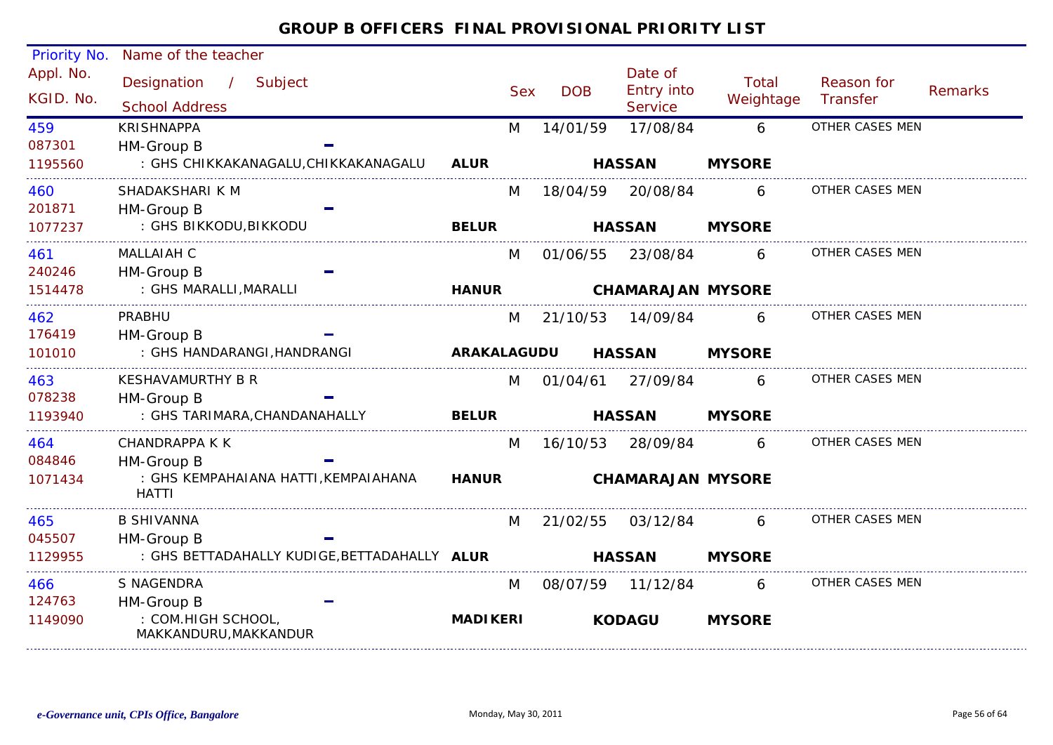#### Appl. No. Priority No. Name of the teacher Designation / Subject Sex DOB Date of<br>Entry into **Service** Reason for **Transfer**  Remarks Total School Address School Address School Address Sex Service Weightage /KGID. No.087301M 14/01/59 17/08/84 6 OTHER CASES MEN : GHS CHIKKAKANAGALU,CHIKKAKANAGALU 459HM-Group B 1195560KRISHNAPPA**ALUR HASSAN MYSORE**201871M 18/04/59 20/08/84 : GHS BIKKODU,BIKKODU 460 6 OTHER CASES MEN SHADAKSHARI K M HM-Group B 1077237**BELUR HASSAN MYSORE**240246M 01/06/55 23/08/84 : GHS MARALLI,MARALLI 4611 MALLAIAH C M 01/06/55 23/08/84 6 OTHER CASES MEN HM-Group B 1514478MALL ATAH C **HANUR CHAMARAJAN MYSORE**176419M 21/10/53 14/09/84 : GHS HANDARANGI,HANDRANGI 4622 PRABHU M 21/10/53 14/09/84 6 OTHER CASES MEN HM-Group B 101010PRABHU **ARAKALAGUDU HASSAN MYSORE**078238M 01/04/61 27/09/84 : GHS TARIMARA,CHANDANAHALLY 4633 KESHAVAMURTHY B R M 01/04/61 27/09/84 6 OTHER CASES MEN HM-Group B 1193940**BELUR HASSAN MYSORE**084846M 16/10/53 28/09/84 6 OTHER CASES MEN : GHS KEMPAHAIANA HATTI,KEMPAIAHANA HATTI464HM-Group B 1071434CHANDRAPPA K K**HANUR CHAMARAJAN MYSORE**045507M 21/02/55 03/12/84 6 OTHER CASES MEN : GHS BETTADAHALLY KUDIGE,BETTADAHALLY **ALUR**465HM-Group B 1129955B SHIVANNA **HASSAN MYSORE**124763M 08/07/59 11/12/84 6 OTHER CASES MEN : COM.HIGH SCHOOL, MAKKANDURU,MAKKANDUR 466HM-Group B 1149090S NAGENDRA**MADIKERIKODAGU MYSORE**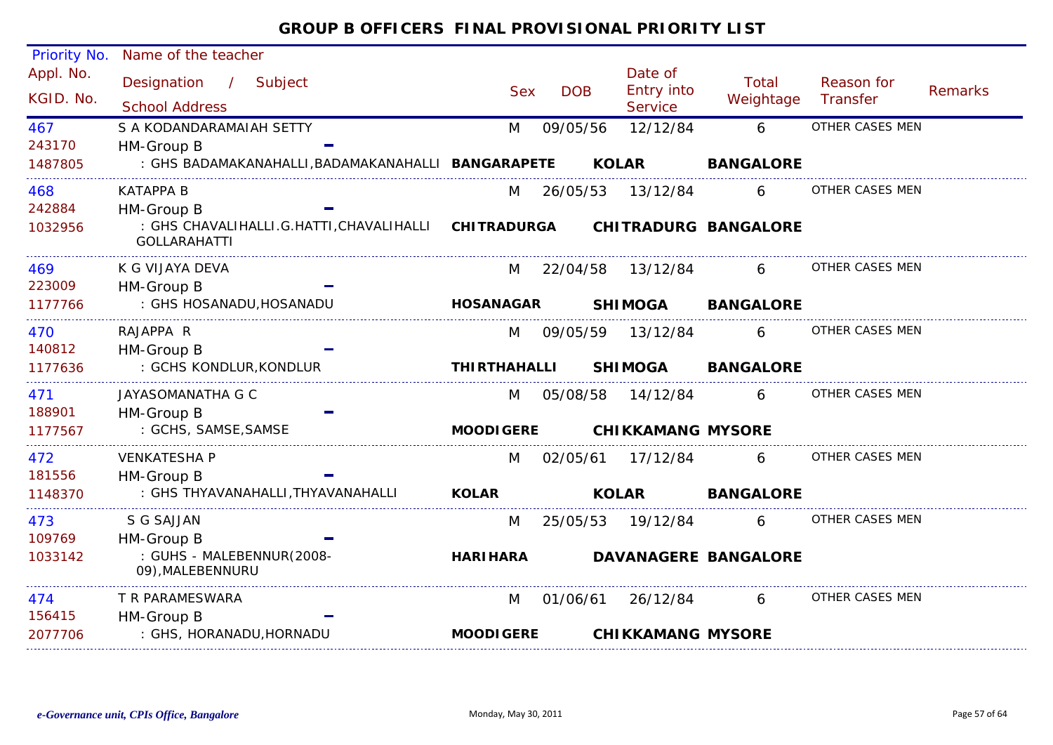| Priority No. | Name of the teacher                                             |                     |            |                          |                             |                 |                |
|--------------|-----------------------------------------------------------------|---------------------|------------|--------------------------|-----------------------------|-----------------|----------------|
| Appl. No.    | Designation<br>/ Subject                                        |                     |            | Date of                  | Total                       | Reason for      |                |
| KGID. No.    | <b>School Address</b>                                           | <b>Sex</b>          | <b>DOB</b> | <b>Entry into</b>        | Weightage                   | Transfer        | <b>Remarks</b> |
|              |                                                                 |                     |            | <b>Service</b>           |                             |                 |                |
| 467          | S A KODANDARAMAIAH SETTY                                        | M                   | 09/05/56   | 12/12/84                 | 6                           | OTHER CASES MEN |                |
| 243170       | HM-Group B                                                      |                     |            |                          |                             |                 |                |
| 1487805      | : GHS BADAMAKANAHALLI, BADAMAKANAHALLI BANGARAPETE              |                     |            | <b>KOLAR</b>             | <b>BANGALORE</b>            |                 |                |
| 468          | <b>KATAPPA B</b>                                                | M                   | 26/05/53   | 13/12/84                 | 6                           | OTHER CASES MEN |                |
| 242884       | HM-Group B                                                      |                     |            |                          |                             |                 |                |
| 1032956      | : GHS CHAVALIHALLI.G.HATTI, CHAVALIHALLI<br><b>GOLLARAHATTI</b> | <b>CHITRADURGA</b>  |            |                          | <b>CHITRADURG BANGALORE</b> |                 |                |
| 469          | K G VIJAYA DEVA                                                 | M                   | 22/04/58   | 13/12/84                 | 6.                          | OTHER CASES MEN |                |
| 223009       | HM-Group B                                                      |                     |            |                          |                             |                 |                |
| 1177766      | : GHS HOSANADU, HOSANADU                                        | <b>HOSANAGAR</b>    |            | <b>SHIMOGA</b>           | <b>BANGALORE</b>            |                 |                |
| 470          | RAJAPPA R                                                       | M                   | 09/05/59   | 13/12/84                 | 6                           | OTHER CASES MEN |                |
| 140812       | HM-Group B                                                      |                     |            |                          |                             |                 |                |
| 1177636      | : GCHS KONDLUR, KONDLUR                                         | <b>THIRTHAHALLI</b> |            | <b>SHIMOGA</b>           | <b>BANGALORE</b>            |                 |                |
| 471          | JAYASOMANATHA G C                                               | M                   | 05/08/58   | 14/12/84                 | 6                           | OTHER CASES MEN |                |
| 188901       | HM-Group B                                                      |                     |            |                          |                             |                 |                |
| 1177567      | : GCHS, SAMSE, SAMSE                                            | <b>MOODIGERE</b>    |            | <b>CHIKKAMANG MYSORE</b> |                             |                 |                |
| 472          | <b>VENKATESHA P</b>                                             | M                   | 02/05/61   | 17/12/84                 | 6                           | OTHER CASES MEN |                |
| 181556       | HM-Group B                                                      |                     |            |                          |                             |                 |                |
| 1148370      | : GHS THYAVANAHALLI, THYAVANAHALLI                              | <b>KOLAR</b>        |            | <b>KOLAR</b>             | <b>BANGALORE</b>            |                 |                |
| 473          | S G SAJJAN                                                      | M                   | 25/05/53   | 19/12/84                 | 6                           | OTHER CASES MEN |                |
| 109769       | HM-Group B                                                      |                     |            |                          |                             |                 |                |
| 1033142      | : GUHS - MALEBENNUR(2008-<br>09), MALEBENNURU                   | <b>HARIHARA</b>     |            |                          | <b>DAVANAGERE BANGALORE</b> |                 |                |
| 474          | T R PARAMESWARA                                                 | M                   | 01/06/61   | 26/12/84                 | 6                           | OTHER CASES MEN |                |
| 156415       | HM-Group B                                                      |                     |            |                          |                             |                 |                |
| 2077706      | : GHS, HORANADU, HORNADU                                        | <b>MOODIGERE</b>    |            | <b>CHIKKAMANG MYSORE</b> |                             |                 |                |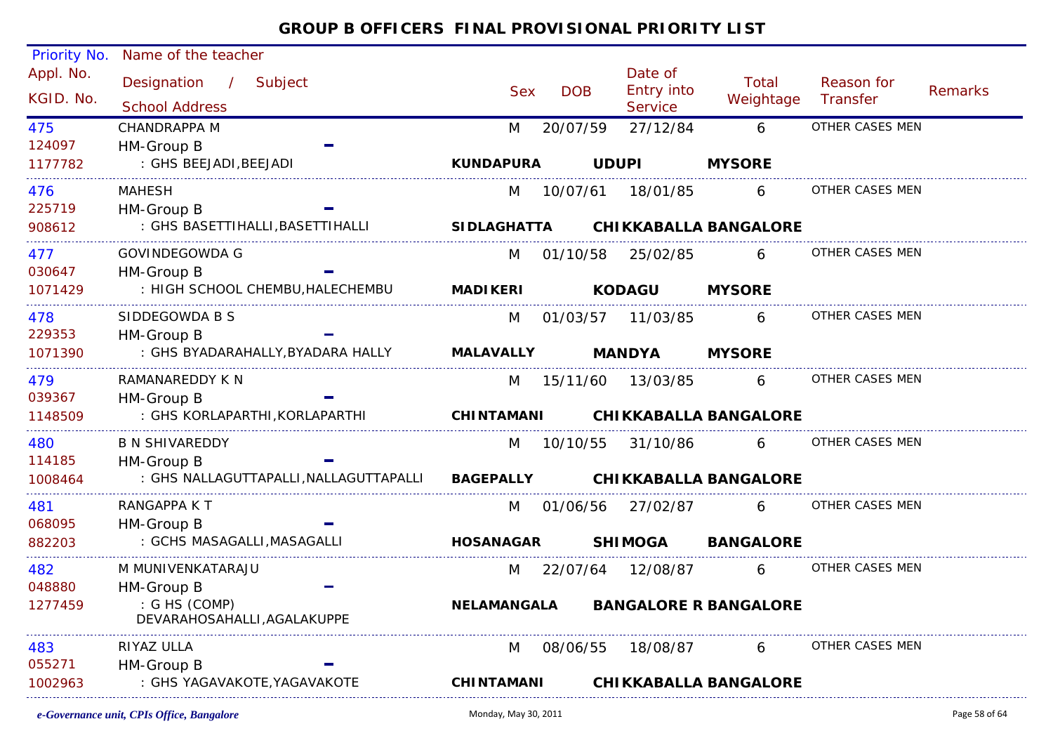| <b>Priority No.</b>    | Name of the teacher                            |                    |            |              |                                                |                              |                        |         |
|------------------------|------------------------------------------------|--------------------|------------|--------------|------------------------------------------------|------------------------------|------------------------|---------|
| Appl. No.<br>KGID. No. | Designation / Subject<br><b>School Address</b> | <b>Sex</b>         | <b>DOB</b> |              | Date of<br><b>Entry into</b><br><b>Service</b> | Total<br>Weightage           | Reason for<br>Transfer | Remarks |
| 475                    | CHANDRAPPA M                                   | M                  | 20/07/59   |              | 27/12/84                                       | 6                            | OTHER CASES MEN        |         |
| 124097                 | HM-Group B                                     |                    |            |              |                                                |                              |                        |         |
| 1177782                | : GHS BEEJADI, BEEJADI                         | <b>KUNDAPURA</b>   |            | <b>UDUPI</b> |                                                | <b>MYSORE</b>                |                        |         |
| 476                    | <b>MAHESH</b>                                  | M                  | 10/07/61   |              | 18/01/85                                       | 6                            | OTHER CASES MEN        |         |
| 225719                 | HM-Group B                                     |                    |            |              |                                                |                              |                        |         |
| 908612                 | : GHS BASETTIHALLI, BASETTIHALLI               | <b>SIDLAGHATTA</b> |            |              |                                                | <b>CHIKKABALLA BANGALORE</b> |                        |         |
| 477                    | GOVINDEGOWDA G                                 | M                  | 01/10/58   |              | 25/02/85                                       | 6                            | OTHER CASES MEN        |         |
| 030647                 | HM-Group B                                     |                    |            |              |                                                |                              |                        |         |
| 1071429                | : HIGH SCHOOL CHEMBU, HALECHEMBU               | <b>MADIKERI</b>    |            |              | <b>KODAGU</b>                                  | <b>MYSORE</b>                |                        |         |
| 478                    | SIDDEGOWDA B S                                 | M                  |            |              | 01/03/57  11/03/85                             | 6                            | OTHER CASES MEN        |         |
| 229353                 | HM-Group B                                     |                    |            |              |                                                |                              |                        |         |
| 1071390                | : GHS BYADARAHALLY,BYADARA HALLY               | <b>MALAVALLY</b>   |            |              | <b>MANDYA</b>                                  | <b>MYSORE</b>                |                        |         |
| 479                    | RAMANAREDDY K N                                | M                  | 15/11/60   |              | 13/03/85                                       | 6                            | OTHER CASES MEN        |         |
| 039367                 | HM-Group B                                     |                    |            |              |                                                |                              |                        |         |
| 1148509                | : GHS KORLAPARTHI, KORLAPARTHI                 | <b>CHINTAMANI</b>  |            |              |                                                | <b>CHIKKABALLA BANGALORE</b> |                        |         |
| 480                    | <b>B N SHIVAREDDY</b>                          |                    | M 10/10/55 |              | 31/10/86                                       | 6                            | OTHER CASES MEN        |         |
| 114185                 | HM-Group B                                     |                    |            |              |                                                |                              |                        |         |
| 1008464                | : GHS NALLAGUTTAPALLI, NALLAGUTTAPALLI         | <b>BAGEPALLY</b>   |            |              |                                                | <b>CHIKKABALLA BANGALORE</b> |                        |         |
| 481                    | RANGAPPA K T                                   | M                  |            |              | 01/06/56 27/02/87                              | 6                            | OTHER CASES MEN        |         |
| 068095                 | HM-Group B                                     |                    |            |              |                                                |                              |                        |         |
| 882203                 | : GCHS MASAGALLI, MASAGALLI                    | <b>HOSANAGAR</b>   |            |              | <b>SHIMOGA</b>                                 | <b>BANGALORE</b>             |                        |         |
| 482                    | M MUNIVENKATARAJU                              | M                  |            |              | 22/07/64 12/08/87                              | 6                            | OTHER CASES MEN        |         |
| 048880                 | HM-Group B                                     |                    |            |              |                                                |                              |                        |         |
| 1277459                | : G HS (COMP)<br>DEVARAHOSAHALLI, AGALAKUPPE   | <b>NELAMANGALA</b> |            |              |                                                | <b>BANGALORE R BANGALORE</b> |                        |         |
| 483                    | RIYAZ ULLA                                     | M                  | 08/06/55   |              | 18/08/87                                       | $6 \qquad$                   | OTHER CASES MEN        |         |
| 055271                 | HM-Group B                                     |                    |            |              |                                                |                              |                        |         |
| 1002963                | : GHS YAGAVAKOTE, YAGAVAKOTE                   | <b>CHINTAMANI</b>  |            |              |                                                | <b>CHIKKABALLA BANGALORE</b> |                        |         |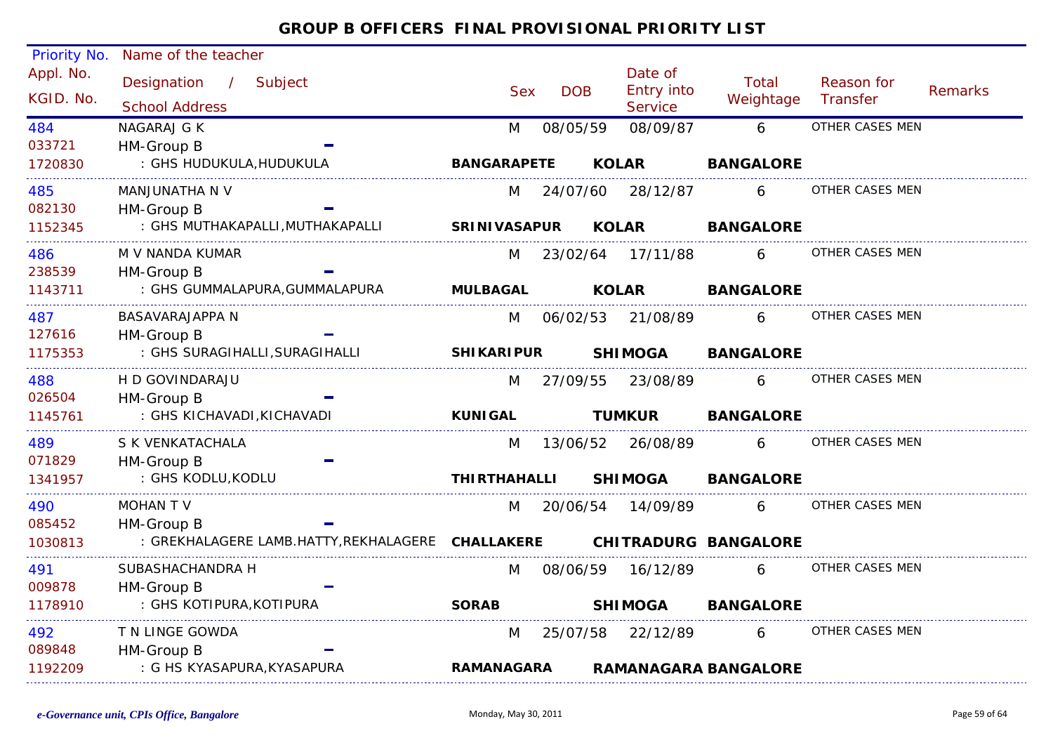| Priority No. | Name of the teacher                               |                     |            |              |                              |                             |                 |                |
|--------------|---------------------------------------------------|---------------------|------------|--------------|------------------------------|-----------------------------|-----------------|----------------|
| Appl. No.    | Designation / Subject                             |                     |            |              | Date of                      | Total                       | Reason for      |                |
| KGID. No.    | <b>School Address</b>                             | <b>Sex</b>          | <b>DOB</b> |              | Entry into<br><b>Service</b> | Weightage                   | Transfer        | <b>Remarks</b> |
| 484          | NAGARAJ G K                                       | M                   | 08/05/59   |              | 08/09/87                     | 6                           | OTHER CASES MEN |                |
| 033721       | HM-Group B                                        |                     |            |              |                              |                             |                 |                |
| 1720830      | : GHS HUDUKULA, HUDUKULA                          | <b>BANGARAPETE</b>  |            | <b>KOLAR</b> |                              | <b>BANGALORE</b>            |                 |                |
| 485          | MANJUNATHA N V                                    | M                   | 24/07/60   |              | 28/12/87                     | 6                           | OTHER CASES MEN |                |
| 082130       | HM-Group B                                        |                     |            |              |                              |                             |                 |                |
| 1152345      | : GHS MUTHAKAPALLI, MUTHAKAPALLI                  | <b>SRINIVASAPUR</b> |            | <b>KOLAR</b> |                              | <b>BANGALORE</b>            |                 |                |
| 486          | M V NANDA KUMAR                                   | M                   |            |              | 23/02/64 17/11/88            | 6                           | OTHER CASES MEN |                |
| 238539       | HM-Group B                                        |                     |            |              |                              |                             |                 |                |
| 1143711      | : GHS GUMMALAPURA, GUMMALAPURA                    | <b>MULBAGAL</b>     |            | <b>KOLAR</b> |                              | <b>BANGALORE</b>            |                 |                |
| 487          | <b>BASAVARAJAPPA N</b>                            | M                   | 06/02/53   |              | 21/08/89                     | 6                           | OTHER CASES MEN |                |
| 127616       | HM-Group B                                        |                     |            |              |                              |                             |                 |                |
| 1175353      | : GHS SURAGIHALLI, SURAGIHALLI                    | <b>SHIKARIPUR</b>   |            |              | <b>SHIMOGA</b>               | <b>BANGALORE</b>            |                 |                |
| 488          | H D GOVINDARAJU                                   | M                   | 27/09/55   |              | 23/08/89                     | 6                           | OTHER CASES MEN |                |
| 026504       | HM-Group B                                        |                     |            |              |                              |                             |                 |                |
| 1145761      | : GHS KICHAVADI, KICHAVADI                        | <b>KUNIGAL</b>      |            |              | <b>TUMKUR</b>                | <b>BANGALORE</b>            |                 |                |
| 489          | S K VENKATACHALA                                  | M                   |            |              | 13/06/52 26/08/89            | 6                           | OTHER CASES MEN |                |
| 071829       | HM-Group B                                        |                     |            |              |                              |                             |                 |                |
| 1341957      | : GHS KODLU, KODLU                                | <b>THIRTHAHALLI</b> |            |              | <b>SHIMOGA</b>               | <b>BANGALORE</b>            |                 |                |
| 490          | <b>MOHAN T V</b>                                  | M                   |            |              | 20/06/54 14/09/89            | 6                           | OTHER CASES MEN |                |
| 085452       | HM-Group B                                        |                     |            |              |                              |                             |                 |                |
| 1030813      | : GREKHALAGERE LAMB.HATTY, REKHALAGERE CHALLAKERE |                     |            |              |                              | <b>CHITRADURG BANGALORE</b> |                 |                |
| 491          | SUBASHACHANDRA H                                  | M                   | 08/06/59   |              | 16/12/89                     | 6                           | OTHER CASES MEN |                |
| 009878       | HM-Group B                                        |                     |            |              |                              |                             |                 |                |
| 1178910      | : GHS KOTIPURA, KOTIPURA                          | <b>SORAB</b>        |            |              | <b>SHIMOGA</b>               | <b>BANGALORE</b>            |                 |                |
| 492          | T N LINGE GOWDA                                   | M                   |            |              | 25/07/58 22/12/89            | 6                           | OTHER CASES MEN |                |
| 089848       | HM-Group B                                        |                     |            |              |                              |                             |                 |                |
| 1192209      | : G HS KYASAPURA, KYASAPURA                       | <b>RAMANAGARA</b>   |            |              |                              | <b>RAMANAGARA BANGALORE</b> |                 |                |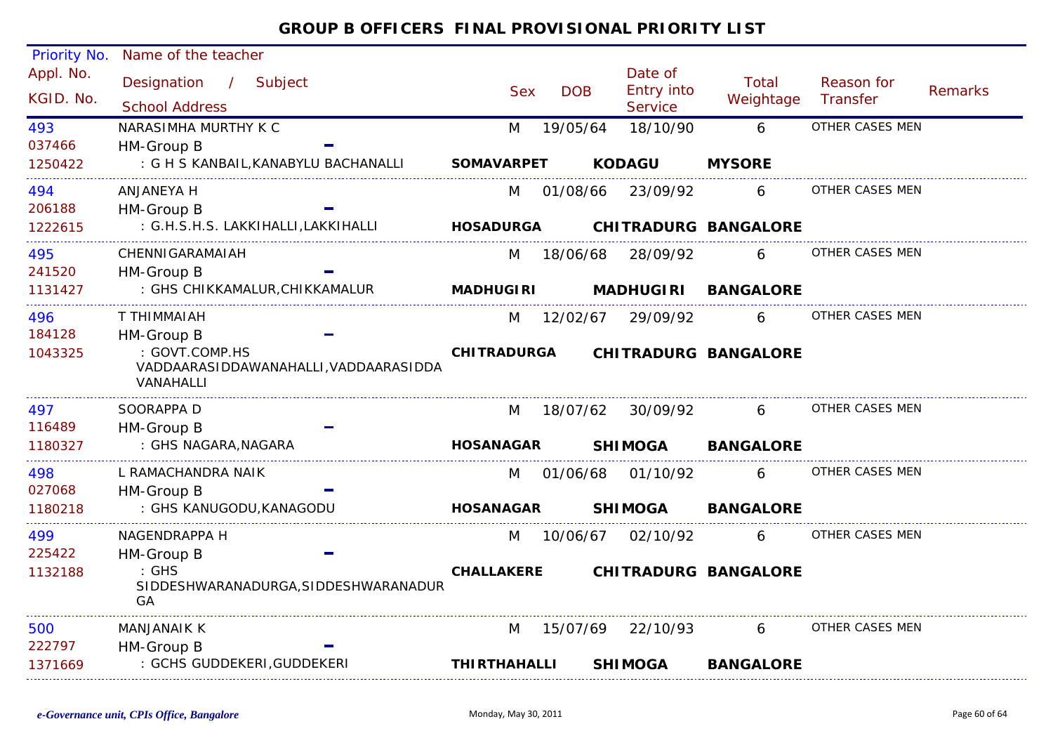| <b>Priority No.</b>    | Name of the teacher                                                  |                     |            |                       |                             |                        |         |
|------------------------|----------------------------------------------------------------------|---------------------|------------|-----------------------|-----------------------------|------------------------|---------|
| Appl. No.<br>KGID. No. | Designation / Subject                                                | <b>Sex</b>          | <b>DOB</b> | Date of<br>Entry into | Total<br>Weightage          | Reason for<br>Transfer | Remarks |
|                        | <b>School Address</b>                                                |                     |            | <b>Service</b>        |                             |                        |         |
| 493                    | NARASIMHA MURTHY K C                                                 | M                   | 19/05/64   | 18/10/90              | 6                           | OTHER CASES MEN        |         |
| 037466                 | HM-Group B                                                           |                     |            |                       |                             |                        |         |
| 1250422                | : G H S KANBAIL, KANABYLU BACHANALLI                                 | <b>SOMAVARPET</b>   |            | <b>KODAGU</b>         | <b>MYSORE</b>               |                        |         |
| 494                    | ANJANEYA H                                                           | M                   |            | 01/08/66 23/09/92     | 6                           | OTHER CASES MEN        |         |
| 206188                 | HM-Group B                                                           |                     |            |                       |                             |                        |         |
| 1222615                | : G.H.S.H.S. LAKKIHALLI,LAKKIHALLI                                   | <b>HOSADURGA</b>    |            |                       | <b>CHITRADURG BANGALORE</b> |                        |         |
| 495                    | CHENNIGARAMAIAH                                                      | M                   | 18/06/68   | 28/09/92              | 6                           | OTHER CASES MEN        |         |
| 241520                 | HM-Group B                                                           |                     |            |                       |                             |                        |         |
| 1131427                | : GHS CHIKKAMALUR, CHIKKAMALUR                                       | <b>MADHUGIRI</b>    |            | <b>MADHUGIRI</b>      | <b>BANGALORE</b>            |                        |         |
| 496                    | T THIMMAIAH                                                          | M                   | 12/02/67   | 29/09/92              | 6                           | OTHER CASES MEN        |         |
| 184128                 | HM-Group B                                                           |                     |            |                       |                             |                        |         |
| 1043325                | : GOVT.COMP.HS<br>VADDAARASIDDAWANAHALLI, VADDAARASIDDA<br>VANAHALLI | <b>CHITRADURGA</b>  |            |                       | <b>CHITRADURG BANGALORE</b> |                        |         |
| 497                    | SOORAPPA D                                                           | M                   | 18/07/62   | 30/09/92              | 6                           | OTHER CASES MEN        |         |
| 116489                 | HM-Group B                                                           |                     |            |                       |                             |                        |         |
| 1180327                | : GHS NAGARA, NAGARA                                                 | <b>HOSANAGAR</b>    |            | <b>SHIMOGA</b>        | <b>BANGALORE</b>            |                        |         |
| 498                    | L RAMACHANDRA NAIK                                                   | M                   |            | 01/06/68 01/10/92     | 6                           | OTHER CASES MEN        |         |
| 027068                 | HM-Group B                                                           |                     |            |                       |                             |                        |         |
| 1180218                | : GHS KANUGODU, KANAGODU                                             | <b>HOSANAGAR</b>    |            | <b>SHIMOGA</b>        | <b>BANGALORE</b>            |                        |         |
| 499                    | NAGENDRAPPA H                                                        | M                   | 10/06/67   | 02/10/92              | 6                           | OTHER CASES MEN        |         |
| 225422                 | HM-Group B                                                           |                     |            |                       |                             |                        |         |
| 1132188                | $:$ GHS<br>SIDDESHWARANADURGA, SIDDESHWARANADUR<br>GA                | <b>CHALLAKERE</b>   |            |                       | CHITRADURG BANGALORE        |                        |         |
| 500                    | <b>MANJANAIK K</b>                                                   | M                   | 15/07/69   | 22/10/93              | 6                           | OTHER CASES MEN        |         |
| 222797                 | HM-Group B                                                           |                     |            |                       |                             |                        |         |
| 1371669                | : GCHS GUDDEKERI, GUDDEKERI                                          | <b>THIRTHAHALLI</b> |            | <b>SHIMOGA</b>        | <b>BANGALORE</b>            |                        |         |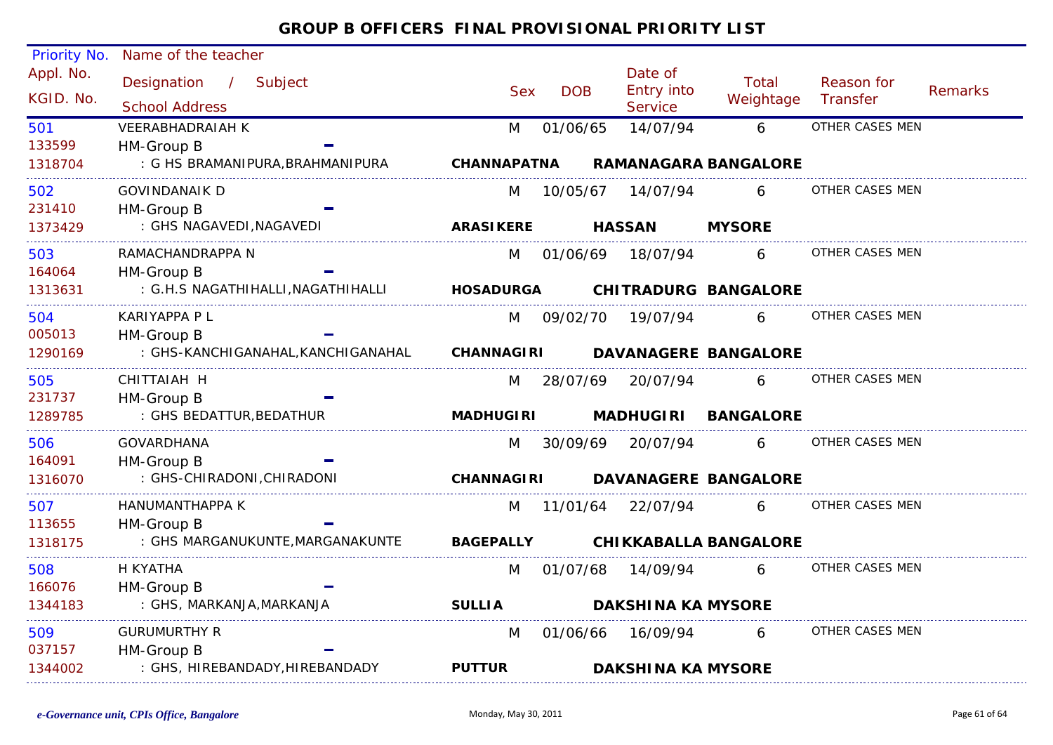| Priority No.<br>Appl. No. | Name of the teacher                              |                    |            | Date of                   |                              |                        |                |
|---------------------------|--------------------------------------------------|--------------------|------------|---------------------------|------------------------------|------------------------|----------------|
|                           | Designation / Subject                            | <b>Sex</b>         | <b>DOB</b> | Entry into                | Total                        | Reason for             | <b>Remarks</b> |
| KGID. No.                 | <b>School Address</b>                            |                    |            | <b>Service</b>            | Weightage                    | Transfer               |                |
| 501                       | <b>VEERABHADRAIAH K</b>                          | M                  | 01/06/65   | 14/07/94                  | 6                            | OTHER CASES MEN        |                |
| 133599<br>1318704         | HM-Group B<br>: G HS BRAMANIPURA, BRAHMANIPURA   | <b>CHANNAPATNA</b> |            |                           | <b>RAMANAGARA BANGALORE</b>  |                        |                |
|                           |                                                  |                    |            |                           |                              |                        |                |
| 502<br>231410             | GOVINDANAIK D<br>HM-Group B                      | M                  | 10/05/67   | 14/07/94                  | 6                            | OTHER CASES MEN        |                |
| 1373429                   | : GHS NAGAVEDI, NAGAVEDI                         | <b>ARASIKERE</b>   |            | <b>HASSAN</b>             | <b>MYSORE</b>                |                        |                |
| 503                       | RAMACHANDRAPPA N                                 | M                  | 01/06/69   | 18/07/94                  | 6                            | OTHER CASES MEN        |                |
| 164064                    | HM-Group B                                       |                    |            |                           |                              |                        |                |
| 1313631                   | : G.H.S NAGATHIHALLI, NAGATHIHALLI               | <b>HOSADURGA</b>   |            |                           | <b>CHITRADURG BANGALORE</b>  |                        |                |
| 504                       | KARIYAPPA P L                                    | M                  | 09/02/70   | 19/07/94                  | 6                            | OTHER CASES MEN        |                |
| 005013<br>1290169         | HM-Group B<br>: GHS-KANCHIGANAHAL, KANCHIGANAHAL | <b>CHANNAGIRI</b>  |            |                           | <b>DAVANAGERE BANGALORE</b>  |                        |                |
|                           |                                                  |                    |            |                           |                              |                        |                |
| 505<br>231737             | CHITTAIAH H<br>HM-Group B                        | M                  | 28/07/69   | 20/07/94                  | 6                            | OTHER CASES MEN        |                |
| 1289785                   | : GHS BEDATTUR, BEDATHUR                         | <b>MADHUGIRI</b>   |            | <b>MADHUGIRI</b>          | <b>BANGALORE</b>             |                        |                |
| 506                       | <b>GOVARDHANA</b>                                | M                  | 30/09/69   | 20/07/94                  | 6                            | OTHER CASES MEN        |                |
| 164091                    | HM-Group B                                       |                    |            |                           |                              |                        |                |
| 1316070                   | : GHS-CHIRADONI, CHIRADONI                       | <b>CHANNAGIRI</b>  |            |                           | <b>DAVANAGERE BANGALORE</b>  |                        |                |
| 507                       | HANUMANTHAPPA K                                  | M                  | 11/01/64   | 22/07/94                  | 6                            | <b>OTHER CASES MEN</b> |                |
| 113655                    | HM-Group B                                       |                    |            |                           |                              |                        |                |
| 1318175                   | : GHS MARGANUKUNTE, MARGANAKUNTE                 | <b>BAGEPALLY</b>   |            |                           | <b>CHIKKABALLA BANGALORE</b> |                        |                |
| 508                       | H KYATHA                                         | M                  | 01/07/68   | 14/09/94                  | 6                            | OTHER CASES MEN        |                |
| 166076                    | HM-Group B                                       |                    |            |                           |                              |                        |                |
| 1344183                   | : GHS, MARKANJA, MARKANJA                        | <b>SULLIA</b>      |            | <b>DAKSHINA KA MYSORE</b> |                              |                        |                |
| 509                       | <b>GURUMURTHY R</b>                              | M                  | 01/06/66   | 16/09/94                  | 6                            | OTHER CASES MEN        |                |
| 037157<br>1344002         | HM-Group B<br>: GHS, HIREBANDADY, HIREBANDADY    | <b>PUTTUR</b>      |            | <b>DAKSHINA KA MYSORE</b> |                              |                        |                |
|                           |                                                  |                    |            |                           |                              |                        |                |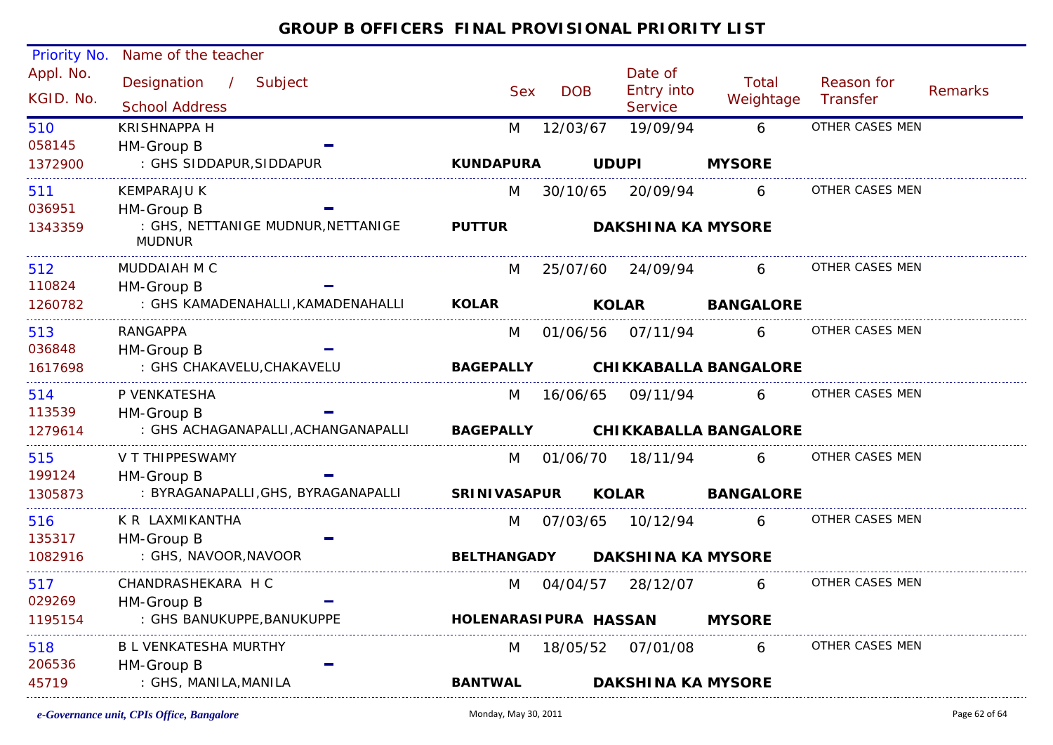| Priority No.           | Name of the teacher                                 |                                            |            |                                         |                              |                        |         |
|------------------------|-----------------------------------------------------|--------------------------------------------|------------|-----------------------------------------|------------------------------|------------------------|---------|
| Appl. No.<br>KGID. No. | Designation /<br>Subject<br><b>School Address</b>   | <b>Sex</b>                                 | <b>DOB</b> | Date of<br>Entry into<br><b>Service</b> | Total<br>Weightage           | Reason for<br>Transfer | Remarks |
| 510                    | <b>KRISHNAPPA H</b>                                 | M                                          | 12/03/67   | 19/09/94                                | 6                            | OTHER CASES MEN        |         |
| 058145                 | HM-Group B                                          |                                            |            |                                         |                              |                        |         |
| 1372900                | : GHS SIDDAPUR, SIDDAPUR                            | <b>KUNDAPURA</b>                           |            | <b>UDUPI</b>                            | <b>MYSORE</b>                |                        |         |
| 511                    | <b>KEMPARAJU K</b>                                  | M                                          | 30/10/65   | 20/09/94                                | 6                            | OTHER CASES MEN        |         |
| 036951                 | HM-Group B                                          |                                            |            |                                         |                              |                        |         |
| 1343359                | : GHS, NETTANIGE MUDNUR, NETTANIGE<br><b>MUDNUR</b> | <b>PUTTUR</b><br><b>DAKSHINA KA MYSORE</b> |            |                                         |                              |                        |         |
| 512<br>110824          | MUDDAIAH M C<br>HM-Group B                          | M                                          |            | 25/07/60 24/09/94                       | 6                            | OTHER CASES MEN        |         |
| 1260782                | : GHS KAMADENAHALLI, KAMADENAHALLI                  | <b>KOLAR</b>                               |            | <b>KOLAR</b>                            | <b>BANGALORE</b>             |                        |         |
| 513                    | <b>RANGAPPA</b>                                     | M                                          |            | 01/06/56 07/11/94                       | 6                            | OTHER CASES MEN        |         |
| 036848                 | HM-Group B                                          |                                            |            |                                         |                              |                        |         |
| 1617698                | : GHS CHAKAVELU, CHAKAVELU                          | <b>BAGEPALLY</b>                           |            |                                         | <b>CHIKKABALLA BANGALORE</b> |                        |         |
| 514                    | P VENKATESHA                                        | M                                          | 16/06/65   | 09/11/94                                | 6                            | OTHER CASES MEN        |         |
| 113539                 | HM-Group B                                          |                                            |            |                                         |                              |                        |         |
| 1279614                | : GHS ACHAGANAPALLI, ACHANGANAPALLI                 | <b>BAGEPALLY</b>                           |            |                                         | <b>CHIKKABALLA BANGALORE</b> |                        |         |
| 515                    | V T THIPPESWAMY                                     | M                                          | 01/06/70   | 18/11/94                                | 6                            | OTHER CASES MEN        |         |
| 199124                 | HM-Group B                                          |                                            |            |                                         |                              |                        |         |
| 1305873                | : BYRAGANAPALLI, GHS, BYRAGANAPALLI                 | <b>SRINIVASAPUR</b>                        |            | <b>KOLAR</b>                            | <b>BANGALORE</b>             |                        |         |
| 516                    | K R LAXMIKANTHA                                     | M                                          |            | 07/03/65 10/12/94                       | 6                            | OTHER CASES MEN        |         |
| 135317                 | HM-Group B                                          |                                            |            |                                         |                              |                        |         |
| 1082916                | : GHS, NAVOOR, NAVOOR                               | <b>BELTHANGADY</b>                         |            | <b>DAKSHINA KA MYSORE</b>               |                              |                        |         |
| 517                    | CHANDRASHEKARA H C                                  | M                                          | 04/04/57   | 28/12/07                                | 6                            | OTHER CASES MEN        |         |
| 029269                 | HM-Group B                                          |                                            |            |                                         |                              |                        |         |
| 1195154                | : GHS BANUKUPPE, BANUKUPPE                          | HOLENARASIPURA HASSAN                      |            |                                         | <b>MYSORE</b>                |                        |         |
| 518                    | B L VENKATESHA MURTHY                               | M                                          |            | 18/05/52 07/01/08                       | 6                            | OTHER CASES MEN        |         |
| 206536                 | HM-Group B                                          |                                            |            |                                         |                              |                        |         |
| 45719                  | : GHS, MANILA, MANILA                               | <b>BANTWAL</b>                             |            | <b>DAKSHINA KA MYSORE</b>               |                              |                        |         |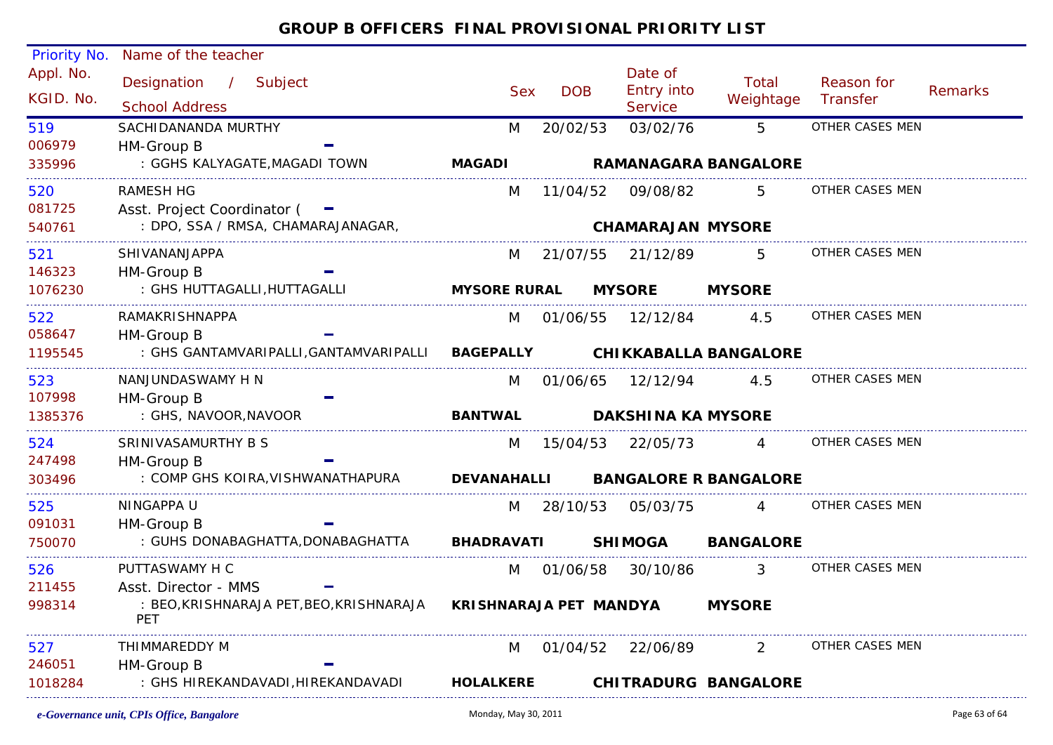| Priority No.           | Name of the teacher                                 |                                      |            |                                         |                              |                        |         |
|------------------------|-----------------------------------------------------|--------------------------------------|------------|-----------------------------------------|------------------------------|------------------------|---------|
| Appl. No.<br>KGID. No. | Designation / Subject<br><b>School Address</b>      | <b>Sex</b>                           | <b>DOB</b> | Date of<br>Entry into<br><b>Service</b> | Total<br>Weightage           | Reason for<br>Transfer | Remarks |
| 519                    | SACHIDANANDA MURTHY                                 | M                                    | 20/02/53   | 03/02/76                                | 5                            | OTHER CASES MEN        |         |
| 006979                 | HM-Group B                                          |                                      |            |                                         |                              |                        |         |
| 335996                 | : GGHS KALYAGATE, MAGADI TOWN                       | <b>MAGADI</b>                        |            |                                         | <b>RAMANAGARA BANGALORE</b>  |                        |         |
| 520                    | <b>RAMESH HG</b>                                    | M                                    | 11/04/52   | 09/08/82                                | 5                            | OTHER CASES MEN        |         |
| 081725                 | Asst. Project Coordinator ( -                       |                                      |            |                                         |                              |                        |         |
| 540761                 | : DPO, SSA / RMSA, CHAMARAJANAGAR,                  |                                      |            | <b>CHAMARAJAN MYSORE</b>                |                              |                        |         |
| 521                    | <b>SHIVANANJAPPA</b>                                | M                                    | 21/07/55   | 21/12/89                                | 5.                           | OTHER CASES MEN        |         |
| 146323                 | HM-Group B                                          |                                      |            |                                         |                              |                        |         |
| 1076230                | : GHS HUTTAGALLI, HUTTAGALLI                        | <b>MYSORE RURAL</b><br><b>MYSORE</b> |            | <b>MYSORE</b>                           |                              |                        |         |
| 522                    | RAMAKRISHNAPPA                                      | M                                    |            | 01/06/55  12/12/84                      | 4.5                          | OTHER CASES MEN        |         |
| 058647                 | HM-Group B                                          |                                      |            |                                         |                              |                        |         |
| 1195545                | : GHS GANTAMVARIPALLI, GANTAMVARIPALLI BAGEPALLY    |                                      |            |                                         | <b>CHIKKABALLA BANGALORE</b> |                        |         |
| 523                    | NANJUNDASWAMY H N                                   | M                                    | 01/06/65   | 12/12/94                                | 4.5                          | OTHER CASES MEN        |         |
| 107998                 | HM-Group B                                          |                                      |            |                                         |                              |                        |         |
| 1385376                | : GHS, NAVOOR, NAVOOR                               | <b>BANTWAL</b>                       |            | <b>DAKSHINA KA MYSORE</b>               |                              |                        |         |
| 524                    | SRINIVASAMURTHY B S                                 | M                                    | 15/04/53   | 22/05/73                                | $\overline{4}$               | OTHER CASES MEN        |         |
| 247498                 | HM-Group B                                          |                                      |            |                                         |                              |                        |         |
| 303496                 | : COMP GHS KOIRA, VISHWANATHAPURA                   | <b>DEVANAHALLI</b>                   |            |                                         | <b>BANGALORE R BANGALORE</b> |                        |         |
| 525                    | NINGAPPA U                                          | M                                    |            | 28/10/53 05/03/75                       | $\overline{A}$               | OTHER CASES MEN        |         |
| 091031                 | HM-Group B                                          |                                      |            |                                         |                              |                        |         |
| 750070                 | : GUHS DONABAGHATTA, DONABAGHATTA                   | <b>BHADRAVATI</b>                    |            | <b>SHIMOGA</b>                          | <b>BANGALORE</b>             |                        |         |
| 526                    | PUTTASWAMY H C                                      | M                                    | 01/06/58   | 30/10/86                                | $\mathcal{S}$                | OTHER CASES MEN        |         |
| 211455                 | Asst. Director - MMS                                |                                      |            |                                         |                              |                        |         |
| 998314                 | : BEO,KRISHNARAJA PET,BEO,KRISHNARAJA<br><b>PET</b> | KRISHNARAJA PET MANDYA               |            | <b>MYSORE</b>                           |                              |                        |         |
| 527                    | THIMMAREDDY M                                       | M                                    | 01/04/52   | 22/06/89                                | $\overline{2}$               | OTHER CASES MEN        |         |
| 246051                 | HM-Group B                                          |                                      |            |                                         |                              |                        |         |
| 1018284                | : GHS HIREKANDAVADI, HIREKANDAVADI                  | <b>HOLALKERE</b>                     |            |                                         | <b>CHITRADURG BANGALORE</b>  |                        |         |